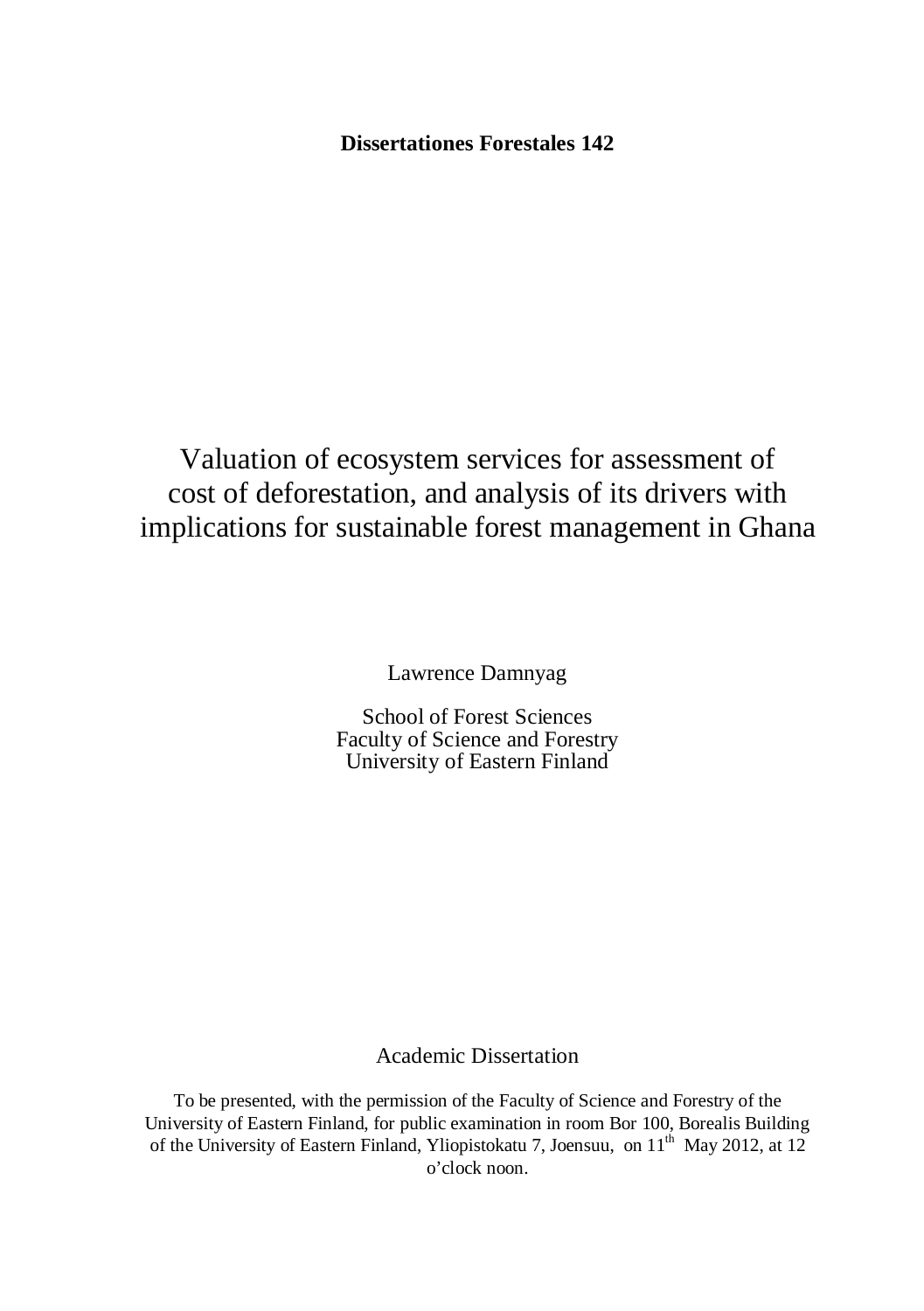**Dissertationes Forestales 142**

Valuation of ecosystem services for assessment of cost of deforestation, and analysis of its drivers with implications for sustainable forest management in Ghana

Lawrence Damnyag

School of Forest Sciences Faculty of Science and Forestry University of Eastern Finland

## Academic Dissertation

To be presented, with the permission of the Faculty of Science and Forestry of the University of Eastern Finland, for public examination in room Bor 100, Borealis Building of the University of Eastern Finland, Yliopistokatu 7, Joensuu, on  $11<sup>th</sup>$  May 2012, at 12 o'clock noon.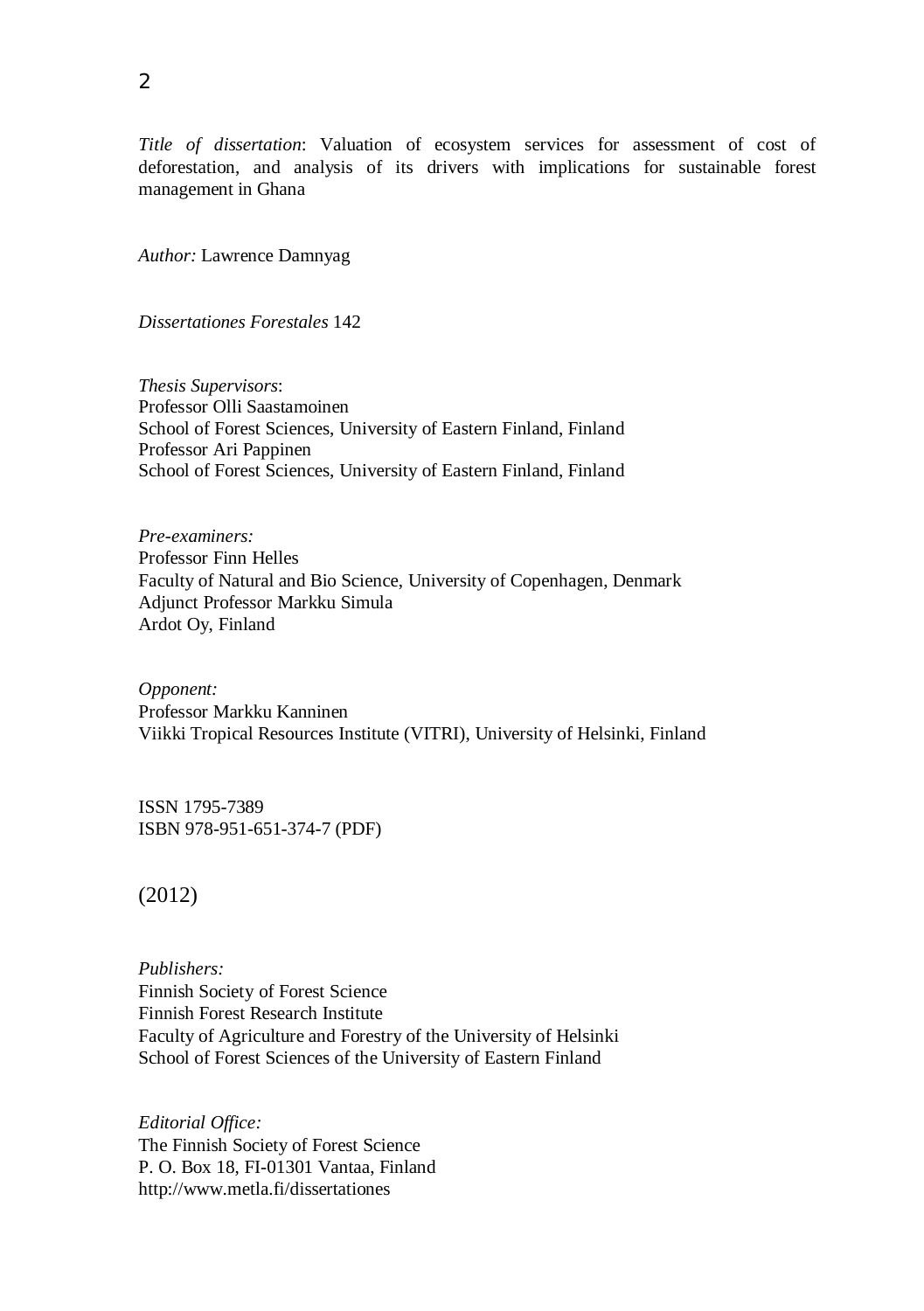*Title of dissertation*: Valuation of ecosystem services for assessment of cost of deforestation, and analysis of its drivers with implications for sustainable forest management in Ghana

*Author:* Lawrence Damnyag

*Dissertationes Forestales* 142

*Thesis Supervisors*: Professor Olli Saastamoinen School of Forest Sciences, University of Eastern Finland, Finland Professor Ari Pappinen School of Forest Sciences, University of Eastern Finland, Finland

*Pre-examiners:* Professor Finn Helles Faculty of Natural and Bio Science, University of Copenhagen, Denmark Adjunct Professor Markku Simula Ardot Oy, Finland

*Opponent:* Professor Markku Kanninen Viikki Tropical Resources Institute (VITRI), University of Helsinki, Finland

ISSN 1795-7389 ISBN 978-951-651-374-7 (PDF)

(2012)

*Publishers:* Finnish Society of Forest Science Finnish Forest Research Institute Faculty of Agriculture and Forestry of the University of Helsinki School of Forest Sciences of the University of Eastern Finland

*Editorial Office:* The Finnish Society of Forest Science P. O. Box 18, FI-01301 Vantaa, Finland http://www.metla.fi/dissertationes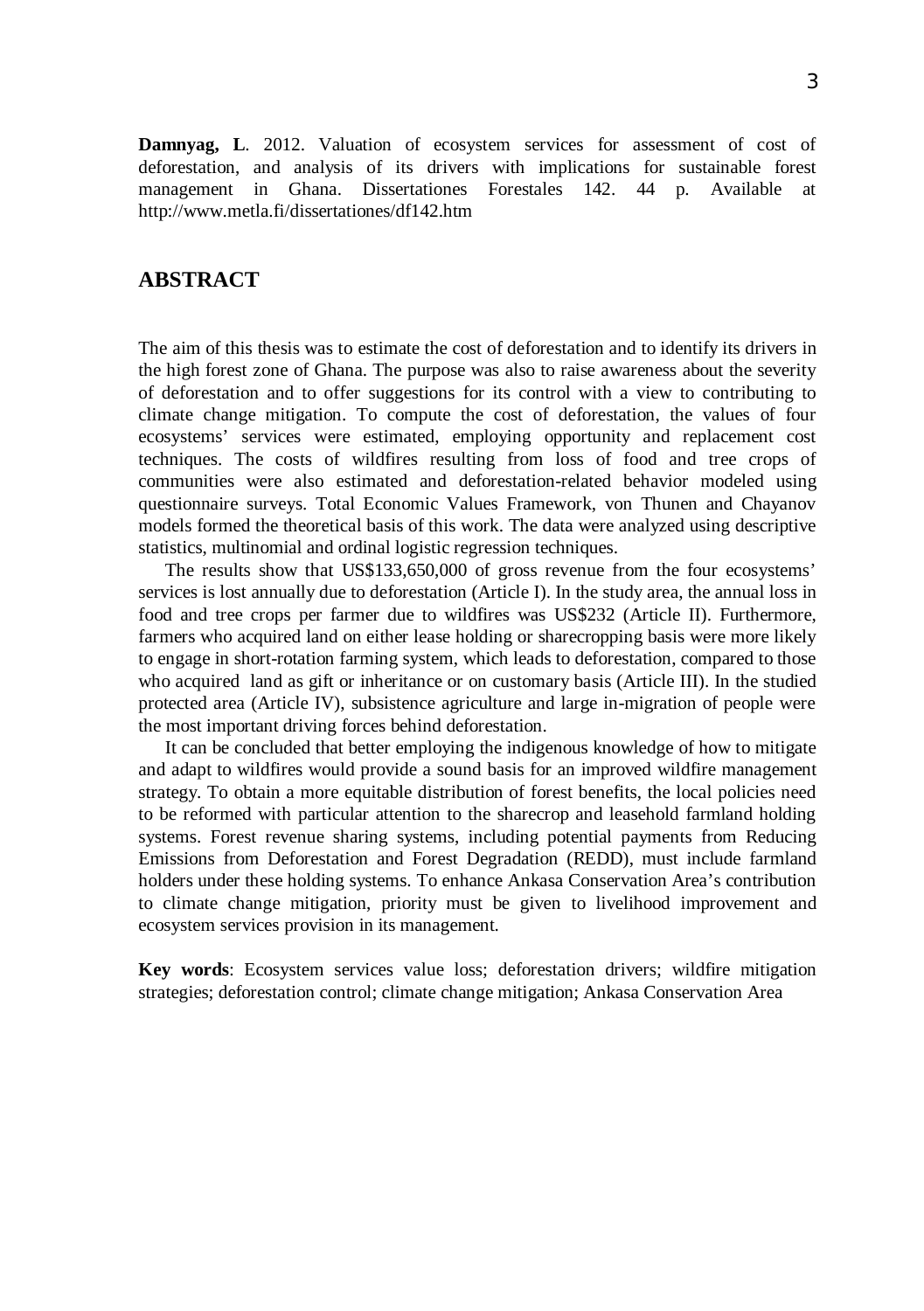**Damnyag, L**. 2012. Valuation of ecosystem services for assessment of cost of deforestation, and analysis of its drivers with implications for sustainable forest management in Ghana. Dissertationes Forestales 142. 44 p. Available at http://www.metla.fi/dissertationes/df142.htm

## **ABSTRACT**

The aim of this thesis was to estimate the cost of deforestation and to identify its drivers in the high forest zone of Ghana. The purpose was also to raise awareness about the severity of deforestation and to offer suggestions for its control with a view to contributing to climate change mitigation. To compute the cost of deforestation, the values of four ecosystems' services were estimated, employing opportunity and replacement cost techniques. The costs of wildfires resulting from loss of food and tree crops of communities were also estimated and deforestation-related behavior modeled using questionnaire surveys. Total Economic Values Framework, von Thunen and Chayanov models formed the theoretical basis of this work. The data were analyzed using descriptive statistics, multinomial and ordinal logistic regression techniques.

The results show that US\$133,650,000 of gross revenue from the four ecosystems' services is lost annually due to deforestation (Article I). In the study area, the annual loss in food and tree crops per farmer due to wildfires was US\$232 (Article II). Furthermore, farmers who acquired land on either lease holding or sharecropping basis were more likely to engage in short-rotation farming system, which leads to deforestation, compared to those who acquired land as gift or inheritance or on customary basis (Article III). In the studied protected area (Article IV), subsistence agriculture and large in-migration of people were the most important driving forces behind deforestation.

It can be concluded that better employing the indigenous knowledge of how to mitigate and adapt to wildfires would provide a sound basis for an improved wildfire management strategy. To obtain a more equitable distribution of forest benefits, the local policies need to be reformed with particular attention to the sharecrop and leasehold farmland holding systems. Forest revenue sharing systems, including potential payments from Reducing Emissions from Deforestation and Forest Degradation (REDD), must include farmland holders under these holding systems. To enhance Ankasa Conservation Area's contribution to climate change mitigation, priority must be given to livelihood improvement and ecosystem services provision in its management.

**Key words**: Ecosystem services value loss; deforestation drivers; wildfire mitigation strategies; deforestation control; climate change mitigation; Ankasa Conservation Area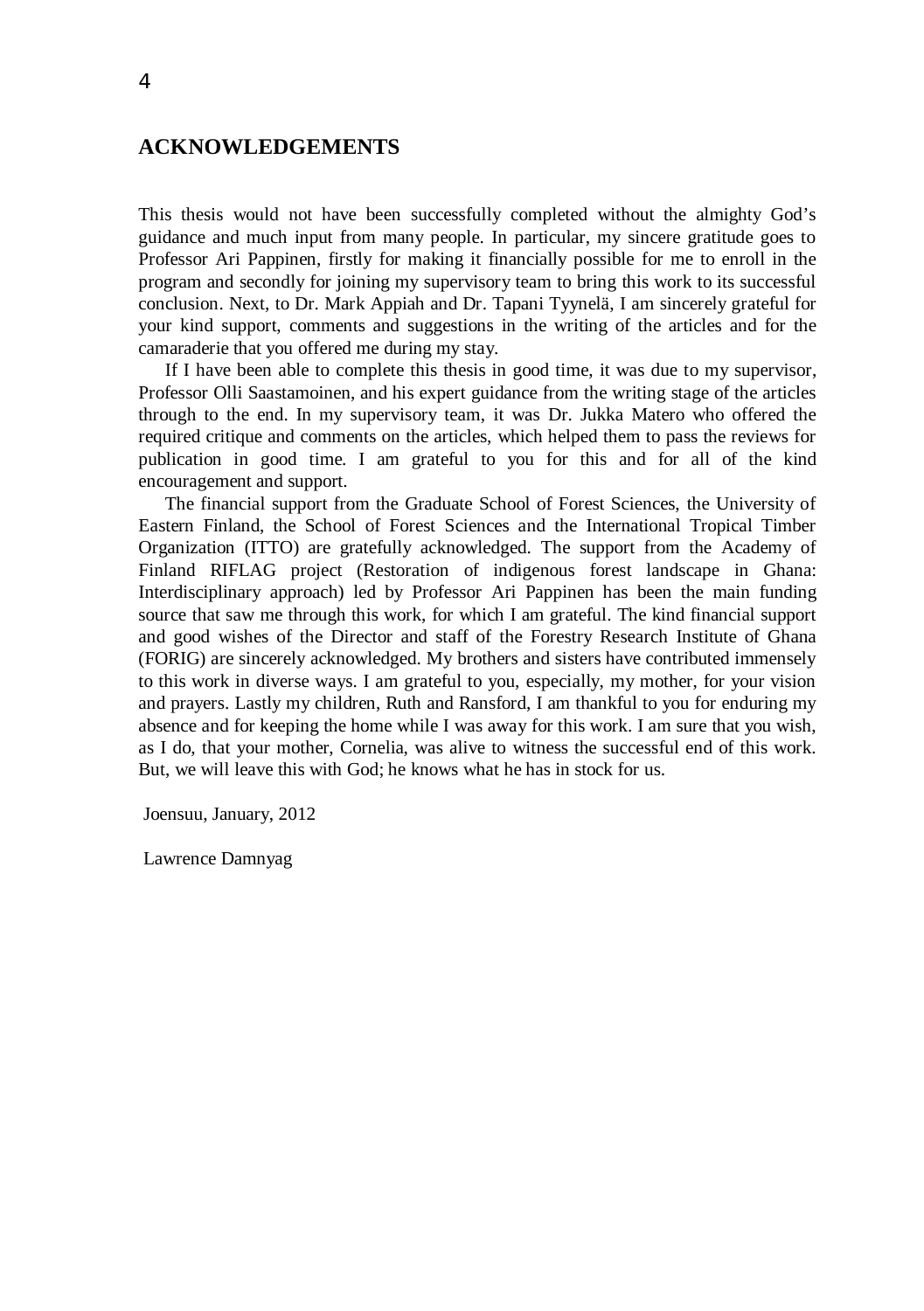## **ACKNOWLEDGEMENTS**

This thesis would not have been successfully completed without the almighty God's guidance and much input from many people. In particular, my sincere gratitude goes to Professor Ari Pappinen, firstly for making it financially possible for me to enroll in the program and secondly for joining my supervisory team to bring this work to its successful conclusion. Next, to Dr. Mark Appiah and Dr. Tapani Tyynelä, I am sincerely grateful for your kind support, comments and suggestions in the writing of the articles and for the camaraderie that you offered me during my stay.

If I have been able to complete this thesis in good time, it was due to my supervisor, Professor Olli Saastamoinen, and his expert guidance from the writing stage of the articles through to the end. In my supervisory team, it was Dr. Jukka Matero who offered the required critique and comments on the articles, which helped them to pass the reviews for publication in good time. I am grateful to you for this and for all of the kind encouragement and support.

The financial support from the Graduate School of Forest Sciences, the University of Eastern Finland, the School of Forest Sciences and the International Tropical Timber Organization (ITTO) are gratefully acknowledged. The support from the Academy of Finland RIFLAG project (Restoration of indigenous forest landscape in Ghana: Interdisciplinary approach) led by Professor Ari Pappinen has been the main funding source that saw me through this work, for which I am grateful. The kind financial support and good wishes of the Director and staff of the Forestry Research Institute of Ghana (FORIG) are sincerely acknowledged. My brothers and sisters have contributed immensely to this work in diverse ways. I am grateful to you, especially, my mother, for your vision and prayers. Lastly my children, Ruth and Ransford, I am thankful to you for enduring my absence and for keeping the home while I was away for this work. I am sure that you wish, as I do, that your mother, Cornelia, was alive to witness the successful end of this work. But, we will leave this with God; he knows what he has in stock for us.

Joensuu, January, 2012

Lawrence Damnyag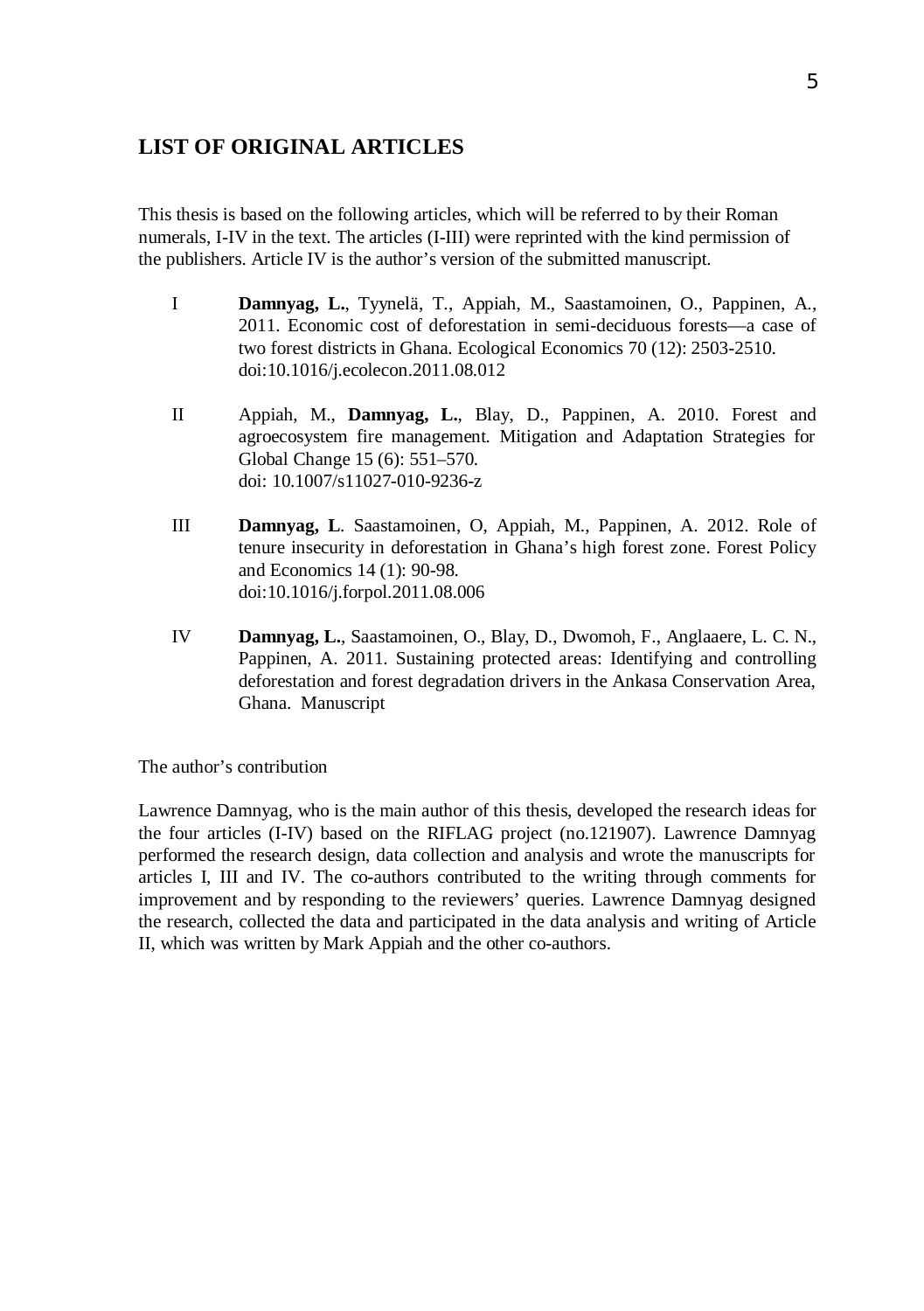## **LIST OF ORIGINAL ARTICLES**

This thesis is based on the following articles, which will be referred to by their Roman numerals, I-IV in the text. The articles (I-III) were reprinted with the kind permission of the publishers. Article IV is the author's version of the submitted manuscript.

- I **Damnyag, L.**, Tyynelä, T., Appiah, M., Saastamoinen, O., Pappinen, A., 2011. Economic cost of deforestation in semi-deciduous forests—a case of two forest districts in Ghana. Ecological Economics 70 (12): 2503-2510. doi:10.1016/j.ecolecon.2011.08.012
- II Appiah, M., **Damnyag, L.**, Blay, D., Pappinen, A. 2010. Forest and agroecosystem fire management. Mitigation and Adaptation Strategies for Global Change 15 (6): 551–570. doi: 10.1007/s11027-010-9236-z
- III **Damnyag, L**. Saastamoinen, O, Appiah, M., Pappinen, A. 2012. Role of tenure insecurity in deforestation in Ghana's high forest zone. Forest Policy and Economics 14 (1): 90-98. doi:10.1016/j.forpol.2011.08.006
- IV **Damnyag, L.**, Saastamoinen, O., Blay, D., Dwomoh, F., Anglaaere, L. C. N., Pappinen, A. 2011. Sustaining protected areas: Identifying and controlling deforestation and forest degradation drivers in the Ankasa Conservation Area, Ghana. Manuscript

The author's contribution

Lawrence Damnyag, who is the main author of this thesis, developed the research ideas for the four articles (I-IV) based on the RIFLAG project (no.121907). Lawrence Damnyag performed the research design, data collection and analysis and wrote the manuscripts for articles I, III and IV. The co-authors contributed to the writing through comments for improvement and by responding to the reviewers' queries. Lawrence Damnyag designed the research, collected the data and participated in the data analysis and writing of Article II, which was written by Mark Appiah and the other co-authors.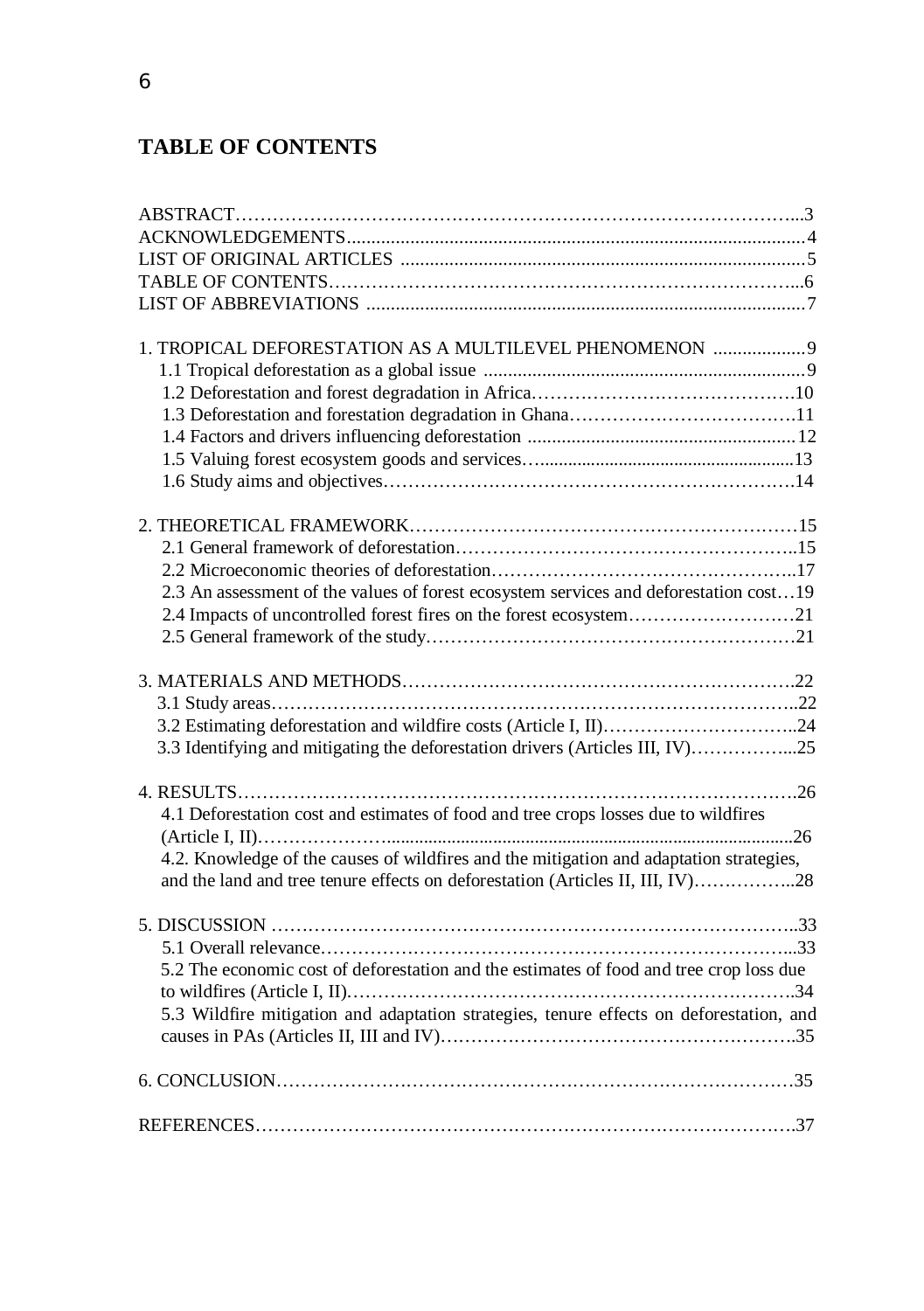# **TABLE OF CONTENTS**

| 1. TROPICAL DEFORESTATION AS A MULTILEVEL PHENOMENON  9                                 |  |
|-----------------------------------------------------------------------------------------|--|
|                                                                                         |  |
|                                                                                         |  |
|                                                                                         |  |
|                                                                                         |  |
|                                                                                         |  |
|                                                                                         |  |
|                                                                                         |  |
|                                                                                         |  |
|                                                                                         |  |
|                                                                                         |  |
| 2.3 An assessment of the values of forest ecosystem services and deforestation cost19   |  |
|                                                                                         |  |
|                                                                                         |  |
|                                                                                         |  |
|                                                                                         |  |
|                                                                                         |  |
|                                                                                         |  |
| 3.3 Identifying and mitigating the deforestation drivers (Articles III, IV)25           |  |
|                                                                                         |  |
|                                                                                         |  |
| 4.1 Deforestation cost and estimates of food and tree crops losses due to wildfires     |  |
|                                                                                         |  |
| 4.2. Knowledge of the causes of wildfires and the mitigation and adaptation strategies, |  |
| and the land and tree tenure effects on deforestation (Articles II, III, IV)28          |  |
|                                                                                         |  |
|                                                                                         |  |
|                                                                                         |  |
| 5.2 The economic cost of deforestation and the estimates of food and tree crop loss due |  |
|                                                                                         |  |
| 5.3 Wildfire mitigation and adaptation strategies, tenure effects on deforestation, and |  |
|                                                                                         |  |
|                                                                                         |  |
|                                                                                         |  |
|                                                                                         |  |
|                                                                                         |  |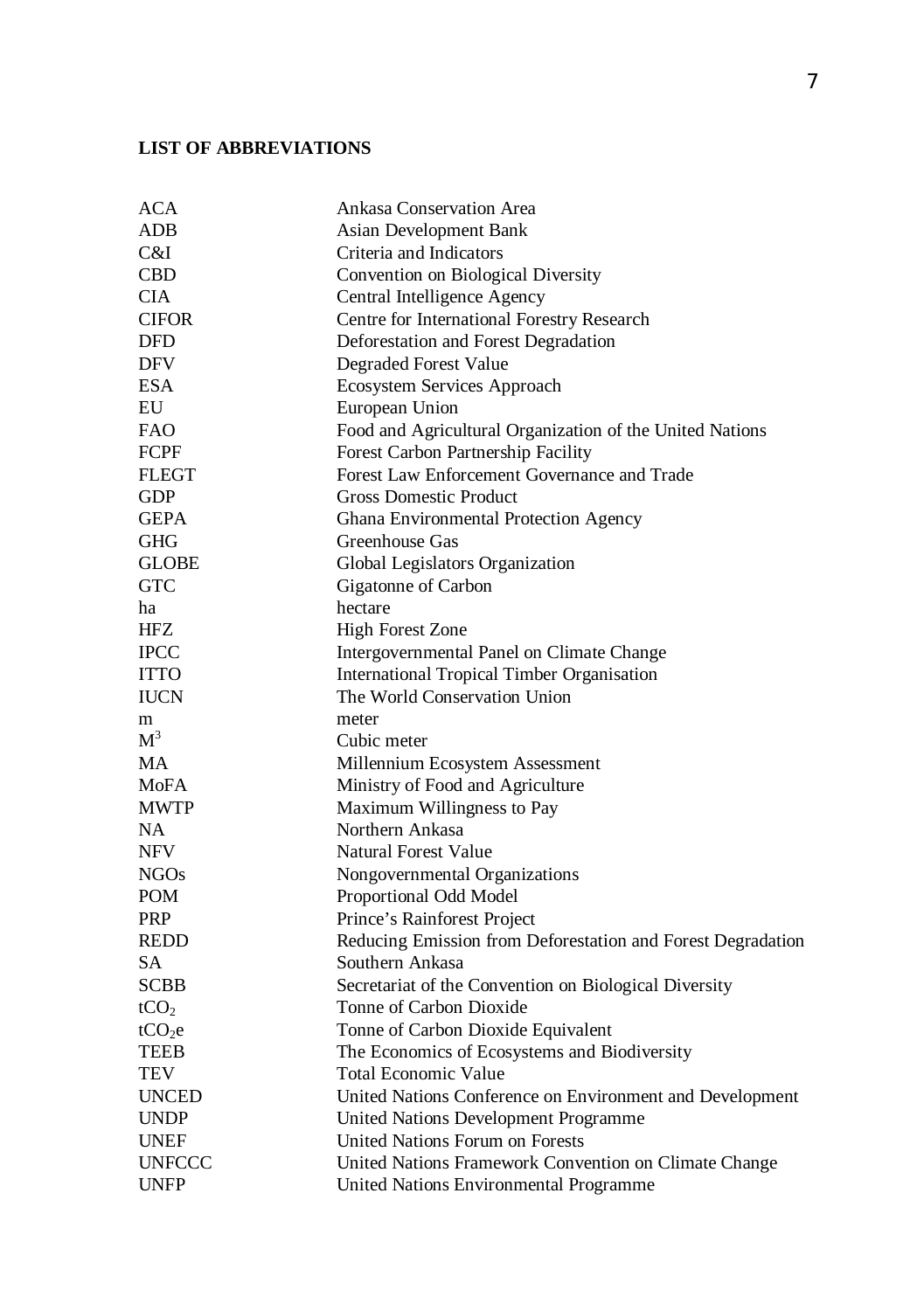## **LIST OF ABBREVIATIONS**

| <b>ACA</b>         | Ankasa Conservation Area                                    |
|--------------------|-------------------------------------------------------------|
| <b>ADB</b>         | <b>Asian Development Bank</b>                               |
| C&I                | Criteria and Indicators                                     |
| <b>CBD</b>         | Convention on Biological Diversity                          |
| <b>CIA</b>         | Central Intelligence Agency                                 |
| <b>CIFOR</b>       | Centre for International Forestry Research                  |
| <b>DFD</b>         | Deforestation and Forest Degradation                        |
| <b>DFV</b>         | <b>Degraded Forest Value</b>                                |
| <b>ESA</b>         | Ecosystem Services Approach                                 |
| EU                 | European Union                                              |
| <b>FAO</b>         | Food and Agricultural Organization of the United Nations    |
| <b>FCPF</b>        | Forest Carbon Partnership Facility                          |
| <b>FLEGT</b>       | Forest Law Enforcement Governance and Trade                 |
| <b>GDP</b>         | <b>Gross Domestic Product</b>                               |
| <b>GEPA</b>        | Ghana Environmental Protection Agency                       |
| <b>GHG</b>         | Greenhouse Gas                                              |
| <b>GLOBE</b>       | Global Legislators Organization                             |
| <b>GTC</b>         | Gigatonne of Carbon                                         |
| ha                 | hectare                                                     |
| <b>HFZ</b>         | <b>High Forest Zone</b>                                     |
| <b>IPCC</b>        | Intergovernmental Panel on Climate Change                   |
| <b>ITTO</b>        | <b>International Tropical Timber Organisation</b>           |
| <b>IUCN</b>        | The World Conservation Union                                |
| m                  | meter                                                       |
| M <sup>3</sup>     | Cubic meter                                                 |
| <b>MA</b>          | Millennium Ecosystem Assessment                             |
| <b>MoFA</b>        | Ministry of Food and Agriculture                            |
| <b>MWTP</b>        | Maximum Willingness to Pay                                  |
| NA                 | Northern Ankasa                                             |
| <b>NFV</b>         | <b>Natural Forest Value</b>                                 |
| <b>NGOs</b>        | Nongovernmental Organizations                               |
| <b>POM</b>         | Proportional Odd Model                                      |
| <b>PRP</b>         | Prince's Rainforest Project                                 |
| <b>REDD</b>        | Reducing Emission from Deforestation and Forest Degradation |
| <b>SA</b>          | Southern Ankasa                                             |
| <b>SCBB</b>        | Secretariat of the Convention on Biological Diversity       |
| tCO <sub>2</sub>   | Tonne of Carbon Dioxide                                     |
| tCO <sub>2</sub> e | Tonne of Carbon Dioxide Equivalent                          |
| <b>TEEB</b>        | The Economics of Ecosystems and Biodiversity                |
| TEV                | <b>Total Economic Value</b>                                 |
| <b>UNCED</b>       | United Nations Conference on Environment and Development    |
| <b>UNDP</b>        | United Nations Development Programme                        |
| <b>UNEF</b>        | <b>United Nations Forum on Forests</b>                      |
| <b>UNFCCC</b>      | United Nations Framework Convention on Climate Change       |
| <b>UNFP</b>        | United Nations Environmental Programme                      |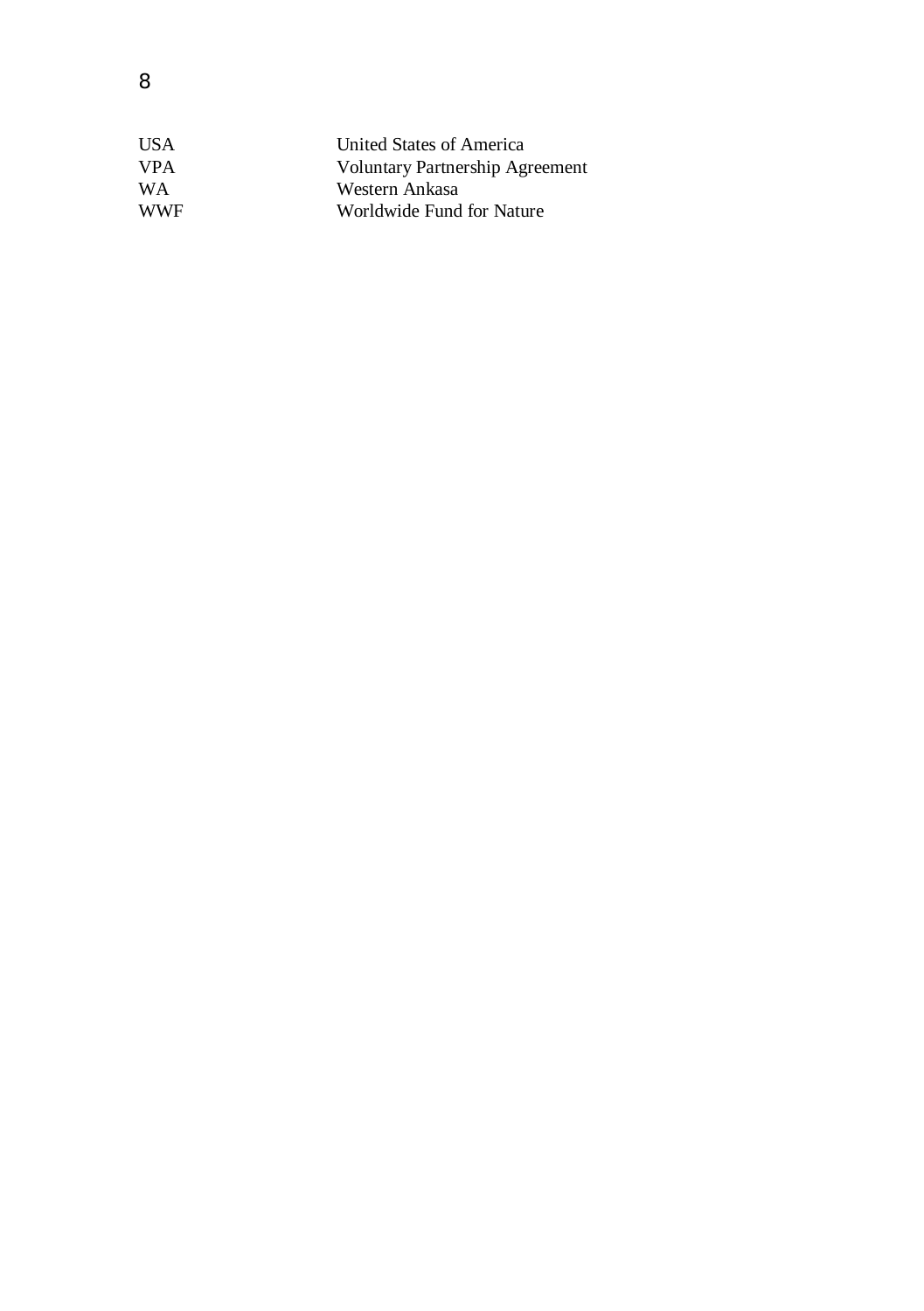| US A       | United States of America               |
|------------|----------------------------------------|
| <b>VPA</b> | <b>Voluntary Partnership Agreement</b> |
| <b>WA</b>  | Western Ankasa                         |
| <b>WWF</b> | Worldwide Fund for Nature              |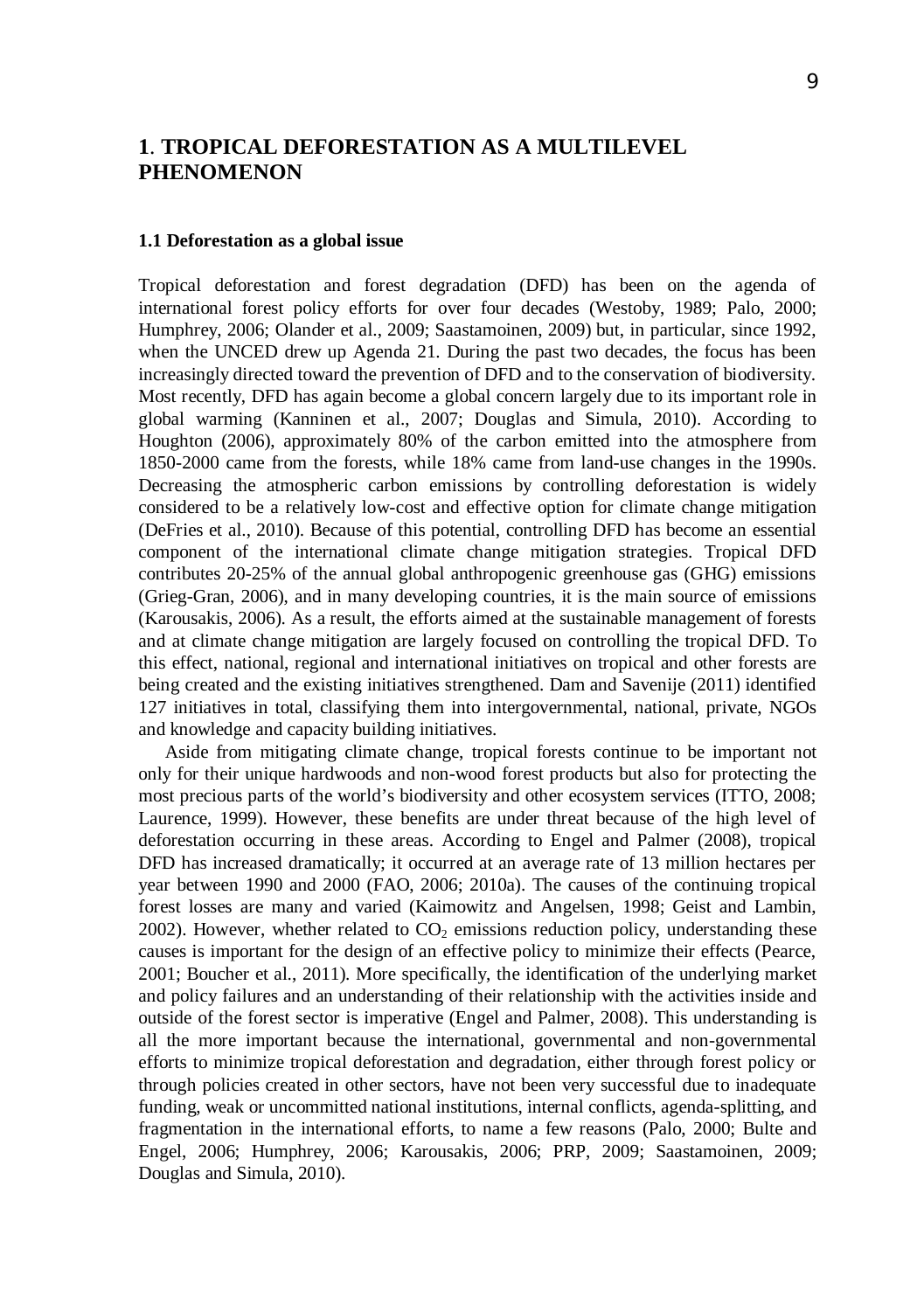## **1**. **TROPICAL DEFORESTATION AS A MULTILEVEL PHENOMENON**

#### **1.1 Deforestation as a global issue**

Tropical deforestation and forest degradation (DFD) has been on the agenda of international forest policy efforts for over four decades (Westoby, 1989; Palo, 2000; Humphrey, 2006; Olander et al., 2009; Saastamoinen, 2009) but, in particular, since 1992, when the UNCED drew up Agenda 21. During the past two decades, the focus has been increasingly directed toward the prevention of DFD and to the conservation of biodiversity. Most recently, DFD has again become a global concern largely due to its important role in global warming (Kanninen et al., 2007; Douglas and Simula, 2010). According to Houghton (2006), approximately 80% of the carbon emitted into the atmosphere from 1850-2000 came from the forests, while 18% came from land-use changes in the 1990s. Decreasing the atmospheric carbon emissions by controlling deforestation is widely considered to be a relatively low-cost and effective option for climate change mitigation (DeFries et al., 2010). Because of this potential, controlling DFD has become an essential component of the international climate change mitigation strategies. Tropical DFD contributes 20-25% of the annual global anthropogenic greenhouse gas (GHG) emissions (Grieg-Gran, 2006), and in many developing countries, it is the main source of emissions (Karousakis, 2006). As a result, the efforts aimed at the sustainable management of forests and at climate change mitigation are largely focused on controlling the tropical DFD. To this effect, national, regional and international initiatives on tropical and other forests are being created and the existing initiatives strengthened. Dam and Savenije (2011) identified 127 initiatives in total, classifying them into intergovernmental, national, private, NGOs and knowledge and capacity building initiatives.

Aside from mitigating climate change, tropical forests continue to be important not only for their unique hardwoods and non-wood forest products but also for protecting the most precious parts of the world's biodiversity and other ecosystem services (ITTO, 2008; Laurence, 1999). However, these benefits are under threat because of the high level of deforestation occurring in these areas. According to Engel and Palmer (2008), tropical DFD has increased dramatically; it occurred at an average rate of 13 million hectares per year between 1990 and 2000 (FAO, 2006; 2010a). The causes of the continuing tropical forest losses are many and varied (Kaimowitz and Angelsen, 1998; Geist and Lambin, 2002). However, whether related to  $CO<sub>2</sub>$  emissions reduction policy, understanding these causes is important for the design of an effective policy to minimize their effects (Pearce, 2001; Boucher et al., 2011). More specifically, the identification of the underlying market and policy failures and an understanding of their relationship with the activities inside and outside of the forest sector is imperative (Engel and Palmer, 2008). This understanding is all the more important because the international, governmental and non-governmental efforts to minimize tropical deforestation and degradation, either through forest policy or through policies created in other sectors, have not been very successful due to inadequate funding, weak or uncommitted national institutions, internal conflicts, agenda-splitting, and fragmentation in the international efforts, to name a few reasons (Palo, 2000; Bulte and Engel, 2006; Humphrey, 2006; Karousakis, 2006; PRP, 2009; Saastamoinen, 2009; Douglas and Simula, 2010).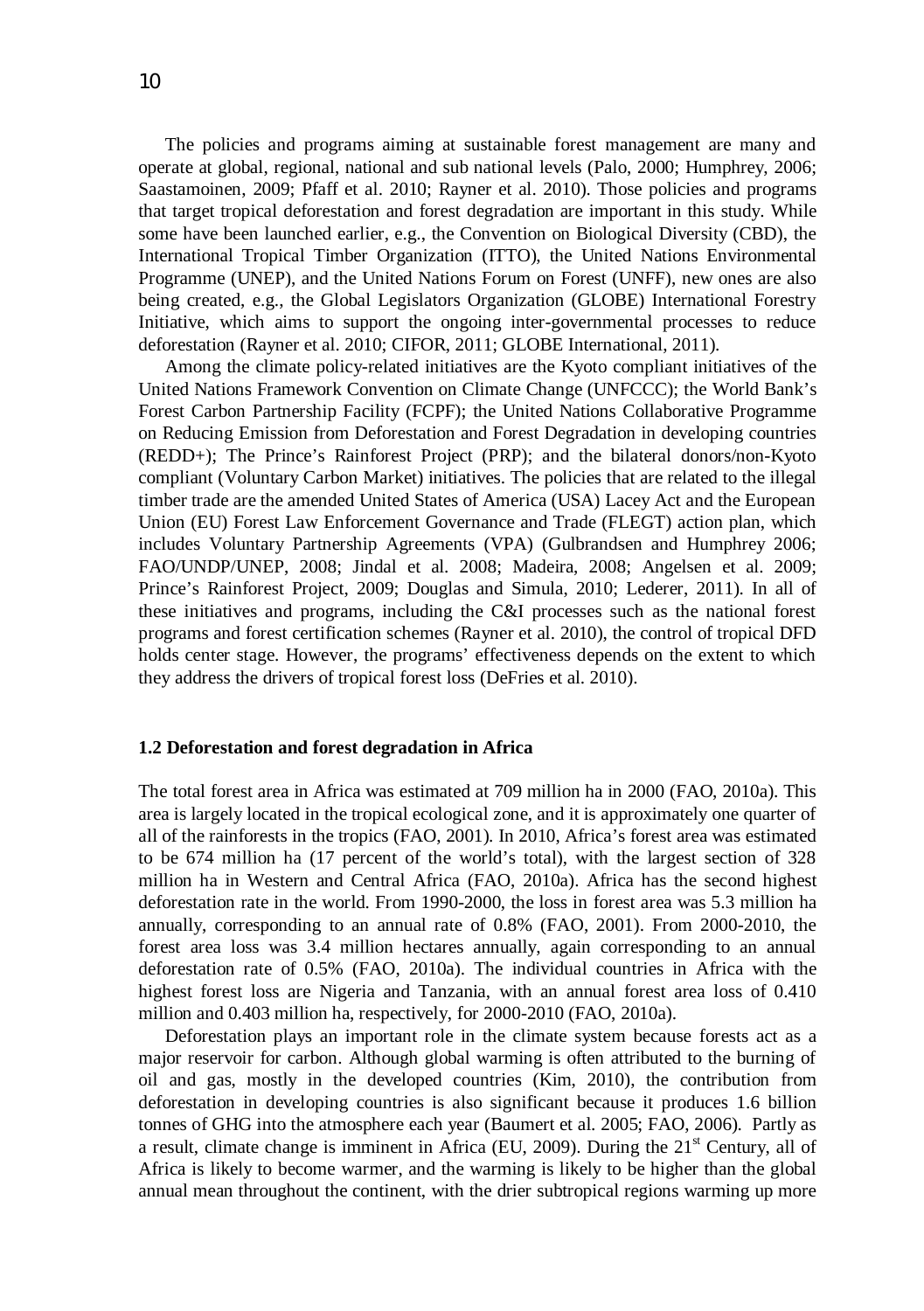The policies and programs aiming at sustainable forest management are many and operate at global, regional, national and sub national levels (Palo, 2000; Humphrey, 2006;

Saastamoinen, 2009; Pfaff et al. 2010; Rayner et al. 2010). Those policies and programs that target tropical deforestation and forest degradation are important in this study. While some have been launched earlier, e.g., the Convention on Biological Diversity (CBD), the International Tropical Timber Organization (ITTO), the United Nations Environmental Programme (UNEP), and the United Nations Forum on Forest (UNFF), new ones are also being created, e.g., the Global Legislators Organization (GLOBE) International Forestry Initiative, which aims to support the ongoing inter-governmental processes to reduce deforestation (Rayner et al. 2010; CIFOR, 2011; GLOBE International, 2011).

Among the climate policy-related initiatives are the Kyoto compliant initiatives of the United Nations Framework Convention on Climate Change (UNFCCC); the World Bank's Forest Carbon Partnership Facility (FCPF); the United Nations Collaborative Programme on Reducing Emission from Deforestation and Forest Degradation in developing countries (REDD+); The Prince's Rainforest Project (PRP); and the bilateral donors/non-Kyoto compliant (Voluntary Carbon Market) initiatives. The policies that are related to the illegal timber trade are the amended United States of America (USA) Lacey Act and the European Union (EU) Forest Law Enforcement Governance and Trade (FLEGT) action plan, which includes Voluntary Partnership Agreements (VPA) (Gulbrandsen and Humphrey 2006; FAO/UNDP/UNEP, 2008; Jindal et al. 2008; Madeira, 2008; Angelsen et al. 2009; Prince's Rainforest Project, 2009; Douglas and Simula, 2010; Lederer, 2011). In all of these initiatives and programs, including the C&I processes such as the national forest programs and forest certification schemes (Rayner et al. 2010), the control of tropical DFD holds center stage. However, the programs' effectiveness depends on the extent to which they address the drivers of tropical forest loss (DeFries et al. 2010).

#### **1.2 Deforestation and forest degradation in Africa**

The total forest area in Africa was estimated at 709 million ha in 2000 (FAO, 2010a). This area is largely located in the tropical ecological zone, and it is approximately one quarter of all of the rainforests in the tropics (FAO, 2001). In 2010, Africa's forest area was estimated to be 674 million ha (17 percent of the world's total), with the largest section of 328 million ha in Western and Central Africa (FAO, 2010a). Africa has the second highest deforestation rate in the world. From 1990-2000, the loss in forest area was 5.3 million ha annually, corresponding to an annual rate of 0.8% (FAO, 2001). From 2000-2010, the forest area loss was 3.4 million hectares annually, again corresponding to an annual deforestation rate of 0.5% (FAO, 2010a). The individual countries in Africa with the highest forest loss are Nigeria and Tanzania, with an annual forest area loss of 0.410 million and 0.403 million ha, respectively, for 2000-2010 (FAO, 2010a).

Deforestation plays an important role in the climate system because forests act as a major reservoir for carbon. Although global warming is often attributed to the burning of oil and gas, mostly in the developed countries (Kim, 2010), the contribution from deforestation in developing countries is also significant because it produces 1.6 billion tonnes of GHG into the atmosphere each year (Baumert et al. 2005; FAO, 2006). Partly as a result, climate change is imminent in Africa (EU, 2009). During the  $21<sup>st</sup>$  Century, all of Africa is likely to become warmer, and the warming is likely to be higher than the global annual mean throughout the continent, with the drier subtropical regions warming up more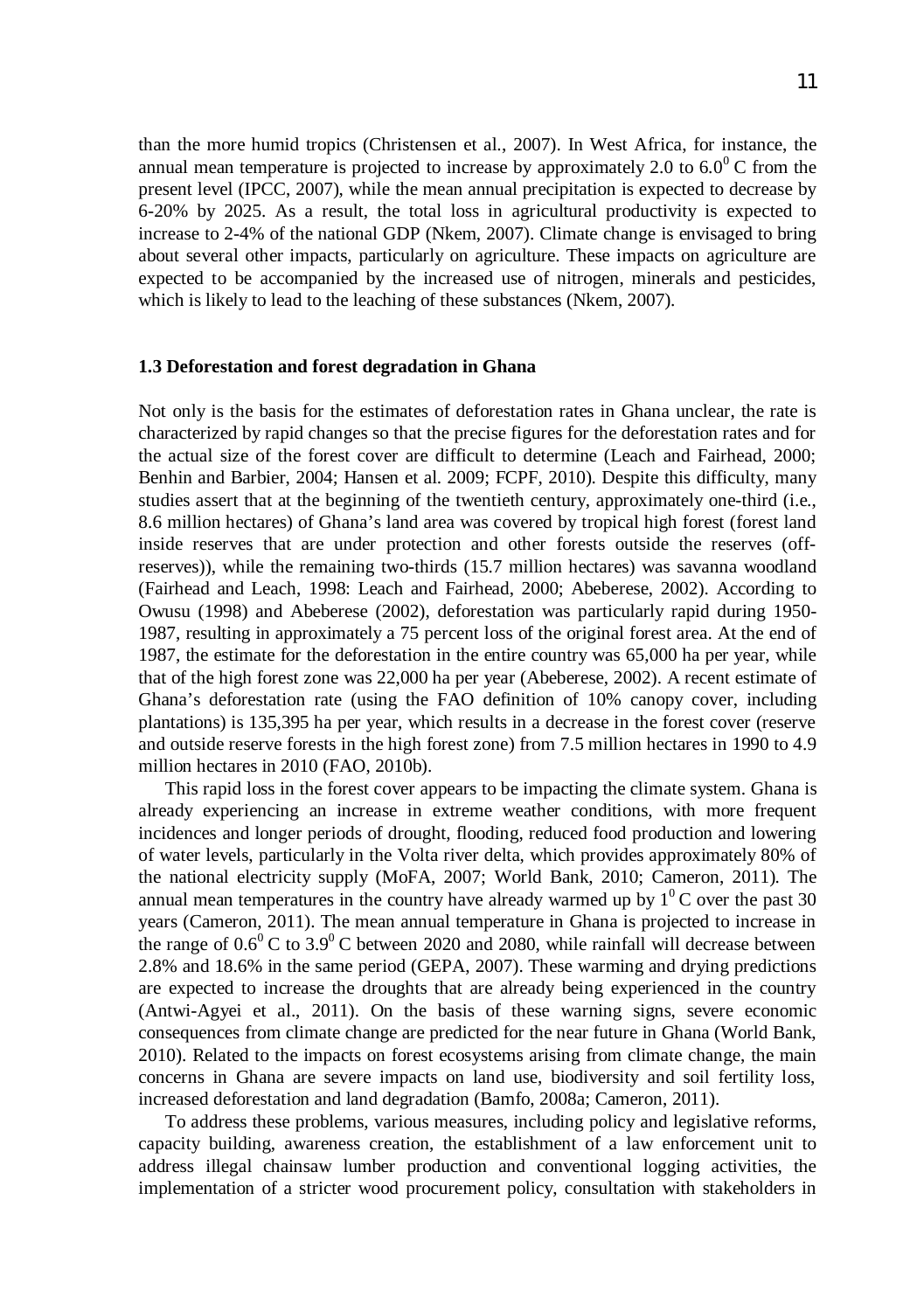than the more humid tropics (Christensen et al., 2007). In West Africa, for instance, the annual mean temperature is projected to increase by approximately 2.0 to  $6.0^{\circ}$  C from the present level (IPCC, 2007), while the mean annual precipitation is expected to decrease by 6-20% by 2025. As a result, the total loss in agricultural productivity is expected to increase to 2-4% of the national GDP (Nkem, 2007). Climate change is envisaged to bring about several other impacts, particularly on agriculture. These impacts on agriculture are expected to be accompanied by the increased use of nitrogen, minerals and pesticides, which is likely to lead to the leaching of these substances (Nkem, 2007).

#### **1.3 Deforestation and forest degradation in Ghana**

Not only is the basis for the estimates of deforestation rates in Ghana unclear, the rate is characterized by rapid changes so that the precise figures for the deforestation rates and for the actual size of the forest cover are difficult to determine (Leach and Fairhead, 2000; Benhin and Barbier, 2004; Hansen et al. 2009; FCPF, 2010). Despite this difficulty, many studies assert that at the beginning of the twentieth century, approximately one-third (i.e., 8.6 million hectares) of Ghana's land area was covered by tropical high forest (forest land inside reserves that are under protection and other forests outside the reserves (offreserves)), while the remaining two-thirds (15.7 million hectares) was savanna woodland (Fairhead and Leach, 1998: Leach and Fairhead, 2000; Abeberese, 2002). According to Owusu (1998) and Abeberese (2002), deforestation was particularly rapid during 1950- 1987, resulting in approximately a 75 percent loss of the original forest area. At the end of 1987, the estimate for the deforestation in the entire country was 65,000 ha per year, while that of the high forest zone was 22,000 ha per year (Abeberese, 2002). A recent estimate of Ghana's deforestation rate (using the FAO definition of 10% canopy cover, including plantations) is 135,395 ha per year, which results in a decrease in the forest cover (reserve and outside reserve forests in the high forest zone) from 7.5 million hectares in 1990 to 4.9 million hectares in 2010 (FAO, 2010b).

This rapid loss in the forest cover appears to be impacting the climate system. Ghana is already experiencing an increase in extreme weather conditions, with more frequent incidences and longer periods of drought, flooding, reduced food production and lowering of water levels, particularly in the Volta river delta, which provides approximately 80% of the national electricity supply (MoFA, 2007; World Bank, 2010; Cameron, 2011). The annual mean temperatures in the country have already warmed up by  $1^0$ C over the past 30 years (Cameron, 2011). The mean annual temperature in Ghana is projected to increase in the range of  $0.6^{\circ}$  C to 3.9<sup>o</sup> C between 2020 and 2080, while rainfall will decrease between 2.8% and 18.6% in the same period (GEPA, 2007). These warming and drying predictions are expected to increase the droughts that are already being experienced in the country (Antwi-Agyei et al., 2011). On the basis of these warning signs, severe economic consequences from climate change are predicted for the near future in Ghana (World Bank, 2010). Related to the impacts on forest ecosystems arising from climate change, the main concerns in Ghana are severe impacts on land use, biodiversity and soil fertility loss, increased deforestation and land degradation (Bamfo, 2008a; Cameron, 2011).

To address these problems, various measures, including policy and legislative reforms, capacity building, awareness creation, the establishment of a law enforcement unit to address illegal chainsaw lumber production and conventional logging activities, the implementation of a stricter wood procurement policy, consultation with stakeholders in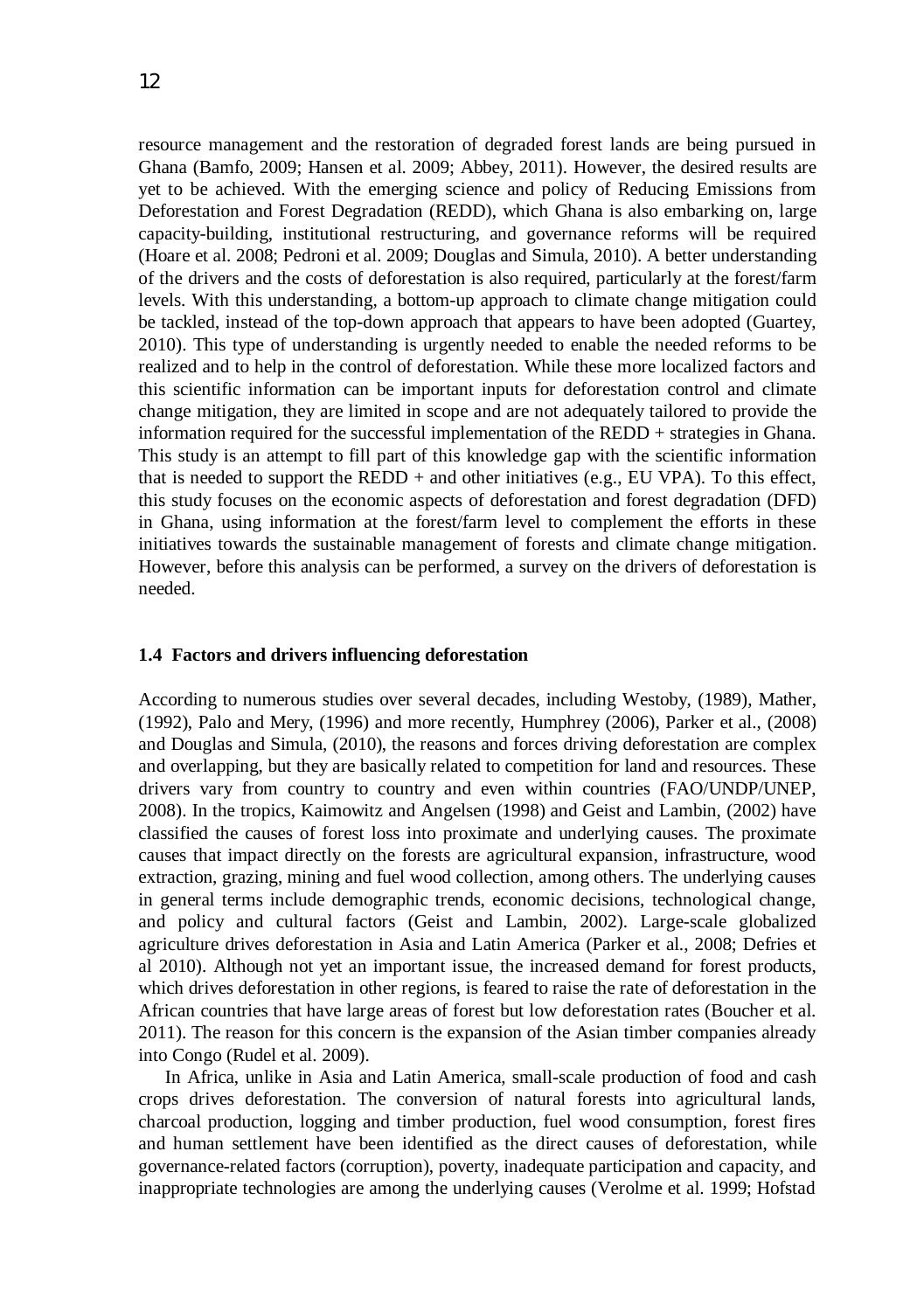resource management and the restoration of degraded forest lands are being pursued in Ghana (Bamfo, 2009; Hansen et al. 2009; Abbey, 2011). However, the desired results are yet to be achieved. With the emerging science and policy of Reducing Emissions from Deforestation and Forest Degradation (REDD), which Ghana is also embarking on, large capacity-building, institutional restructuring, and governance reforms will be required (Hoare et al. 2008; Pedroni et al. 2009; Douglas and Simula, 2010). A better understanding of the drivers and the costs of deforestation is also required, particularly at the forest/farm levels. With this understanding, a bottom-up approach to climate change mitigation could be tackled, instead of the top-down approach that appears to have been adopted (Guartey, 2010). This type of understanding is urgently needed to enable the needed reforms to be realized and to help in the control of deforestation. While these more localized factors and this scientific information can be important inputs for deforestation control and climate change mitigation, they are limited in scope and are not adequately tailored to provide the information required for the successful implementation of the REDD + strategies in Ghana. This study is an attempt to fill part of this knowledge gap with the scientific information that is needed to support the REDD  $+$  and other initiatives (e.g., EU VPA). To this effect, this study focuses on the economic aspects of deforestation and forest degradation (DFD) in Ghana, using information at the forest/farm level to complement the efforts in these initiatives towards the sustainable management of forests and climate change mitigation. However, before this analysis can be performed, a survey on the drivers of deforestation is needed.

#### **1.4 Factors and drivers influencing deforestation**

According to numerous studies over several decades, including Westoby, (1989), Mather, (1992), Palo and Mery, (1996) and more recently, Humphrey (2006), Parker et al., (2008) and Douglas and Simula, (2010), the reasons and forces driving deforestation are complex and overlapping, but they are basically related to competition for land and resources. These drivers vary from country to country and even within countries (FAO/UNDP/UNEP, 2008). In the tropics, Kaimowitz and Angelsen (1998) and Geist and Lambin, (2002) have classified the causes of forest loss into proximate and underlying causes. The proximate causes that impact directly on the forests are agricultural expansion, infrastructure, wood extraction, grazing, mining and fuel wood collection, among others. The underlying causes in general terms include demographic trends, economic decisions, technological change, and policy and cultural factors (Geist and Lambin, 2002). Large-scale globalized agriculture drives deforestation in Asia and Latin America (Parker et al., 2008; Defries et al 2010). Although not yet an important issue, the increased demand for forest products, which drives deforestation in other regions, is feared to raise the rate of deforestation in the African countries that have large areas of forest but low deforestation rates (Boucher et al. 2011). The reason for this concern is the expansion of the Asian timber companies already into Congo (Rudel et al. 2009).

In Africa, unlike in Asia and Latin America, small-scale production of food and cash crops drives deforestation. The conversion of natural forests into agricultural lands, charcoal production, logging and timber production, fuel wood consumption, forest fires and human settlement have been identified as the direct causes of deforestation, while governance-related factors (corruption), poverty, inadequate participation and capacity, and inappropriate technologies are among the underlying causes (Verolme et al. 1999; Hofstad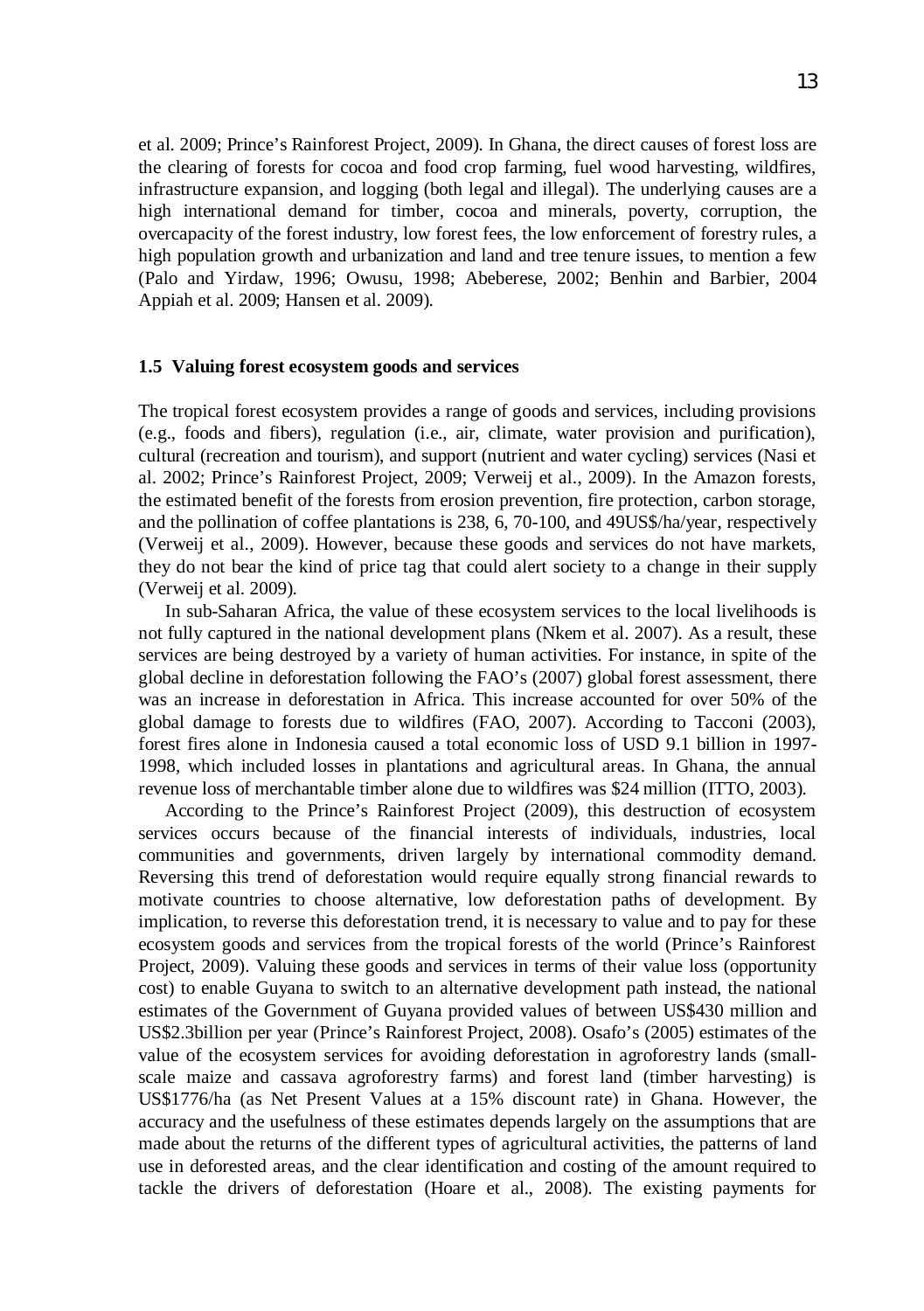et al. 2009; Prince's Rainforest Project, 2009). In Ghana, the direct causes of forest loss are the clearing of forests for cocoa and food crop farming, fuel wood harvesting, wildfires, infrastructure expansion, and logging (both legal and illegal). The underlying causes are a high international demand for timber, cocoa and minerals, poverty, corruption, the overcapacity of the forest industry, low forest fees, the low enforcement of forestry rules, a high population growth and urbanization and land and tree tenure issues, to mention a few (Palo and Yirdaw, 1996; Owusu, 1998; Abeberese, 2002; Benhin and Barbier, 2004 Appiah et al. 2009; Hansen et al. 2009).

#### **1.5 Valuing forest ecosystem goods and services**

The tropical forest ecosystem provides a range of goods and services, including provisions (e.g., foods and fibers), regulation (i.e., air, climate, water provision and purification), cultural (recreation and tourism), and support (nutrient and water cycling) services (Nasi et al. 2002; Prince's Rainforest Project, 2009; Verweij et al., 2009). In the Amazon forests, the estimated benefit of the forests from erosion prevention, fire protection, carbon storage, and the pollination of coffee plantations is 238, 6, 70-100, and 49US\$/ha/year, respectively (Verweij et al., 2009). However, because these goods and services do not have markets, they do not bear the kind of price tag that could alert society to a change in their supply (Verweij et al. 2009).

In sub-Saharan Africa, the value of these ecosystem services to the local livelihoods is not fully captured in the national development plans (Nkem et al. 2007). As a result, these services are being destroyed by a variety of human activities. For instance, in spite of the global decline in deforestation following the FAO's (2007) global forest assessment, there was an increase in deforestation in Africa. This increase accounted for over 50% of the global damage to forests due to wildfires (FAO, 2007). According to Tacconi (2003), forest fires alone in Indonesia caused a total economic loss of USD 9.1 billion in 1997- 1998, which included losses in plantations and agricultural areas. In Ghana, the annual revenue loss of merchantable timber alone due to wildfires was \$24 million (ITTO, 2003).

According to the Prince's Rainforest Project (2009), this destruction of ecosystem services occurs because of the financial interests of individuals, industries, local communities and governments, driven largely by international commodity demand. Reversing this trend of deforestation would require equally strong financial rewards to motivate countries to choose alternative, low deforestation paths of development. By implication, to reverse this deforestation trend, it is necessary to value and to pay for these ecosystem goods and services from the tropical forests of the world (Prince's Rainforest Project, 2009). Valuing these goods and services in terms of their value loss (opportunity cost) to enable Guyana to switch to an alternative development path instead, the national estimates of the Government of Guyana provided values of between US\$430 million and US\$2.3billion per year (Prince's Rainforest Project, 2008). Osafo's (2005) estimates of the value of the ecosystem services for avoiding deforestation in agroforestry lands (smallscale maize and cassava agroforestry farms) and forest land (timber harvesting) is US\$1776/ha (as Net Present Values at a 15% discount rate) in Ghana. However, the accuracy and the usefulness of these estimates depends largely on the assumptions that are made about the returns of the different types of agricultural activities, the patterns of land use in deforested areas, and the clear identification and costing of the amount required to tackle the drivers of deforestation (Hoare et al., 2008). The existing payments for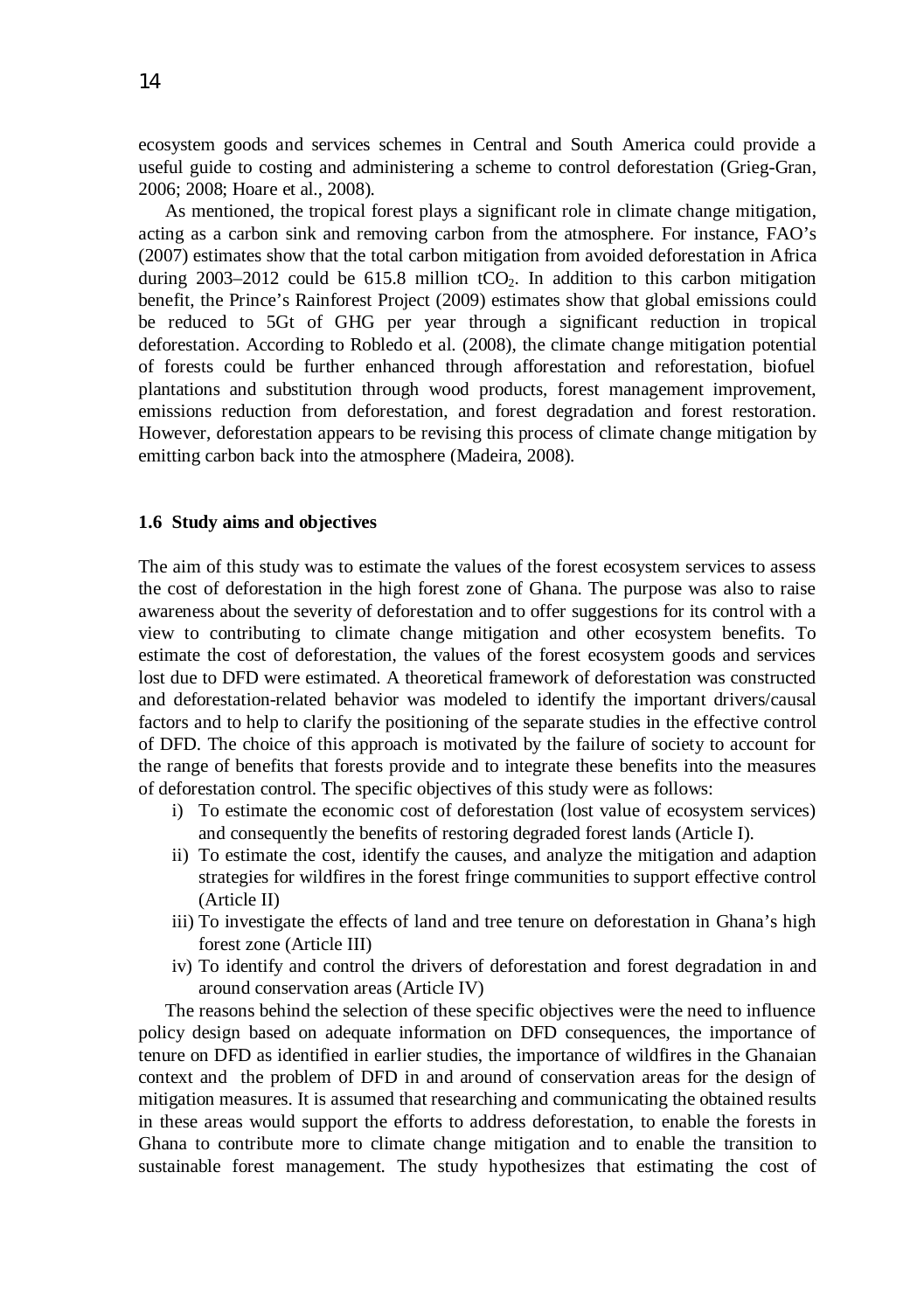ecosystem goods and services schemes in Central and South America could provide a useful guide to costing and administering a scheme to control deforestation (Grieg-Gran, 2006; 2008; Hoare et al., 2008).

As mentioned, the tropical forest plays a significant role in climate change mitigation, acting as a carbon sink and removing carbon from the atmosphere. For instance, FAO's (2007) estimates show that the total carbon mitigation from avoided deforestation in Africa during  $2003-2012$  could be 615.8 million tCO<sub>2</sub>. In addition to this carbon mitigation benefit, the Prince's Rainforest Project (2009) estimates show that global emissions could be reduced to 5Gt of GHG per year through a significant reduction in tropical deforestation. According to Robledo et al. (2008), the climate change mitigation potential of forests could be further enhanced through afforestation and reforestation, biofuel plantations and substitution through wood products, forest management improvement, emissions reduction from deforestation, and forest degradation and forest restoration. However, deforestation appears to be revising this process of climate change mitigation by emitting carbon back into the atmosphere (Madeira, 2008).

#### **1.6 Study aims and objectives**

The aim of this study was to estimate the values of the forest ecosystem services to assess the cost of deforestation in the high forest zone of Ghana. The purpose was also to raise awareness about the severity of deforestation and to offer suggestions for its control with a view to contributing to climate change mitigation and other ecosystem benefits. To estimate the cost of deforestation, the values of the forest ecosystem goods and services lost due to DFD were estimated. A theoretical framework of deforestation was constructed and deforestation-related behavior was modeled to identify the important drivers/causal factors and to help to clarify the positioning of the separate studies in the effective control of DFD. The choice of this approach is motivated by the failure of society to account for the range of benefits that forests provide and to integrate these benefits into the measures of deforestation control. The specific objectives of this study were as follows:

- i) To estimate the economic cost of deforestation (lost value of ecosystem services) and consequently the benefits of restoring degraded forest lands (Article I).
- ii) To estimate the cost, identify the causes, and analyze the mitigation and adaption strategies for wildfires in the forest fringe communities to support effective control (Article II)
- iii) To investigate the effects of land and tree tenure on deforestation in Ghana's high forest zone (Article III)
- iv) To identify and control the drivers of deforestation and forest degradation in and around conservation areas (Article IV)

The reasons behind the selection of these specific objectives were the need to influence policy design based on adequate information on DFD consequences, the importance of tenure on DFD as identified in earlier studies, the importance of wildfires in the Ghanaian context and the problem of DFD in and around of conservation areas for the design of mitigation measures. It is assumed that researching and communicating the obtained results in these areas would support the efforts to address deforestation, to enable the forests in Ghana to contribute more to climate change mitigation and to enable the transition to sustainable forest management. The study hypothesizes that estimating the cost of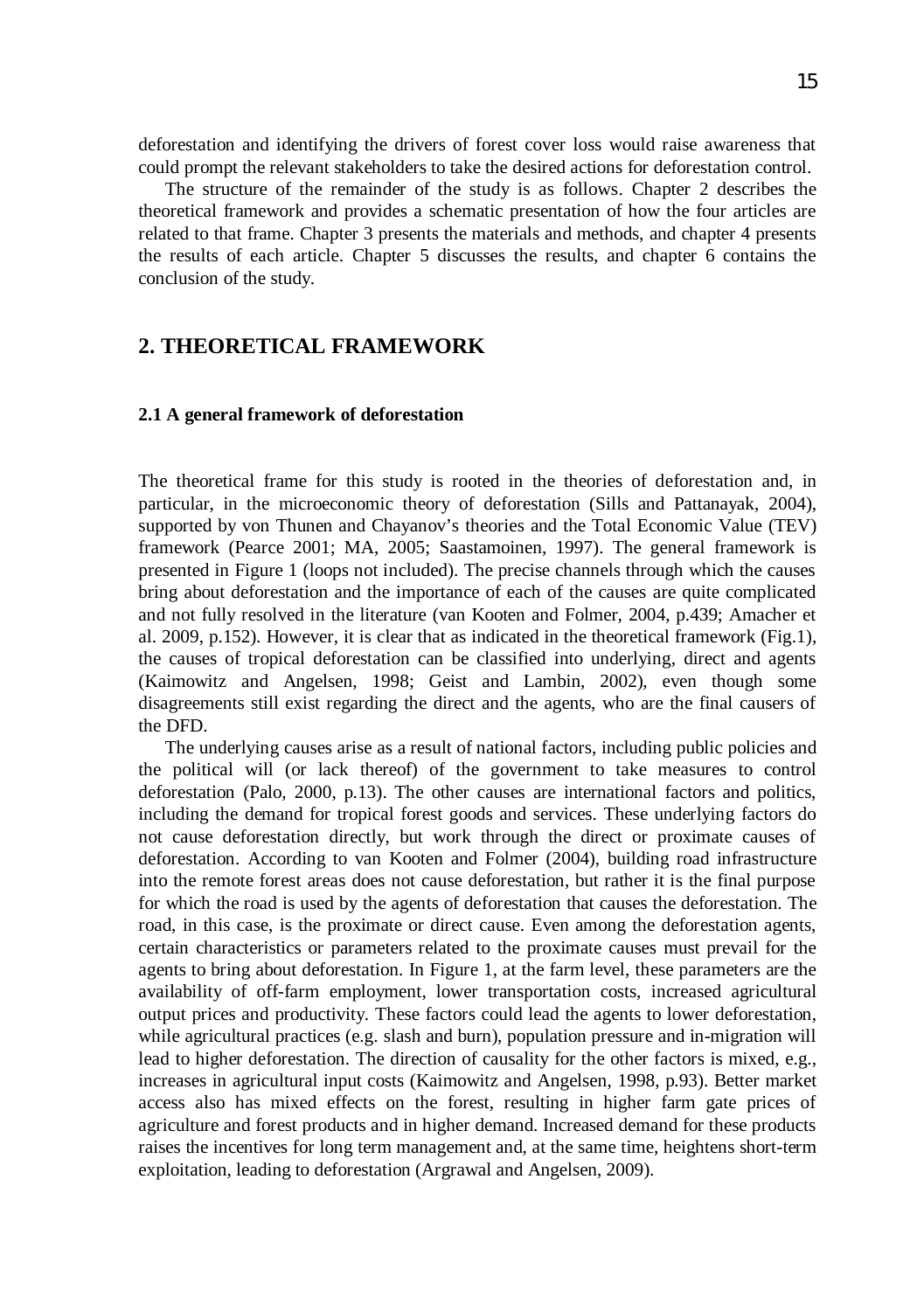deforestation and identifying the drivers of forest cover loss would raise awareness that could prompt the relevant stakeholders to take the desired actions for deforestation control.

The structure of the remainder of the study is as follows. Chapter 2 describes the theoretical framework and provides a schematic presentation of how the four articles are related to that frame. Chapter 3 presents the materials and methods, and chapter 4 presents the results of each article. Chapter 5 discusses the results, and chapter 6 contains the conclusion of the study.

## **2. THEORETICAL FRAMEWORK**

#### **2.1 A general framework of deforestation**

The theoretical frame for this study is rooted in the theories of deforestation and, in particular, in the microeconomic theory of deforestation (Sills and Pattanayak, 2004), supported by von Thunen and Chayanov's theories and the Total Economic Value (TEV) framework (Pearce 2001; MA, 2005; Saastamoinen, 1997). The general framework is presented in Figure 1 (loops not included). The precise channels through which the causes bring about deforestation and the importance of each of the causes are quite complicated and not fully resolved in the literature (van Kooten and Folmer, 2004, p.439; Amacher et al. 2009, p.152). However, it is clear that as indicated in the theoretical framework (Fig.1), the causes of tropical deforestation can be classified into underlying, direct and agents (Kaimowitz and Angelsen, 1998; Geist and Lambin, 2002), even though some disagreements still exist regarding the direct and the agents, who are the final causers of the DFD.

The underlying causes arise as a result of national factors, including public policies and the political will (or lack thereof) of the government to take measures to control deforestation (Palo, 2000, p.13). The other causes are international factors and politics, including the demand for tropical forest goods and services. These underlying factors do not cause deforestation directly, but work through the direct or proximate causes of deforestation. According to van Kooten and Folmer (2004), building road infrastructure into the remote forest areas does not cause deforestation, but rather it is the final purpose for which the road is used by the agents of deforestation that causes the deforestation. The road, in this case, is the proximate or direct cause. Even among the deforestation agents, certain characteristics or parameters related to the proximate causes must prevail for the agents to bring about deforestation. In Figure 1, at the farm level, these parameters are the availability of off-farm employment, lower transportation costs, increased agricultural output prices and productivity. These factors could lead the agents to lower deforestation, while agricultural practices (e.g. slash and burn), population pressure and in-migration will lead to higher deforestation. The direction of causality for the other factors is mixed, e.g., increases in agricultural input costs (Kaimowitz and Angelsen, 1998, p.93). Better market access also has mixed effects on the forest, resulting in higher farm gate prices of agriculture and forest products and in higher demand. Increased demand for these products raises the incentives for long term management and, at the same time, heightens short-term exploitation, leading to deforestation (Argrawal and Angelsen, 2009).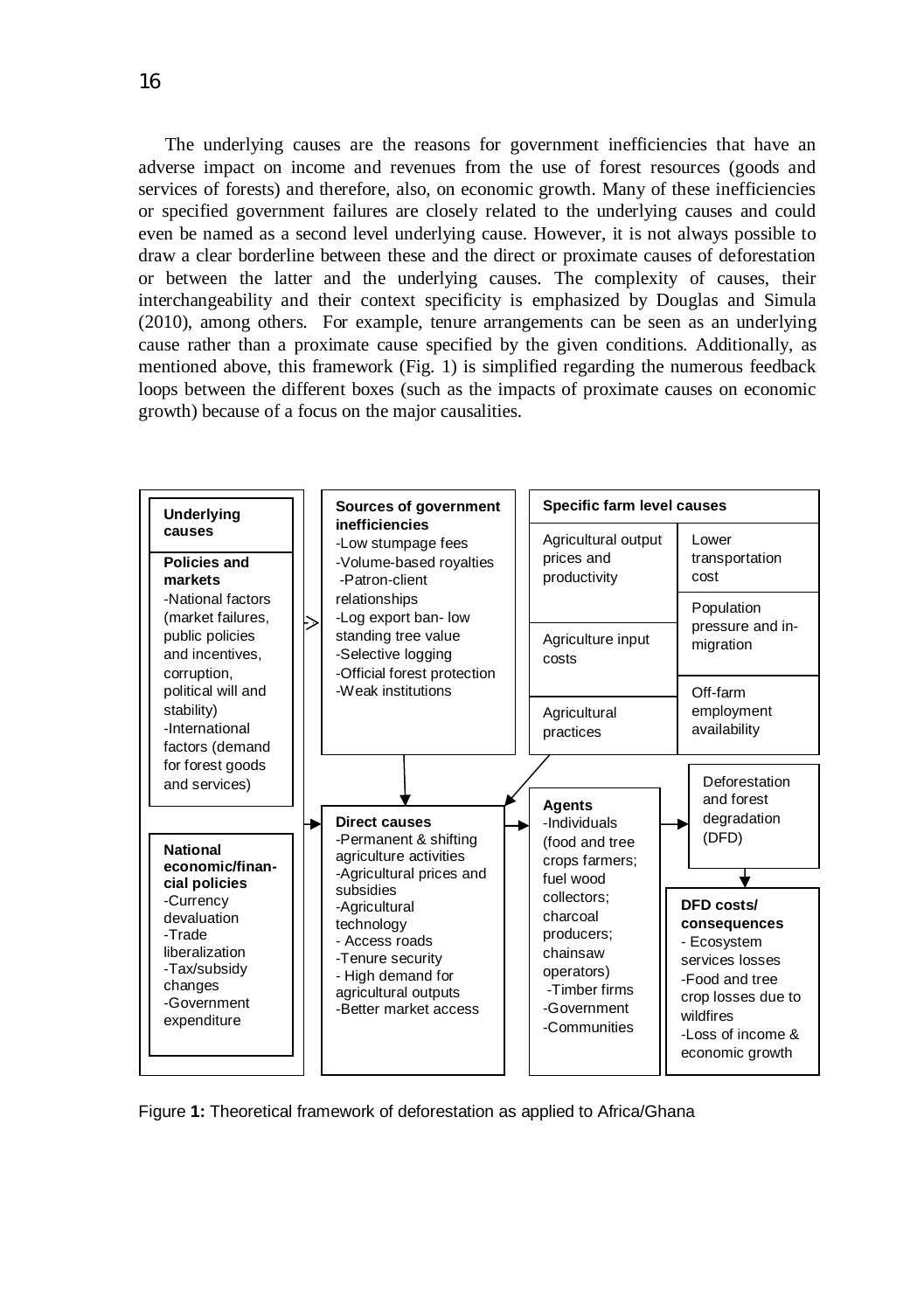The underlying causes are the reasons for government inefficiencies that have an adverse impact on income and revenues from the use of forest resources (goods and services of forests) and therefore, also, on economic growth. Many of these inefficiencies or specified government failures are closely related to the underlying causes and could even be named as a second level underlying cause. However, it is not always possible to draw a clear borderline between these and the direct or proximate causes of deforestation or between the latter and the underlying causes. The complexity of causes, their interchangeability and their context specificity is emphasized by Douglas and Simula (2010), among others. For example, tenure arrangements can be seen as an underlying cause rather than a proximate cause specified by the given conditions. Additionally, as mentioned above, this framework (Fig. 1) is simplified regarding the numerous feedback loops between the different boxes (such as the impacts of proximate causes on economic growth) because of a focus on the major causalities.



Figure **1:** Theoretical framework of deforestation as applied to Africa/Ghana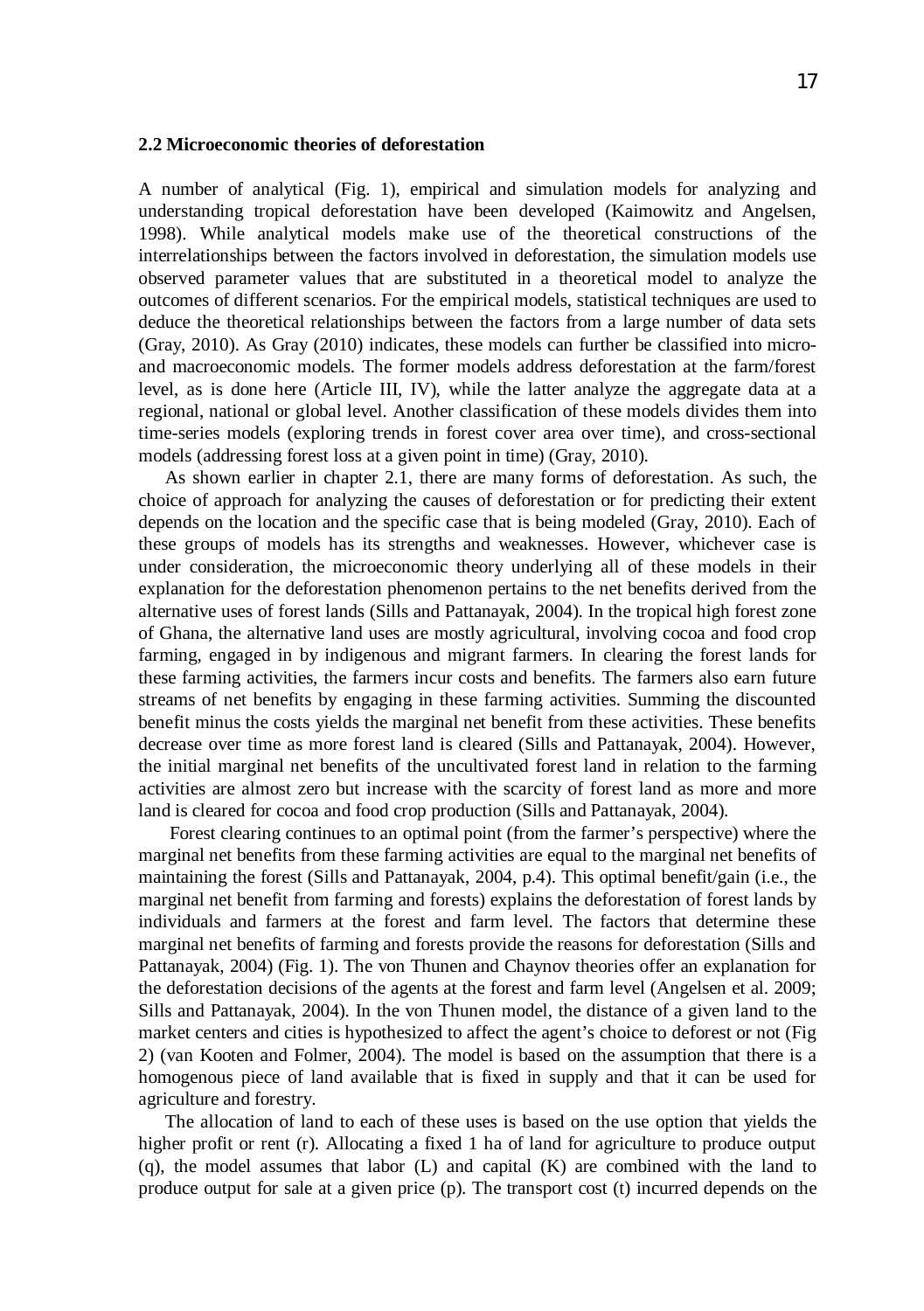#### **2.2 Microeconomic theories of deforestation**

A number of analytical (Fig. 1), empirical and simulation models for analyzing and understanding tropical deforestation have been developed (Kaimowitz and Angelsen, 1998). While analytical models make use of the theoretical constructions of the interrelationships between the factors involved in deforestation, the simulation models use observed parameter values that are substituted in a theoretical model to analyze the outcomes of different scenarios. For the empirical models, statistical techniques are used to deduce the theoretical relationships between the factors from a large number of data sets (Gray, 2010). As Gray (2010) indicates, these models can further be classified into microand macroeconomic models. The former models address deforestation at the farm/forest level, as is done here (Article III, IV), while the latter analyze the aggregate data at a regional, national or global level. Another classification of these models divides them into time-series models (exploring trends in forest cover area over time), and cross-sectional models (addressing forest loss at a given point in time) (Gray, 2010).

As shown earlier in chapter 2.1, there are many forms of deforestation. As such, the choice of approach for analyzing the causes of deforestation or for predicting their extent depends on the location and the specific case that is being modeled (Gray, 2010). Each of these groups of models has its strengths and weaknesses. However, whichever case is under consideration, the microeconomic theory underlying all of these models in their explanation for the deforestation phenomenon pertains to the net benefits derived from the alternative uses of forest lands (Sills and Pattanayak, 2004). In the tropical high forest zone of Ghana, the alternative land uses are mostly agricultural, involving cocoa and food crop farming, engaged in by indigenous and migrant farmers. In clearing the forest lands for these farming activities, the farmers incur costs and benefits. The farmers also earn future streams of net benefits by engaging in these farming activities. Summing the discounted benefit minus the costs yields the marginal net benefit from these activities. These benefits decrease over time as more forest land is cleared (Sills and Pattanayak, 2004). However, the initial marginal net benefits of the uncultivated forest land in relation to the farming activities are almost zero but increase with the scarcity of forest land as more and more land is cleared for cocoa and food crop production (Sills and Pattanayak, 2004).

 Forest clearing continues to an optimal point (from the farmer's perspective) where the marginal net benefits from these farming activities are equal to the marginal net benefits of maintaining the forest (Sills and Pattanayak, 2004, p.4). This optimal benefit/gain (i.e., the marginal net benefit from farming and forests) explains the deforestation of forest lands by individuals and farmers at the forest and farm level. The factors that determine these marginal net benefits of farming and forests provide the reasons for deforestation (Sills and Pattanayak, 2004) (Fig. 1). The von Thunen and Chaynov theories offer an explanation for the deforestation decisions of the agents at the forest and farm level (Angelsen et al. 2009; Sills and Pattanayak, 2004). In the von Thunen model, the distance of a given land to the market centers and cities is hypothesized to affect the agent's choice to deforest or not (Fig 2) (van Kooten and Folmer, 2004). The model is based on the assumption that there is a homogenous piece of land available that is fixed in supply and that it can be used for agriculture and forestry.

The allocation of land to each of these uses is based on the use option that yields the higher profit or rent (r). Allocating a fixed 1 ha of land for agriculture to produce output (q), the model assumes that labor (L) and capital (K) are combined with the land to produce output for sale at a given price (p). The transport cost (t) incurred depends on the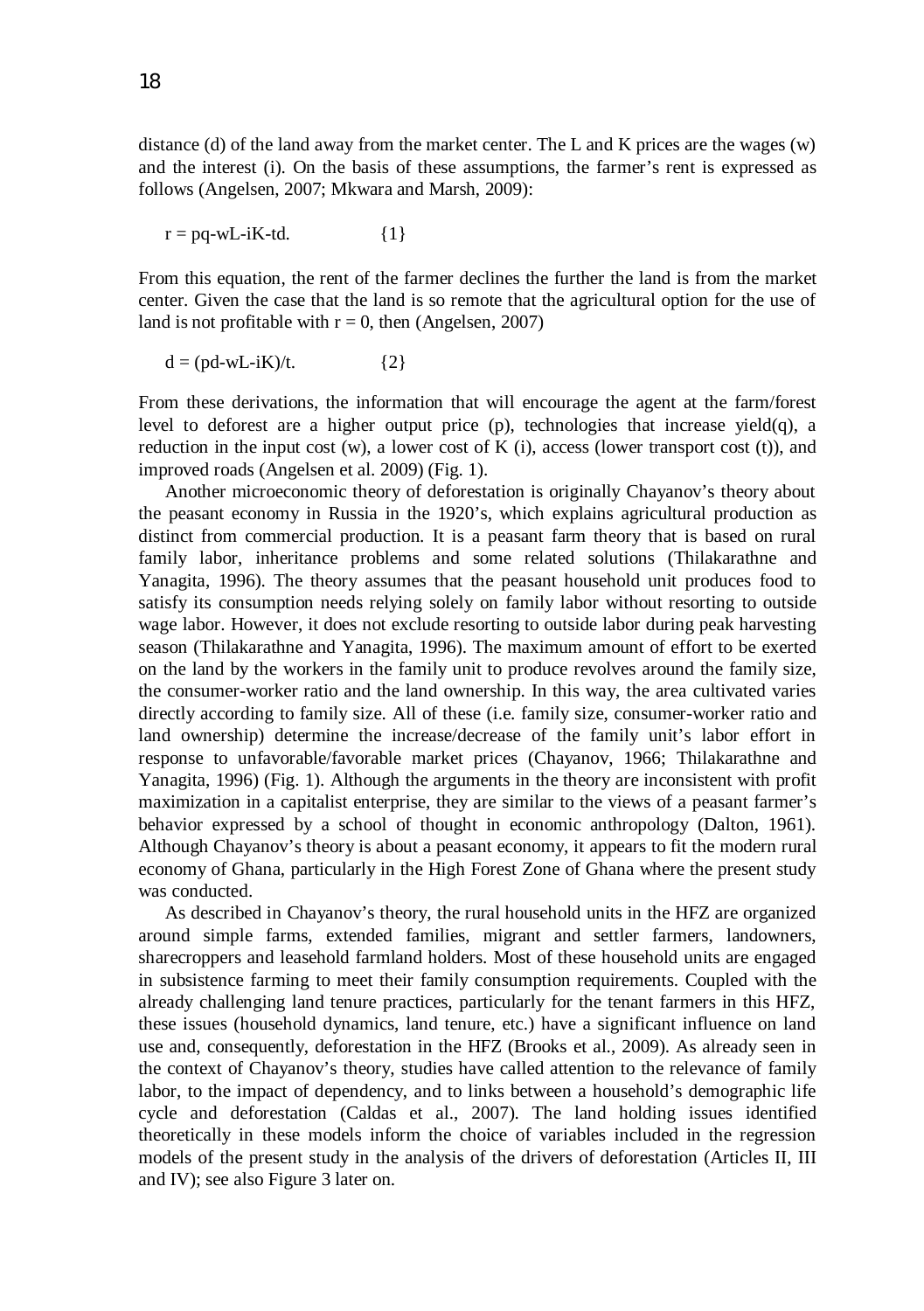distance (d) of the land away from the market center. The L and K prices are the wages (w) and the interest (i). On the basis of these assumptions, the farmer's rent is expressed as follows (Angelsen, 2007; Mkwara and Marsh, 2009):

 $r = pq-wL-iK-td.$  {1}

From this equation, the rent of the farmer declines the further the land is from the market center. Given the case that the land is so remote that the agricultural option for the use of land is not profitable with  $r = 0$ , then (Angelsen, 2007)

$$
d = (pd-wL-iK)/t.
$$
 (2)

From these derivations, the information that will encourage the agent at the farm/forest level to deforest are a higher output price (p), technologies that increase yield(q), a reduction in the input cost  $(w)$ , a lower cost of K  $(i)$ , access (lower transport cost  $(t)$ ), and improved roads (Angelsen et al. 2009) (Fig. 1).

Another microeconomic theory of deforestation is originally Chayanov's theory about the peasant economy in Russia in the 1920's, which explains agricultural production as distinct from commercial production. It is a peasant farm theory that is based on rural family labor, inheritance problems and some related solutions (Thilakarathne and Yanagita, 1996). The theory assumes that the peasant household unit produces food to satisfy its consumption needs relying solely on family labor without resorting to outside wage labor. However, it does not exclude resorting to outside labor during peak harvesting season (Thilakarathne and Yanagita, 1996). The maximum amount of effort to be exerted on the land by the workers in the family unit to produce revolves around the family size, the consumer-worker ratio and the land ownership. In this way, the area cultivated varies directly according to family size. All of these (i.e. family size, consumer-worker ratio and land ownership) determine the increase/decrease of the family unit's labor effort in response to unfavorable/favorable market prices (Chayanov, 1966; Thilakarathne and Yanagita, 1996) (Fig. 1). Although the arguments in the theory are inconsistent with profit maximization in a capitalist enterprise, they are similar to the views of a peasant farmer's behavior expressed by a school of thought in economic anthropology (Dalton, 1961). Although Chayanov's theory is about a peasant economy, it appears to fit the modern rural economy of Ghana, particularly in the High Forest Zone of Ghana where the present study was conducted.

As described in Chayanov's theory, the rural household units in the HFZ are organized around simple farms, extended families, migrant and settler farmers, landowners, sharecroppers and leasehold farmland holders. Most of these household units are engaged in subsistence farming to meet their family consumption requirements. Coupled with the already challenging land tenure practices, particularly for the tenant farmers in this HFZ, these issues (household dynamics, land tenure, etc.) have a significant influence on land use and, consequently, deforestation in the HFZ (Brooks et al., 2009). As already seen in the context of Chayanov's theory, studies have called attention to the relevance of family labor, to the impact of dependency, and to links between a household's demographic life cycle and deforestation (Caldas et al., 2007). The land holding issues identified theoretically in these models inform the choice of variables included in the regression models of the present study in the analysis of the drivers of deforestation (Articles II, III and IV); see also Figure 3 later on.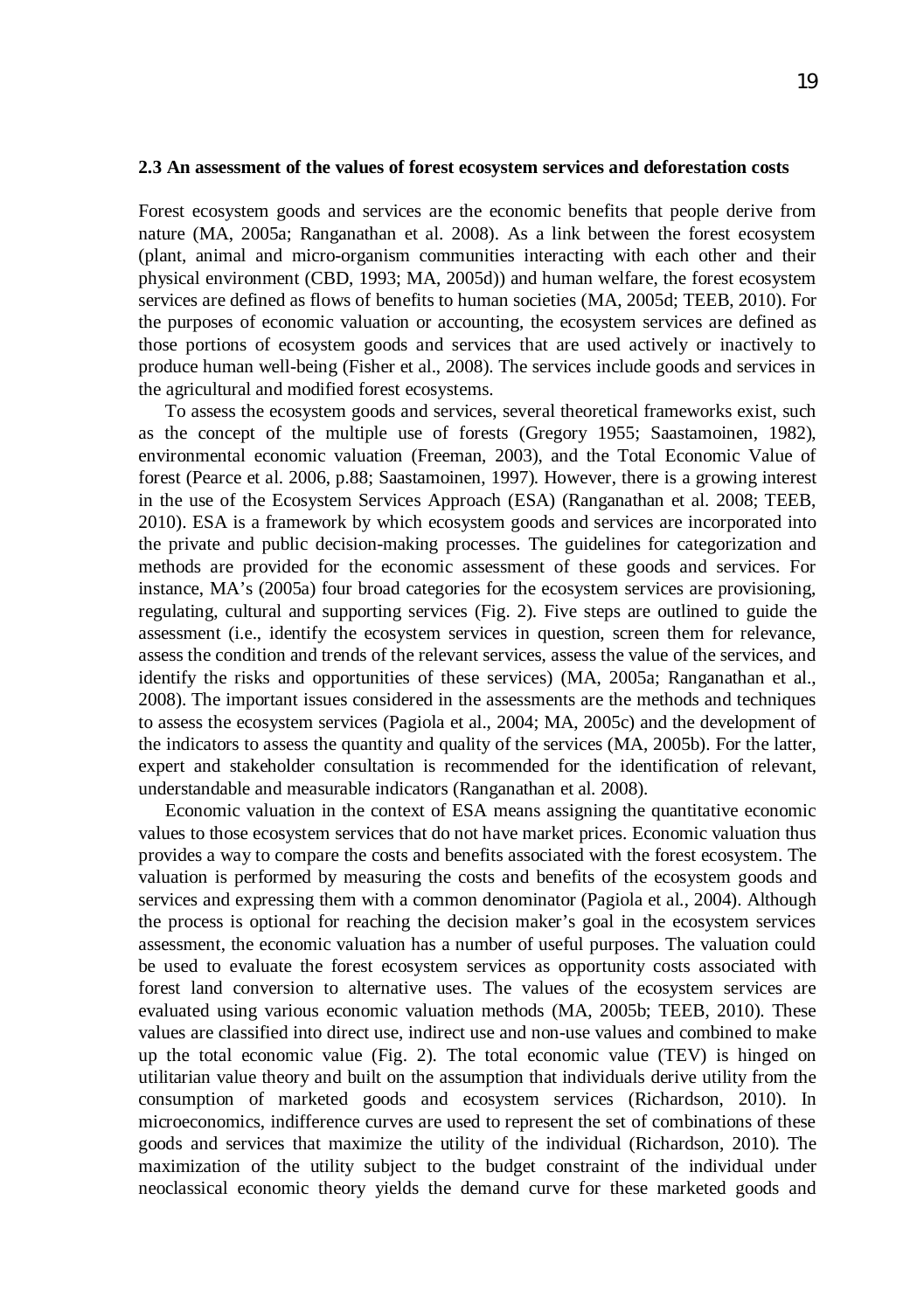#### **2.3 An assessment of the values of forest ecosystem services and deforestation costs**

Forest ecosystem goods and services are the economic benefits that people derive from nature (MA, 2005a; Ranganathan et al. 2008). As a link between the forest ecosystem (plant, animal and micro-organism communities interacting with each other and their physical environment (CBD, 1993; MA, 2005d)) and human welfare, the forest ecosystem services are defined as flows of benefits to human societies (MA, 2005d; TEEB, 2010). For the purposes of economic valuation or accounting, the ecosystem services are defined as those portions of ecosystem goods and services that are used actively or inactively to produce human well-being (Fisher et al., 2008). The services include goods and services in the agricultural and modified forest ecosystems.

To assess the ecosystem goods and services, several theoretical frameworks exist, such as the concept of the multiple use of forests (Gregory 1955; Saastamoinen, 1982), environmental economic valuation (Freeman, 2003), and the Total Economic Value of forest (Pearce et al. 2006, p.88; Saastamoinen, 1997). However, there is a growing interest in the use of the Ecosystem Services Approach (ESA) (Ranganathan et al. 2008; TEEB, 2010). ESA is a framework by which ecosystem goods and services are incorporated into the private and public decision-making processes. The guidelines for categorization and methods are provided for the economic assessment of these goods and services. For instance, MA's (2005a) four broad categories for the ecosystem services are provisioning, regulating, cultural and supporting services (Fig. 2). Five steps are outlined to guide the assessment (i.e., identify the ecosystem services in question, screen them for relevance, assess the condition and trends of the relevant services, assess the value of the services, and identify the risks and opportunities of these services) (MA, 2005a; Ranganathan et al., 2008). The important issues considered in the assessments are the methods and techniques to assess the ecosystem services (Pagiola et al., 2004; MA, 2005c) and the development of the indicators to assess the quantity and quality of the services (MA, 2005b). For the latter, expert and stakeholder consultation is recommended for the identification of relevant, understandable and measurable indicators (Ranganathan et al. 2008).

Economic valuation in the context of ESA means assigning the quantitative economic values to those ecosystem services that do not have market prices. Economic valuation thus provides a way to compare the costs and benefits associated with the forest ecosystem. The valuation is performed by measuring the costs and benefits of the ecosystem goods and services and expressing them with a common denominator (Pagiola et al., 2004). Although the process is optional for reaching the decision maker's goal in the ecosystem services assessment, the economic valuation has a number of useful purposes. The valuation could be used to evaluate the forest ecosystem services as opportunity costs associated with forest land conversion to alternative uses. The values of the ecosystem services are evaluated using various economic valuation methods (MA, 2005b; TEEB, 2010). These values are classified into direct use, indirect use and non-use values and combined to make up the total economic value (Fig. 2). The total economic value (TEV) is hinged on utilitarian value theory and built on the assumption that individuals derive utility from the consumption of marketed goods and ecosystem services (Richardson, 2010). In microeconomics, indifference curves are used to represent the set of combinations of these goods and services that maximize the utility of the individual (Richardson, 2010). The maximization of the utility subject to the budget constraint of the individual under neoclassical economic theory yields the demand curve for these marketed goods and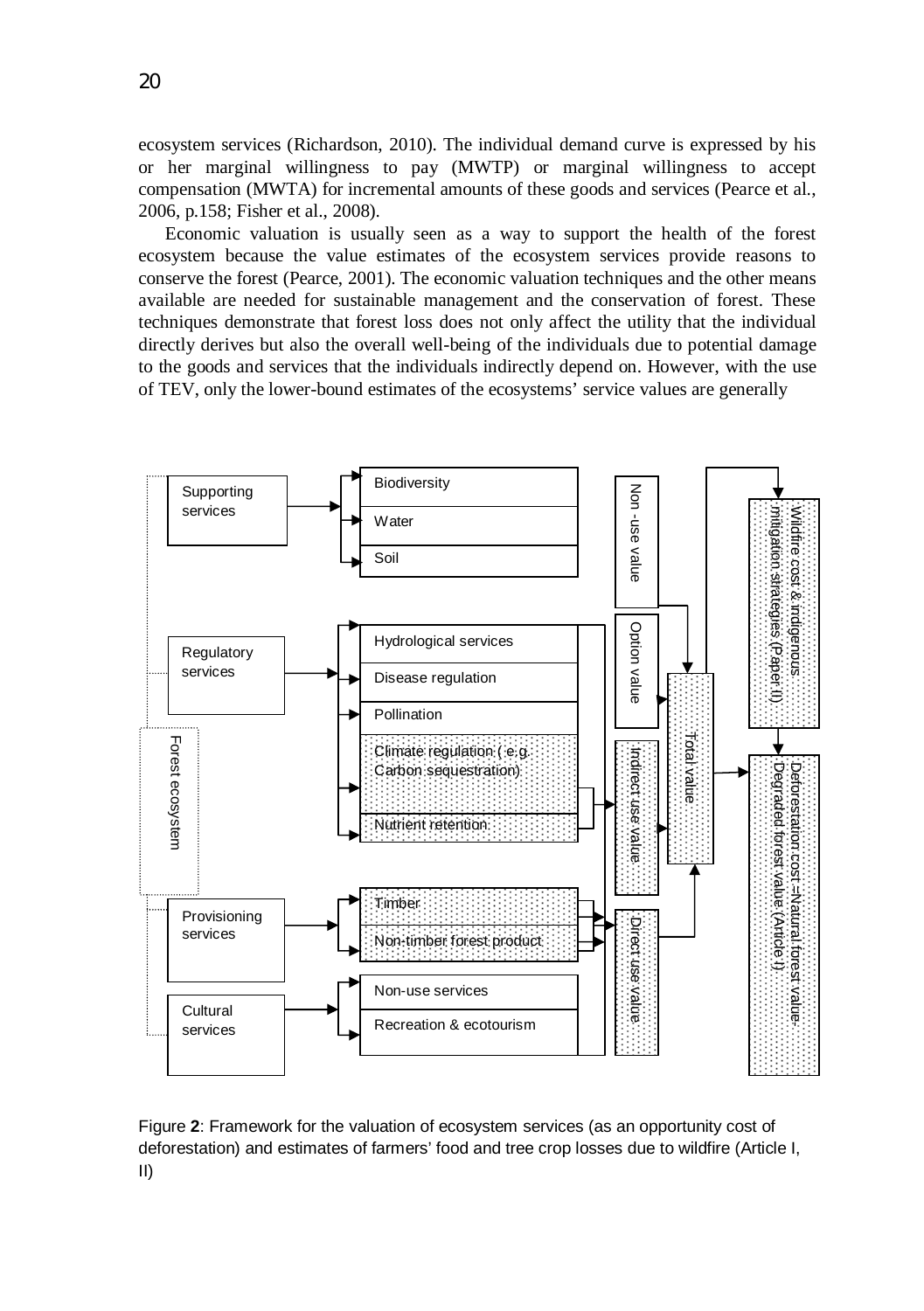ecosystem services (Richardson, 2010). The individual demand curve is expressed by his or her marginal willingness to pay (MWTP) or marginal willingness to accept compensation (MWTA) for incremental amounts of these goods and services (Pearce et al., 2006, p.158; Fisher et al., 2008).

Economic valuation is usually seen as a way to support the health of the forest ecosystem because the value estimates of the ecosystem services provide reasons to conserve the forest (Pearce, 2001). The economic valuation techniques and the other means available are needed for sustainable management and the conservation of forest. These techniques demonstrate that forest loss does not only affect the utility that the individual directly derives but also the overall well-being of the individuals due to potential damage to the goods and services that the individuals indirectly depend on. However, with the use of TEV, only the lower-bound estimates of the ecosystems' service values are generally



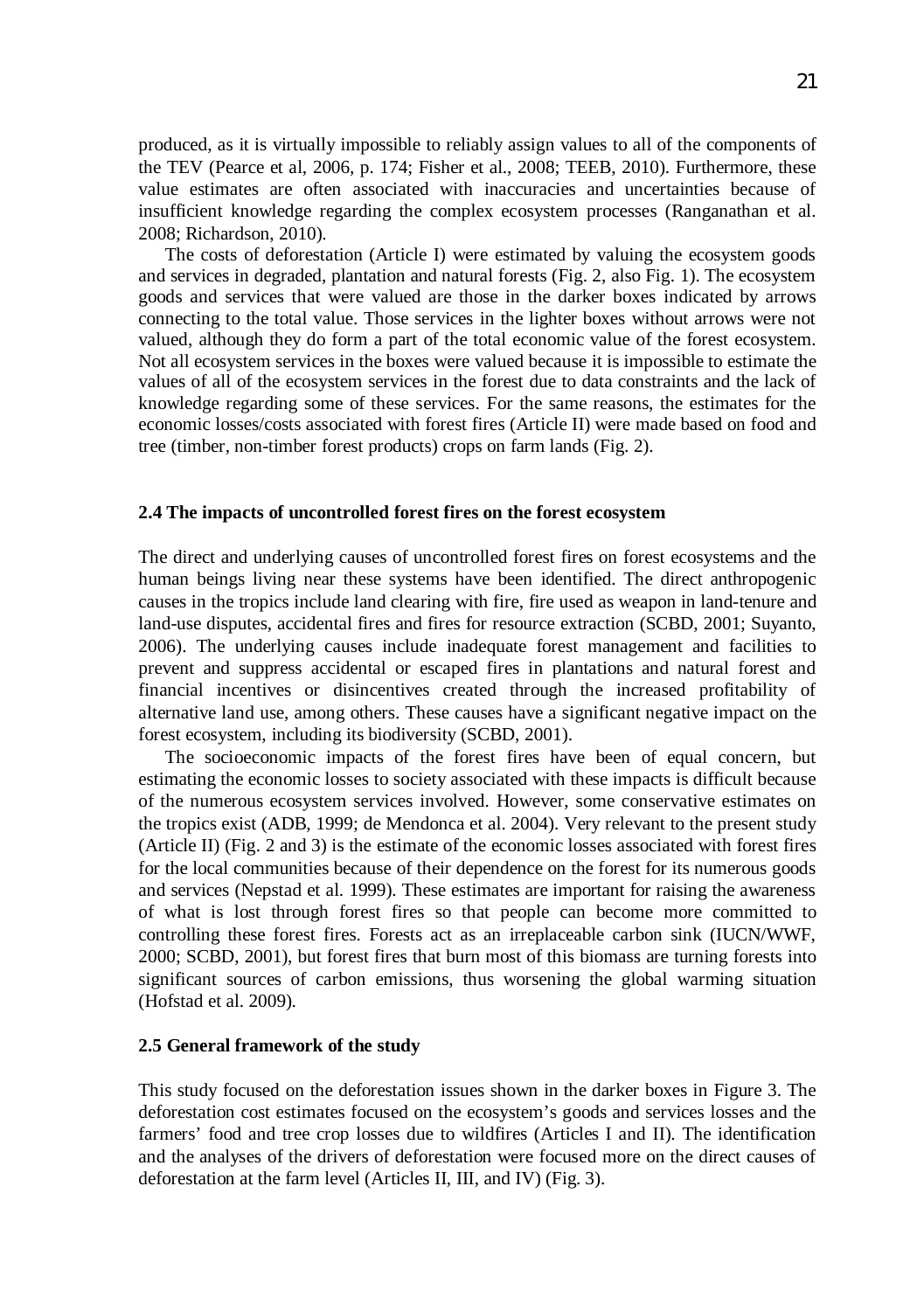produced, as it is virtually impossible to reliably assign values to all of the components of the TEV (Pearce et al, 2006, p. 174; Fisher et al., 2008; TEEB, 2010). Furthermore, these value estimates are often associated with inaccuracies and uncertainties because of insufficient knowledge regarding the complex ecosystem processes (Ranganathan et al. 2008; Richardson, 2010).

The costs of deforestation (Article I) were estimated by valuing the ecosystem goods and services in degraded, plantation and natural forests (Fig. 2, also Fig. 1). The ecosystem goods and services that were valued are those in the darker boxes indicated by arrows connecting to the total value. Those services in the lighter boxes without arrows were not valued, although they do form a part of the total economic value of the forest ecosystem. Not all ecosystem services in the boxes were valued because it is impossible to estimate the values of all of the ecosystem services in the forest due to data constraints and the lack of knowledge regarding some of these services. For the same reasons, the estimates for the economic losses/costs associated with forest fires (Article II) were made based on food and tree (timber, non-timber forest products) crops on farm lands (Fig. 2).

#### **2.4 The impacts of uncontrolled forest fires on the forest ecosystem**

The direct and underlying causes of uncontrolled forest fires on forest ecosystems and the human beings living near these systems have been identified. The direct anthropogenic causes in the tropics include land clearing with fire, fire used as weapon in land-tenure and land-use disputes, accidental fires and fires for resource extraction (SCBD, 2001; Suyanto, 2006). The underlying causes include inadequate forest management and facilities to prevent and suppress accidental or escaped fires in plantations and natural forest and financial incentives or disincentives created through the increased profitability of alternative land use, among others. These causes have a significant negative impact on the forest ecosystem, including its biodiversity (SCBD, 2001).

The socioeconomic impacts of the forest fires have been of equal concern, but estimating the economic losses to society associated with these impacts is difficult because of the numerous ecosystem services involved. However, some conservative estimates on the tropics exist (ADB, 1999; de Mendonca et al. 2004). Very relevant to the present study (Article II) (Fig. 2 and 3) is the estimate of the economic losses associated with forest fires for the local communities because of their dependence on the forest for its numerous goods and services (Nepstad et al. 1999). These estimates are important for raising the awareness of what is lost through forest fires so that people can become more committed to controlling these forest fires. Forests act as an irreplaceable carbon sink (IUCN/WWF, 2000; SCBD, 2001), but forest fires that burn most of this biomass are turning forests into significant sources of carbon emissions, thus worsening the global warming situation (Hofstad et al. 2009).

#### **2.5 General framework of the study**

This study focused on the deforestation issues shown in the darker boxes in Figure 3. The deforestation cost estimates focused on the ecosystem's goods and services losses and the farmers' food and tree crop losses due to wildfires (Articles I and II). The identification and the analyses of the drivers of deforestation were focused more on the direct causes of deforestation at the farm level (Articles II, III, and IV) (Fig. 3).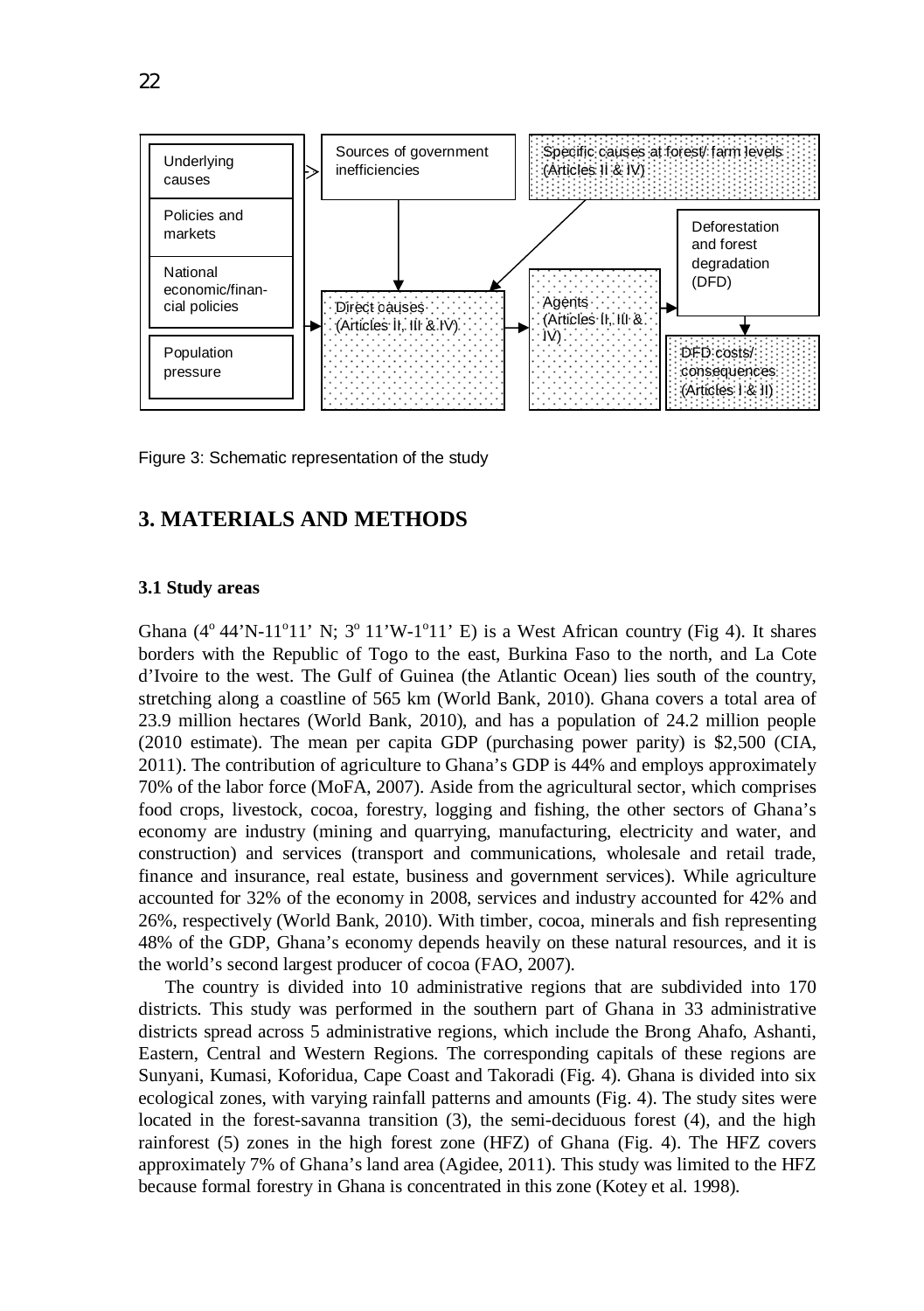

Figure 3: Schematic representation of the study

## **3. MATERIALS AND METHODS**

#### **3.1 Study areas**

Ghana  $(4^{\circ} 44' N-11^{\circ} 11' N; 3^{\circ} 11' W-1^{\circ} 11' E)$  is a West African country (Fig 4). It shares borders with the Republic of Togo to the east, Burkina Faso to the north, and La Cote d'Ivoire to the west. The Gulf of Guinea (the Atlantic Ocean) lies south of the country, stretching along a coastline of 565 km (World Bank, 2010). Ghana covers a total area of 23.9 million hectares (World Bank, 2010), and has a population of 24.2 million people (2010 estimate). The mean per capita GDP (purchasing power parity) is \$2,500 (CIA, 2011). The contribution of agriculture to Ghana's GDP is 44% and employs approximately 70% of the labor force (MoFA, 2007). Aside from the agricultural sector, which comprises food crops, livestock, cocoa, forestry, logging and fishing, the other sectors of Ghana's economy are industry (mining and quarrying, manufacturing, electricity and water, and construction) and services (transport and communications, wholesale and retail trade, finance and insurance, real estate, business and government services). While agriculture accounted for 32% of the economy in 2008, services and industry accounted for 42% and 26%, respectively (World Bank, 2010). With timber, cocoa, minerals and fish representing 48% of the GDP, Ghana's economy depends heavily on these natural resources, and it is the world's second largest producer of cocoa (FAO, 2007).

The country is divided into 10 administrative regions that are subdivided into 170 districts. This study was performed in the southern part of Ghana in 33 administrative districts spread across 5 administrative regions, which include the Brong Ahafo, Ashanti, Eastern, Central and Western Regions. The corresponding capitals of these regions are Sunyani, Kumasi, Koforidua, Cape Coast and Takoradi (Fig. 4). Ghana is divided into six ecological zones, with varying rainfall patterns and amounts (Fig. 4). The study sites were located in the forest-savanna transition (3), the semi-deciduous forest (4), and the high rainforest (5) zones in the high forest zone (HFZ) of Ghana (Fig. 4). The HFZ covers approximately 7% of Ghana's land area (Agidee, 2011). This study was limited to the HFZ because formal forestry in Ghana is concentrated in this zone (Kotey et al. 1998).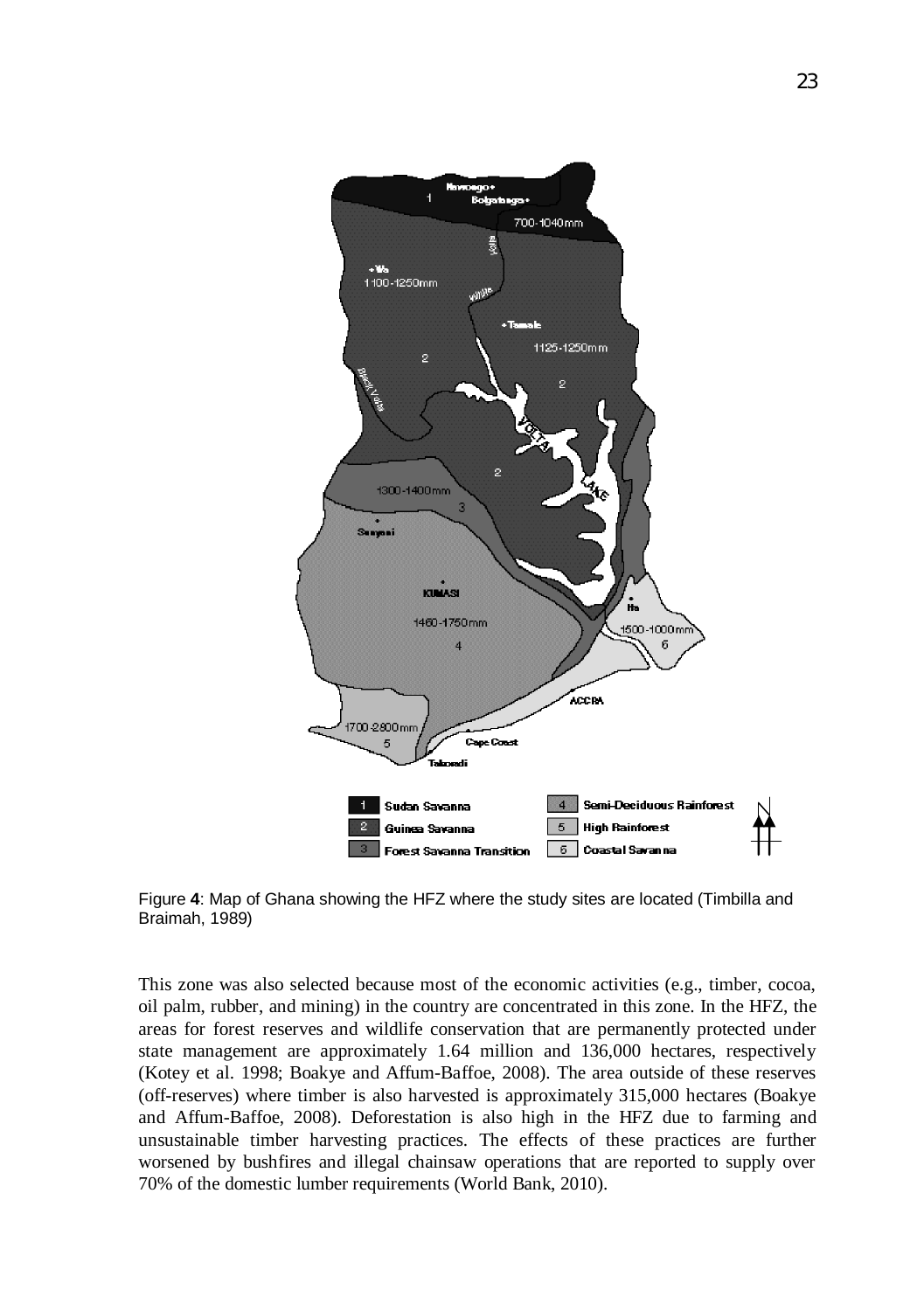

Figure **4**: Map of Ghana showing the HFZ where the study sites are located (Timbilla and Braimah, 1989)

This zone was also selected because most of the economic activities (e.g., timber, cocoa, oil palm, rubber, and mining) in the country are concentrated in this zone. In the HFZ, the areas for forest reserves and wildlife conservation that are permanently protected under state management are approximately 1.64 million and 136,000 hectares, respectively (Kotey et al. 1998; Boakye and Affum-Baffoe, 2008). The area outside of these reserves (off-reserves) where timber is also harvested is approximately 315,000 hectares (Boakye and Affum-Baffoe, 2008). Deforestation is also high in the HFZ due to farming and unsustainable timber harvesting practices. The effects of these practices are further worsened by bushfires and illegal chainsaw operations that are reported to supply over 70% of the domestic lumber requirements (World Bank, 2010).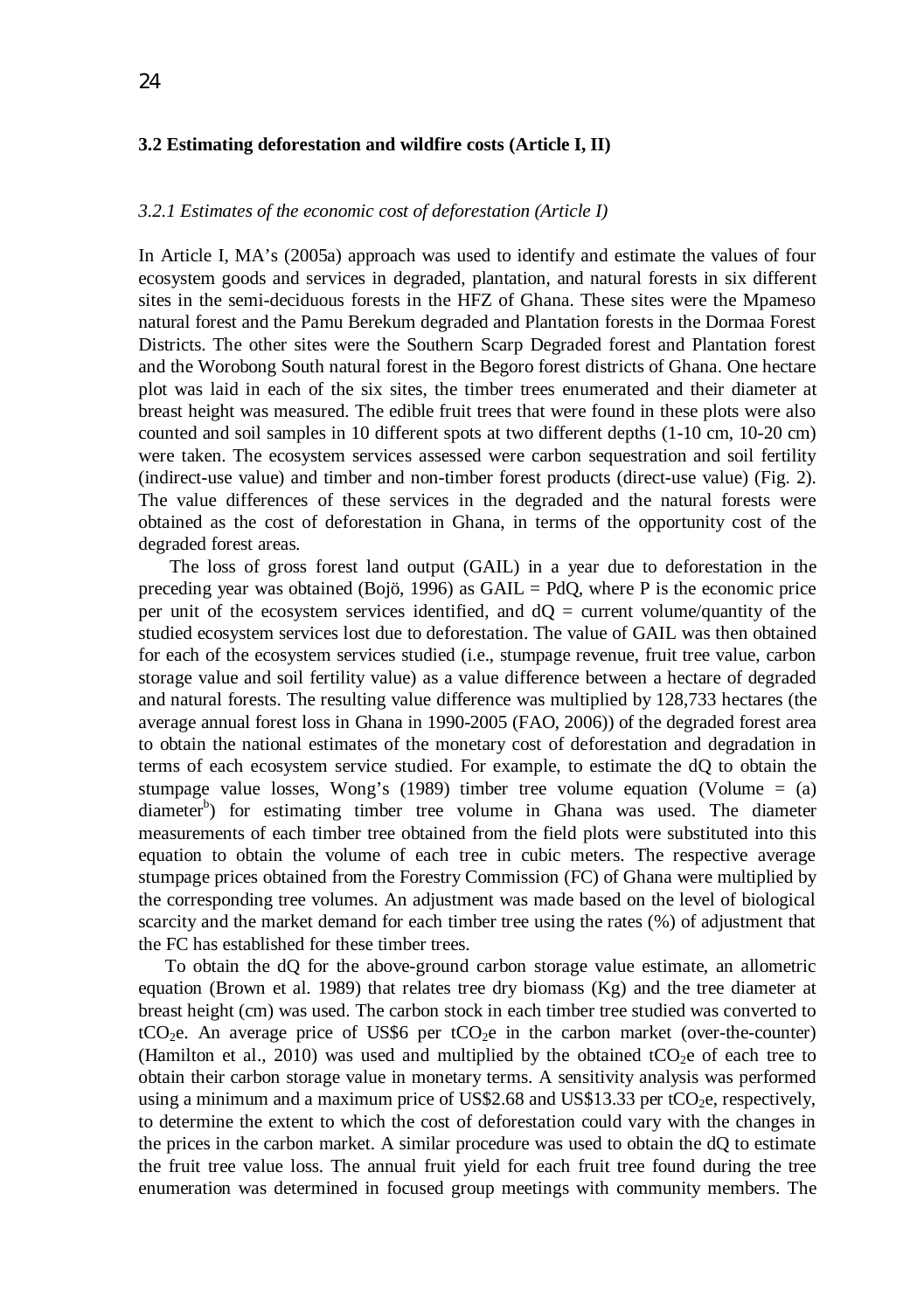#### **3.2 Estimating deforestation and wildfire costs (Article I, II)**

#### *3.2.1 Estimates of the economic cost of deforestation (Article I)*

In Article I, MA's (2005a) approach was used to identify and estimate the values of four ecosystem goods and services in degraded, plantation, and natural forests in six different sites in the semi-deciduous forests in the HFZ of Ghana. These sites were the Mpameso natural forest and the Pamu Berekum degraded and Plantation forests in the Dormaa Forest Districts. The other sites were the Southern Scarp Degraded forest and Plantation forest and the Worobong South natural forest in the Begoro forest districts of Ghana. One hectare plot was laid in each of the six sites, the timber trees enumerated and their diameter at breast height was measured. The edible fruit trees that were found in these plots were also counted and soil samples in 10 different spots at two different depths (1-10 cm, 10-20 cm) were taken. The ecosystem services assessed were carbon sequestration and soil fertility (indirect-use value) and timber and non-timber forest products (direct-use value) (Fig. 2). The value differences of these services in the degraded and the natural forests were obtained as the cost of deforestation in Ghana, in terms of the opportunity cost of the degraded forest areas.

 The loss of gross forest land output (GAIL) in a year due to deforestation in the preceding year was obtained (Bojö, 1996) as GAIL = PdO, where P is the economic price per unit of the ecosystem services identified, and  $dO =$  current volume/quantity of the studied ecosystem services lost due to deforestation. The value of GAIL was then obtained for each of the ecosystem services studied (i.e., stumpage revenue, fruit tree value, carbon storage value and soil fertility value) as a value difference between a hectare of degraded and natural forests. The resulting value difference was multiplied by 128,733 hectares (the average annual forest loss in Ghana in 1990-2005 (FAO, 2006)) of the degraded forest area to obtain the national estimates of the monetary cost of deforestation and degradation in terms of each ecosystem service studied. For example, to estimate the dQ to obtain the stumpage value losses, Wong's  $(1989)$  timber tree volume equation (Volume = (a) diameter<sup>b</sup>) for estimating timber tree volume in Ghana was used. The diameter measurements of each timber tree obtained from the field plots were substituted into this equation to obtain the volume of each tree in cubic meters. The respective average stumpage prices obtained from the Forestry Commission (FC) of Ghana were multiplied by the corresponding tree volumes. An adjustment was made based on the level of biological scarcity and the market demand for each timber tree using the rates (%) of adjustment that the FC has established for these timber trees.

To obtain the dQ for the above-ground carbon storage value estimate, an allometric equation (Brown et al. 1989) that relates tree dry biomass  $(Kg)$  and the tree diameter at breast height (cm) was used. The carbon stock in each timber tree studied was converted to  $tCO<sub>2</sub>e$ . An average price of US\$6 per  $tCO<sub>2</sub>e$  in the carbon market (over-the-counter) (Hamilton et al., 2010) was used and multiplied by the obtained tCO<sub>2</sub>e of each tree to obtain their carbon storage value in monetary terms. A sensitivity analysis was performed using a minimum and a maximum price of US\$2.68 and US\$13.33 per  $tCO<sub>2</sub>e$ , respectively, to determine the extent to which the cost of deforestation could vary with the changes in the prices in the carbon market. A similar procedure was used to obtain the dQ to estimate the fruit tree value loss. The annual fruit yield for each fruit tree found during the tree enumeration was determined in focused group meetings with community members. The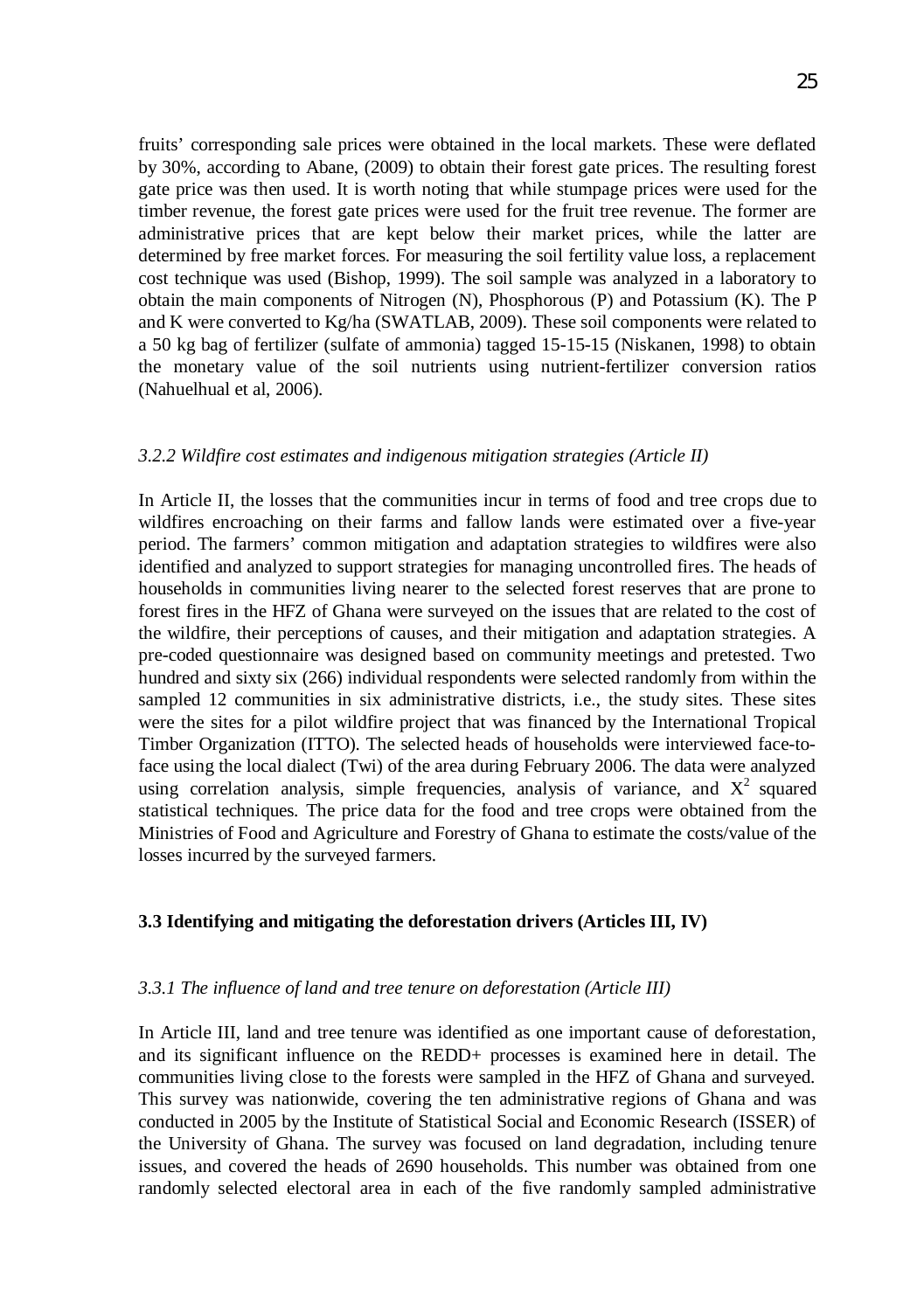fruits' corresponding sale prices were obtained in the local markets. These were deflated by 30%, according to Abane, (2009) to obtain their forest gate prices. The resulting forest gate price was then used. It is worth noting that while stumpage prices were used for the timber revenue, the forest gate prices were used for the fruit tree revenue. The former are administrative prices that are kept below their market prices, while the latter are determined by free market forces. For measuring the soil fertility value loss, a replacement cost technique was used (Bishop, 1999). The soil sample was analyzed in a laboratory to obtain the main components of Nitrogen (N), Phosphorous (P) and Potassium (K). The P and K were converted to Kg/ha (SWATLAB, 2009). These soil components were related to a 50 kg bag of fertilizer (sulfate of ammonia) tagged 15-15-15 (Niskanen, 1998) to obtain the monetary value of the soil nutrients using nutrient-fertilizer conversion ratios (Nahuelhual et al, 2006).

### *3.2.2 Wildfire cost estimates and indigenous mitigation strategies (Article II)*

In Article II, the losses that the communities incur in terms of food and tree crops due to wildfires encroaching on their farms and fallow lands were estimated over a five-year period. The farmers' common mitigation and adaptation strategies to wildfires were also identified and analyzed to support strategies for managing uncontrolled fires. The heads of households in communities living nearer to the selected forest reserves that are prone to forest fires in the HFZ of Ghana were surveyed on the issues that are related to the cost of the wildfire, their perceptions of causes, and their mitigation and adaptation strategies. A pre-coded questionnaire was designed based on community meetings and pretested. Two hundred and sixty six (266) individual respondents were selected randomly from within the sampled 12 communities in six administrative districts, i.e., the study sites. These sites were the sites for a pilot wildfire project that was financed by the International Tropical Timber Organization (ITTO). The selected heads of households were interviewed face-toface using the local dialect (Twi) of the area during February 2006. The data were analyzed using correlation analysis, simple frequencies, analysis of variance, and  $X^2$  squared statistical techniques. The price data for the food and tree crops were obtained from the Ministries of Food and Agriculture and Forestry of Ghana to estimate the costs/value of the losses incurred by the surveyed farmers.

## **3.3 Identifying and mitigating the deforestation drivers (Articles III, IV)**

### *3.3.1 The influence of land and tree tenure on deforestation (Article III)*

In Article III, land and tree tenure was identified as one important cause of deforestation, and its significant influence on the REDD+ processes is examined here in detail. The communities living close to the forests were sampled in the HFZ of Ghana and surveyed. This survey was nationwide, covering the ten administrative regions of Ghana and was conducted in 2005 by the Institute of Statistical Social and Economic Research (ISSER) of the University of Ghana. The survey was focused on land degradation, including tenure issues, and covered the heads of 2690 households. This number was obtained from one randomly selected electoral area in each of the five randomly sampled administrative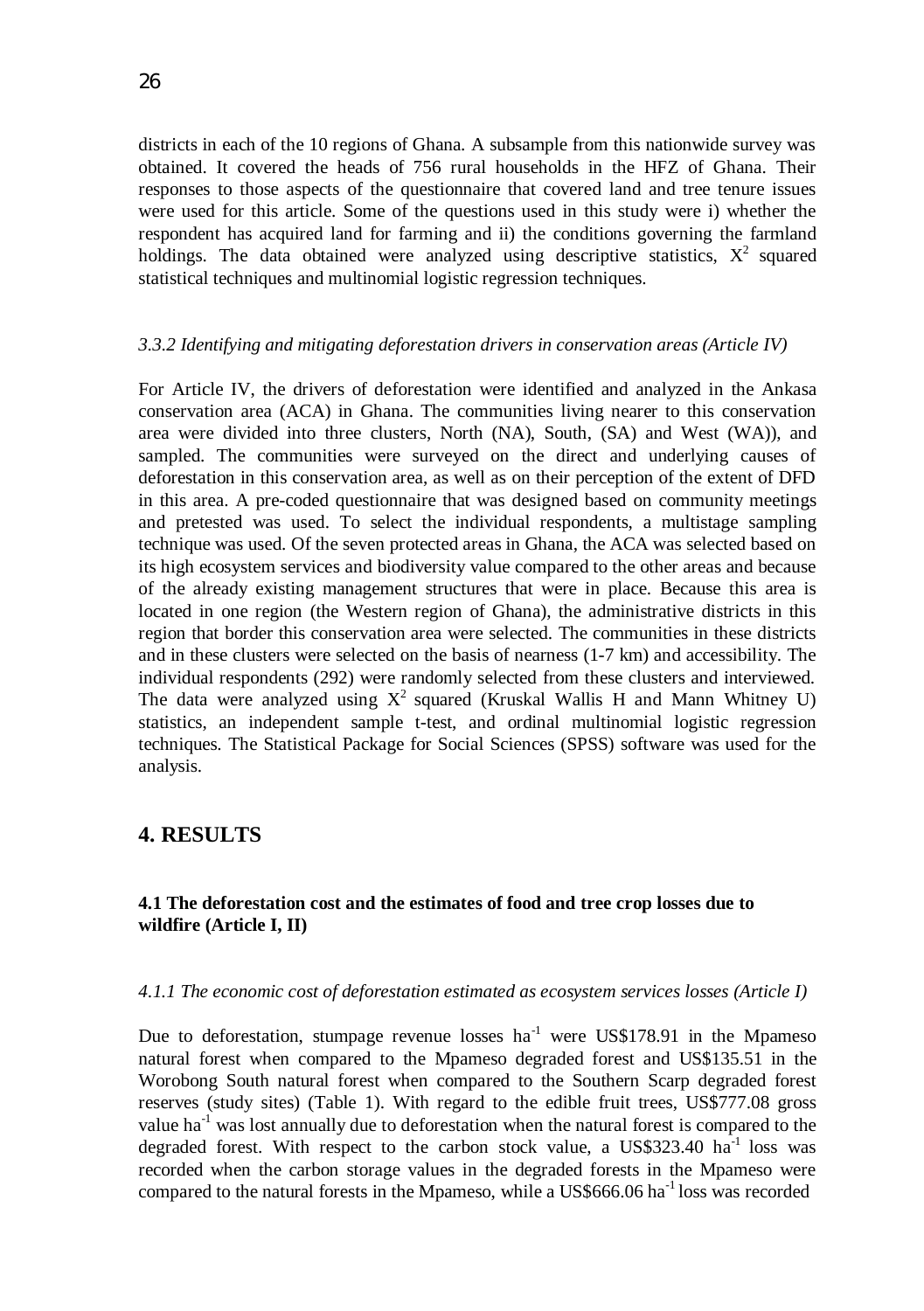districts in each of the 10 regions of Ghana. A subsample from this nationwide survey was obtained. It covered the heads of 756 rural households in the HFZ of Ghana. Their responses to those aspects of the questionnaire that covered land and tree tenure issues were used for this article. Some of the questions used in this study were i) whether the respondent has acquired land for farming and ii) the conditions governing the farmland holdings. The data obtained were analyzed using descriptive statistics,  $X^2$  squared statistical techniques and multinomial logistic regression techniques.

#### *3.3.2 Identifying and mitigating deforestation drivers in conservation areas (Article IV)*

For Article IV, the drivers of deforestation were identified and analyzed in the Ankasa conservation area (ACA) in Ghana. The communities living nearer to this conservation area were divided into three clusters, North (NA), South, (SA) and West (WA)), and sampled. The communities were surveyed on the direct and underlying causes of deforestation in this conservation area, as well as on their perception of the extent of DFD in this area. A pre-coded questionnaire that was designed based on community meetings and pretested was used. To select the individual respondents, a multistage sampling technique was used. Of the seven protected areas in Ghana, the ACA was selected based on its high ecosystem services and biodiversity value compared to the other areas and because of the already existing management structures that were in place. Because this area is located in one region (the Western region of Ghana), the administrative districts in this region that border this conservation area were selected. The communities in these districts and in these clusters were selected on the basis of nearness (1-7 km) and accessibility. The individual respondents (292) were randomly selected from these clusters and interviewed. The data were analyzed using  $X^2$  squared (Kruskal Wallis H and Mann Whitney U) statistics, an independent sample t-test, and ordinal multinomial logistic regression techniques. The Statistical Package for Social Sciences (SPSS) software was used for the analysis.

## **4. RESULTS**

## **4.1 The deforestation cost and the estimates of food and tree crop losses due to wildfire (Article I, II)**

#### *4.1.1 The economic cost of deforestation estimated as ecosystem services losses (Article I)*

Due to deforestation, stumpage revenue losses  $ha^{-1}$  were US\$178.91 in the Mpameso natural forest when compared to the Mpameso degraded forest and US\$135.51 in the Worobong South natural forest when compared to the Southern Scarp degraded forest reserves (study sites) (Table 1). With regard to the edible fruit trees, US\$777.08 gross value ha<sup>-1</sup> was lost annually due to deforestation when the natural forest is compared to the degraded forest. With respect to the carbon stock value, a US\$323.40  $\text{ha}^{-1}$  loss was recorded when the carbon storage values in the degraded forests in the Mpameso were compared to the natural forests in the Mpameso, while a US\$666.06 ha<sup>-1</sup> loss was recorded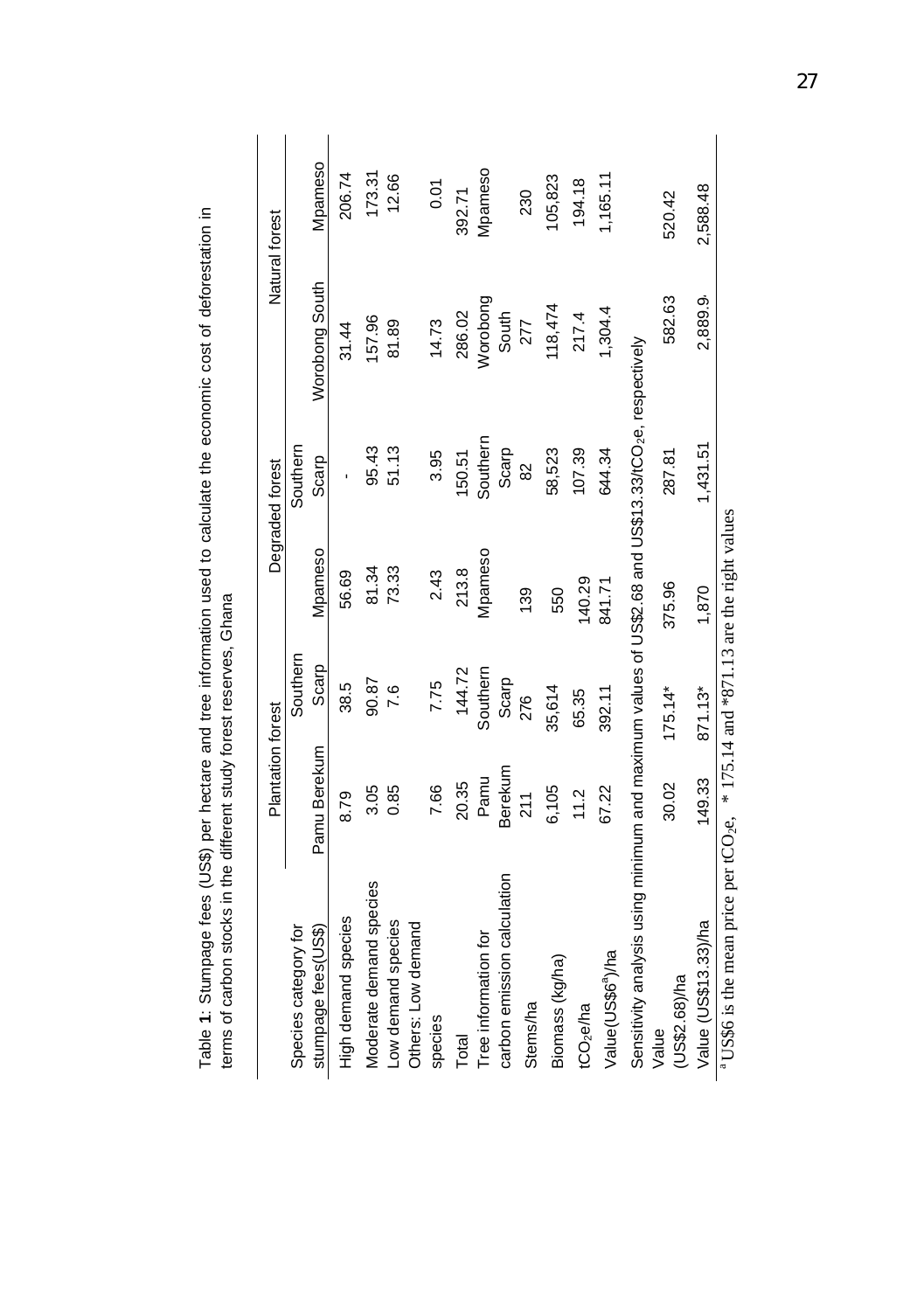|                                                                                                                  | <b>Plantation forest</b> |           |         | Degraded forest |                | Natural forest |
|------------------------------------------------------------------------------------------------------------------|--------------------------|-----------|---------|-----------------|----------------|----------------|
| Species category for                                                                                             |                          | Southern  |         | Southern        |                |                |
| stumpage fees(US\$)                                                                                              | Pamu Berekum             | Scarp     | Mpameso | Scarp           | Worobong South | Mpameso        |
| High demand species                                                                                              | 8.79                     | 38.5      | 56.69   |                 | 31.44          | 206.74         |
| Moderate demand species                                                                                          | 3.05                     | 90.87     | 81.34   | 95.43           | 157.96         | 173.31         |
| Low demand species                                                                                               | 0.85                     | 7.6       | 73.33   | 51.13           | 81.89          | 12.66          |
| Others: Low demand                                                                                               |                          |           |         |                 |                |                |
| species                                                                                                          | 7.66                     | 7.75      | 2.43    | 3.95            | 14.73          | 0.01           |
| <b>Total</b>                                                                                                     | 20.35                    | 144.72    | 213.8   | 150.51          | 286.02         | 392.71         |
| Tree information for                                                                                             | Pamu                     | Southern  | Mpameso | Southern        | Worobong       | Mpameso        |
| carbon emission calculation                                                                                      | Berekum                  | Scarp     |         | Scarp           | South          |                |
| Stems/ha                                                                                                         | 211                      | 276       | 139     | 82              | 277            | 230            |
| Biomass (kg/ha)                                                                                                  | 6,105                    | 35,614    | 550     | 58,523          | 118,474        | 105,823        |
| tCO <sub>2</sub> e/ha                                                                                            | 11.2                     | 65.35     | 140.29  | 107.39          | 217.4          | 194.18         |
| Value(US\$6 <sup>ª</sup> )/ha                                                                                    | 67.22                    | 392.11    | 841.71  | 644.34          | 1,304.4        | 1,165.11       |
| Sensitivity analysis using minimum and maximum values of US\$2.68 and US\$13.33/tCO <sub>2</sub> e, respectively |                          |           |         |                 |                |                |
| US\$2.68)/ha<br>Value                                                                                            | 30.02                    | $175.14*$ | 375.96  | 287.81          | 582.63         | 520.42         |
| Value (US\$13.33)/ha                                                                                             | 149.33                   | 871.13*   | 1,870   | 1,431.51        | 2,889.9        | 2,588.48       |

Table 1: Stumpage fees (US\$) per hectare and tree information used to calculate the economic cost of deforestation in<br>terms of carbon stocks in the different study forest reserves, Ghana Table **1**: Stumpage fees (US\$) per hectare and tree information used to calculate the economic cost of deforestation in terms of carbon stocks in the different study forest reserves, Ghana

<sup>a</sup> US\$6 is the mean price per tCO<sub>2</sub>e,  $*$  175.14 and  $*$ 871.13 are the right values <sup>a</sup> US\$6 is the mean price per tCO<sub>2</sub>e,  $*$  175.14 and  $*$ 871.13 are the right values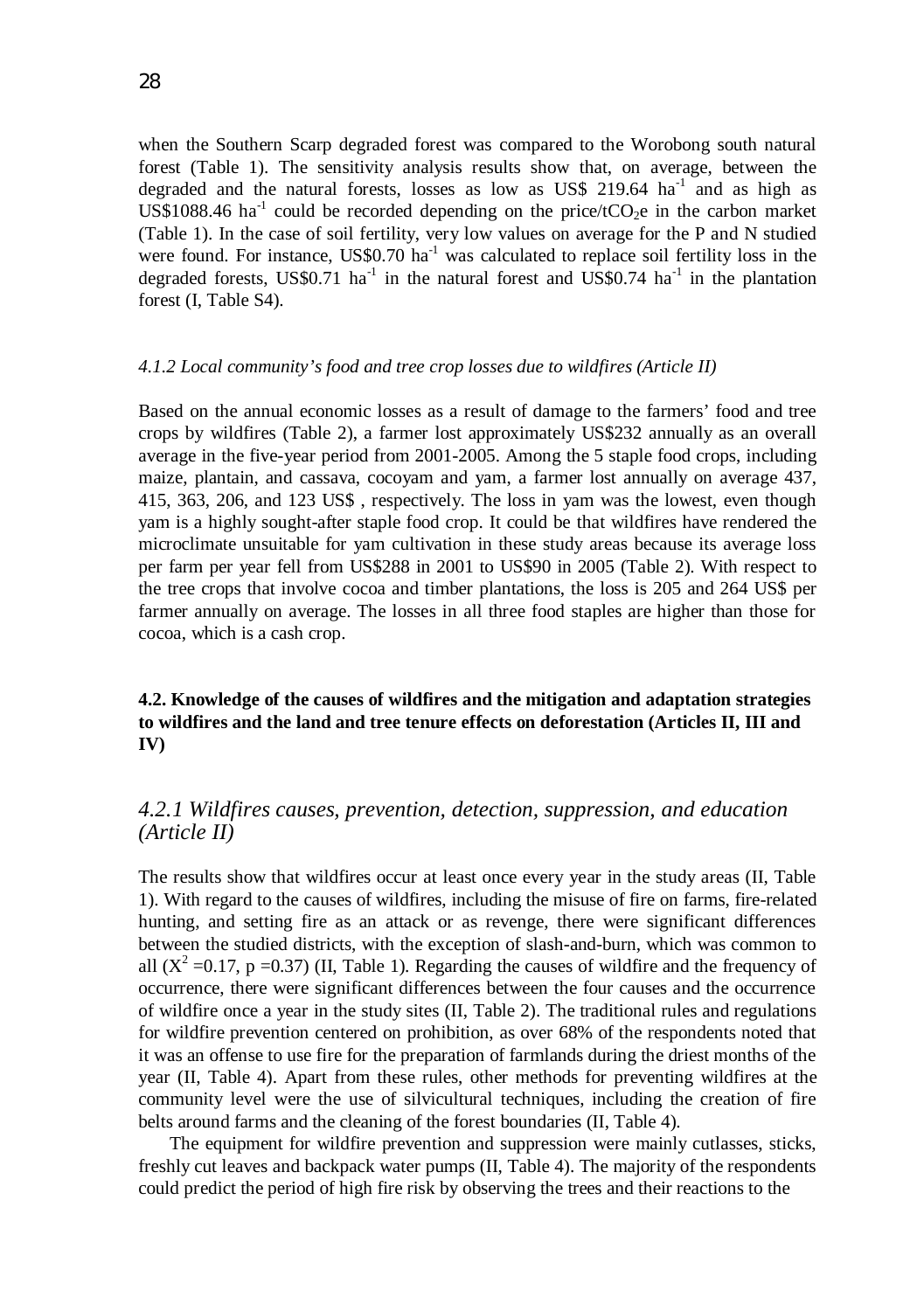when the Southern Scarp degraded forest was compared to the Worobong south natural forest (Table 1). The sensitivity analysis results show that, on average, between the degraded and the natural forests, losses as low as US\$ 219.64  $\text{ha}^{-1}$  and as high as US\$1088.46 ha<sup>-1</sup> could be recorded depending on the price/tCO<sub>2</sub>e in the carbon market (Table 1). In the case of soil fertility, very low values on average for the P and N studied were found. For instance,  $US$0.70$  ha<sup>-1</sup> was calculated to replace soil fertility loss in the degraded forests, US\$0.71 ha<sup>-1</sup> in the natural forest and US\$0.74 ha<sup>-1</sup> in the plantation forest (I, Table S4).

#### *4.1.2 Local community's food and tree crop losses due to wildfires (Article II)*

Based on the annual economic losses as a result of damage to the farmers' food and tree crops by wildfires (Table 2), a farmer lost approximately US\$232 annually as an overall average in the five-year period from 2001-2005. Among the 5 staple food crops, including maize, plantain, and cassava, cocoyam and yam, a farmer lost annually on average 437, 415, 363, 206, and 123 US\$ , respectively. The loss in yam was the lowest, even though yam is a highly sought-after staple food crop. It could be that wildfires have rendered the microclimate unsuitable for yam cultivation in these study areas because its average loss per farm per year fell from US\$288 in 2001 to US\$90 in 2005 (Table 2). With respect to the tree crops that involve cocoa and timber plantations, the loss is 205 and 264 US\$ per farmer annually on average. The losses in all three food staples are higher than those for cocoa, which is a cash crop.

## **4.2. Knowledge of the causes of wildfires and the mitigation and adaptation strategies to wildfires and the land and tree tenure effects on deforestation (Articles II, III and IV)**

## *4.2.1 Wildfires causes, prevention, detection, suppression, and education (Article II)*

The results show that wildfires occur at least once every year in the study areas (II, Table 1). With regard to the causes of wildfires, including the misuse of fire on farms, fire-related hunting, and setting fire as an attack or as revenge, there were significant differences between the studied districts, with the exception of slash-and-burn, which was common to all  $(X^2 = 0.17, p = 0.37)$  (II, Table 1). Regarding the causes of wildfire and the frequency of occurrence, there were significant differences between the four causes and the occurrence of wildfire once a year in the study sites (II, Table 2). The traditional rules and regulations for wildfire prevention centered on prohibition, as over 68% of the respondents noted that it was an offense to use fire for the preparation of farmlands during the driest months of the year (II, Table 4). Apart from these rules, other methods for preventing wildfires at the community level were the use of silvicultural techniques, including the creation of fire belts around farms and the cleaning of the forest boundaries (II, Table 4).

 The equipment for wildfire prevention and suppression were mainly cutlasses, sticks, freshly cut leaves and backpack water pumps (II, Table 4). The majority of the respondents could predict the period of high fire risk by observing the trees and their reactions to the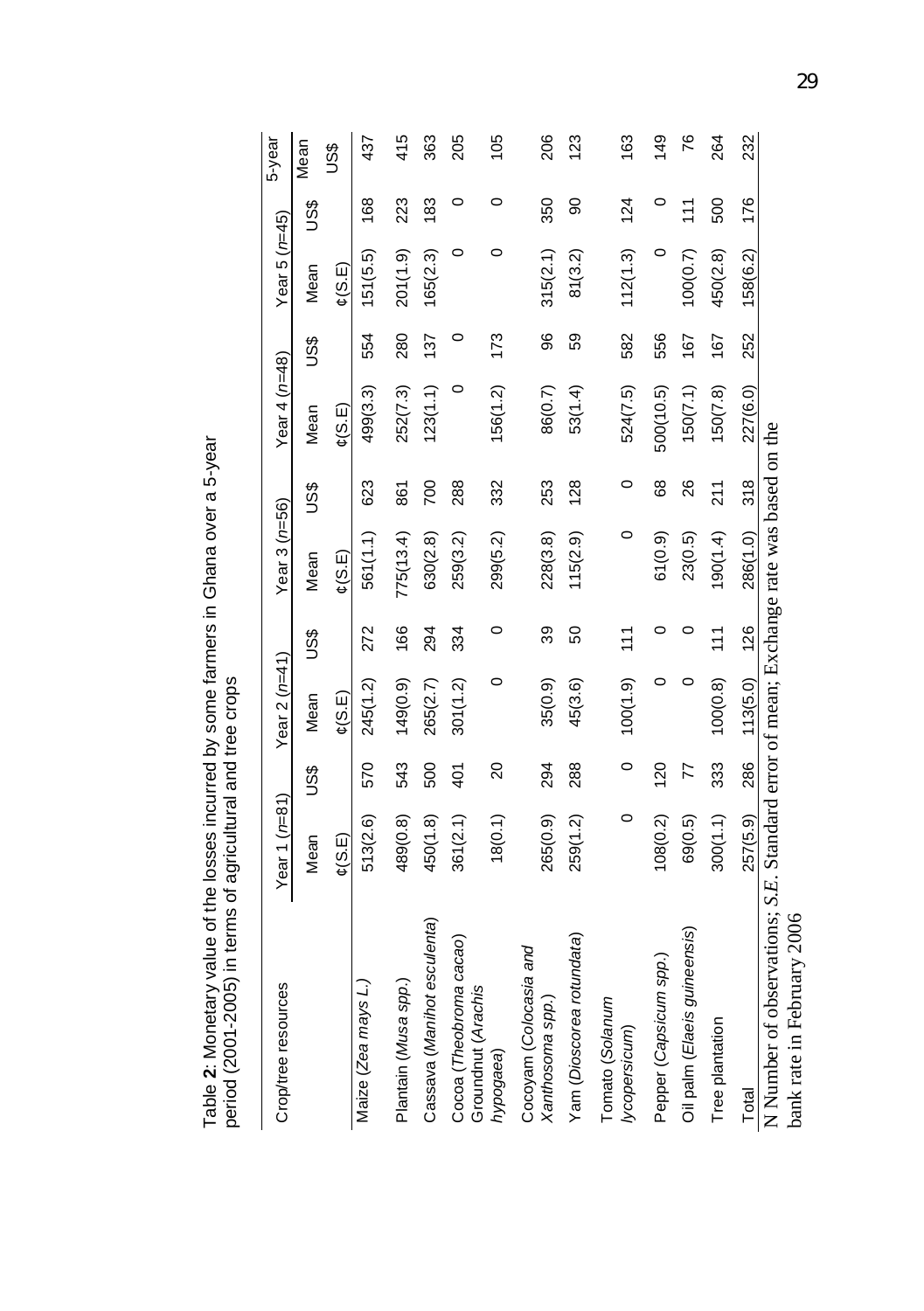Table 2: Monetary value of the losses incurred by some farmers in Ghana over a 5-year<br>period (2001-2005) in terms of agricultural and tree crops Table **2**: Monetary value of the losses incurred by some farmers in Ghana over a 5-year period (2001-2005) in terms of agricultural and tree crops

| Crop/tree resources                                                                                                    | Year 1 (r=81)       |                | Year 2 ( $n=41$ )                     |               | Year 3 ( $n=56$ )   |               | Year 4 $(n=48)$                       |     | Year 5 $(n=45)$                       |               | 5-year         |
|------------------------------------------------------------------------------------------------------------------------|---------------------|----------------|---------------------------------------|---------------|---------------------|---------------|---------------------------------------|-----|---------------------------------------|---------------|----------------|
|                                                                                                                        | Mean                | SSQ            | Mean                                  | US\$          | Mean                | ပိဒိ          | Mean                                  | 9SC | Mean                                  | SSD           | Mean           |
|                                                                                                                        | $\mathfrak{c}(S.E)$ |                | $\mathfrak{C}(\mathsf{S}.\mathsf{E})$ |               | $\mathfrak{c}(S.E)$ |               | $\mathfrak{C}(\mathsf{S}.\mathsf{E})$ |     | $\mathfrak{c}(\mathsf{S}.\mathsf{E})$ |               | <b>SSD</b>     |
| Maize (Zea mays L.)                                                                                                    | 513(2.6)            | 570            | 245(1.2)                              | 272           | 561(1.1)            | 623           | 499(3.3)                              | 554 | 151(5.5)                              | 168           | 437            |
| Plantain (Musa spp.)                                                                                                   | 489(0.8)            | 543            | 149(0.9)                              | 166           | 775(13.4)           | 861           | 252(7.3)                              | 280 | 201(1.9)                              | 223           | 415            |
| Cassava (Manihot esculenta)                                                                                            | 450(1.8)            | 500            | 265(2.7)                              | 294           | 630(2.8)            | 700           | 123(1.1)                              | 137 | 165(2.3)                              | 183           | 363            |
| Cocoa (Theobroma cacao)<br>Groundnut (Arachis                                                                          | 361(2.1)            | 401            | 301(1.2)                              | 334           | 259(3.2)            | 288           | 0                                     | 0   | 0                                     | 0             | 205            |
| hypogaea)                                                                                                              | 18(0.1)             | $\overline{c}$ | 0                                     | 0             | 299(5.2)            | 332           | 156(1.2)                              | 173 | 0                                     | 0             | 105            |
| Cocoyam (Colocasia and<br>Xanthosoma spp.)                                                                             | 265(0.9)            | 294            | 35(0.9)                               | 39            | 228(3.8)            | 253           | 86(0.7)                               | 96  | 315(2.1)                              | 350           | 206            |
| Yam (Dioscorea rotundata)                                                                                              | 259(1.2)            | 288            | 45(3.6)                               | 50            | 115(2.9)            | 128           | 53(1.4)                               | 59  | 81(3.2)                               | 8             | 123            |
| Tomato (Solanum<br>lycopersicum)                                                                                       | 0                   | $\circ$        | 100(1.9)                              | $\frac{1}{1}$ | 0                   | 0             | 524(7.5)                              | 582 | 112(1.3)                              | 124           | 163            |
| Pepper (Capsicum spp.)                                                                                                 | 108(0.2)            | 120            |                                       |               | 61(0.9)             | 68            | 500(10.5)                             | 556 | 0                                     | 0             | $\frac{49}{5}$ |
| Oil palm (Elaeis guineensis)                                                                                           | 69(0.5)             | 77             |                                       |               | 23(0.5)             | 26            | 150(7.1)                              | 167 | 100(0.7)                              | $\frac{1}{1}$ | 76             |
| Tree plantation                                                                                                        | 300(1.1)            | 333            | 100(0.8)                              | $\frac{1}{1}$ | 190(1.4)            | $\frac{1}{2}$ | 150(7.8)                              | 167 | 450(2.8)                              | 500           | 264            |
| Total                                                                                                                  | 257(5.9)            | 286            | 113(5.0)                              | 126           | 286(1.0)            | 318           | 227(6.0)                              | 252 | 158(6.2)                              | 176           | 232            |
| N Number of observations; S.E. Standard error of mean; Exchange rate was based on the<br>2006<br>bank rate in February |                     |                |                                       |               |                     |               |                                       |     |                                       |               |                |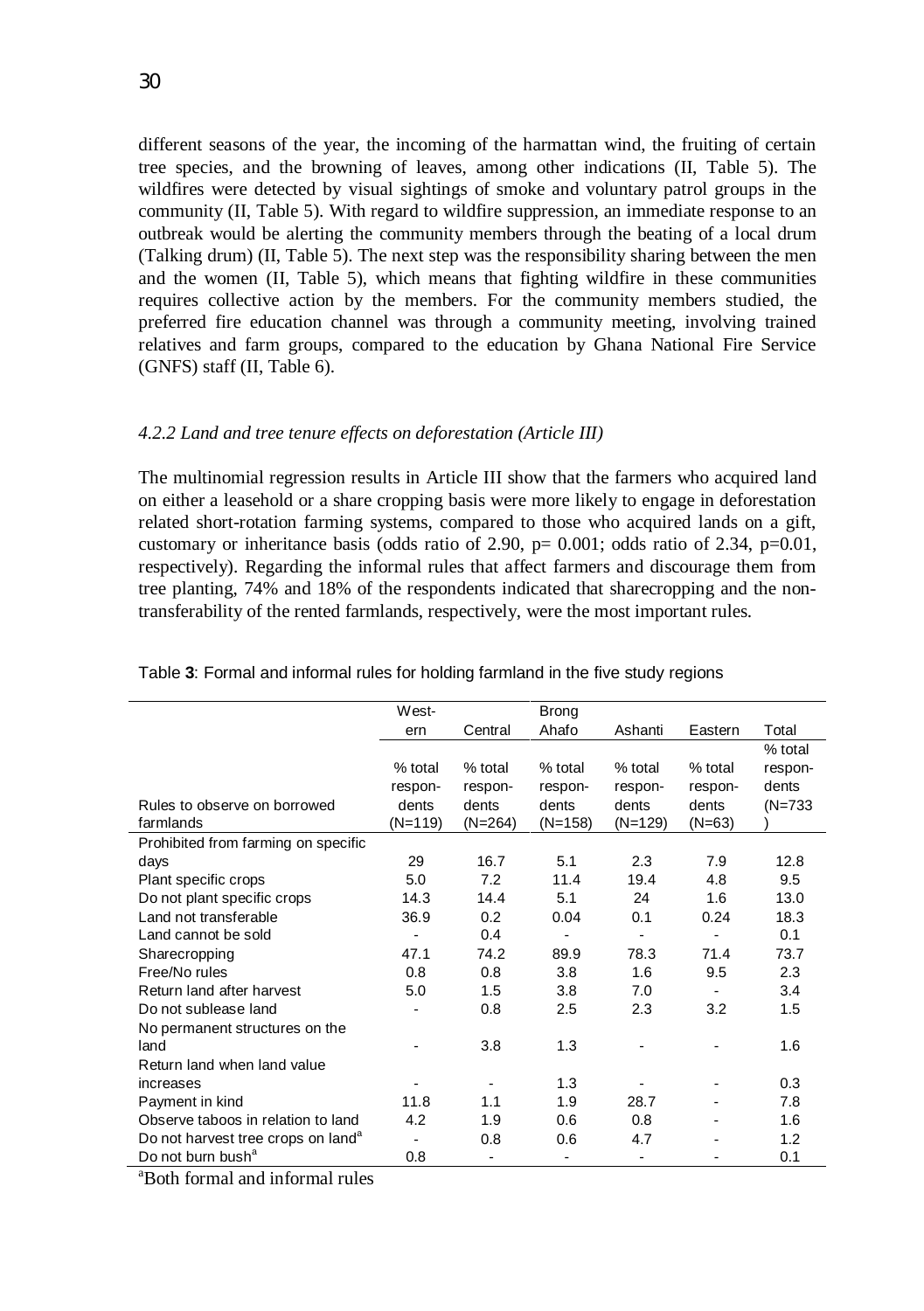different seasons of the year, the incoming of the harmattan wind, the fruiting of certain tree species, and the browning of leaves, among other indications (II, Table 5). The wildfires were detected by visual sightings of smoke and voluntary patrol groups in the community (II, Table 5). With regard to wildfire suppression, an immediate response to an outbreak would be alerting the community members through the beating of a local drum (Talking drum) (II, Table 5). The next step was the responsibility sharing between the men and the women (II, Table 5), which means that fighting wildfire in these communities requires collective action by the members. For the community members studied, the preferred fire education channel was through a community meeting, involving trained relatives and farm groups, compared to the education by Ghana National Fire Service (GNFS) staff (II, Table 6).

#### *4.2.2 Land and tree tenure effects on deforestation (Article III)*

The multinomial regression results in Article III show that the farmers who acquired land on either a leasehold or a share cropping basis were more likely to engage in deforestation related short-rotation farming systems, compared to those who acquired lands on a gift, customary or inheritance basis (odds ratio of 2.90,  $p= 0.001$ ; odds ratio of 2.34,  $p=0.01$ , respectively). Regarding the informal rules that affect farmers and discourage them from tree planting, 74% and 18% of the respondents indicated that sharecropping and the nontransferability of the rented farmlands, respectively, were the most important rules.

|                                                | West-                        |           | <b>Brong</b> |           |           |           |
|------------------------------------------------|------------------------------|-----------|--------------|-----------|-----------|-----------|
|                                                | ern                          | Central   | Ahafo        | Ashanti   | Eastern   | Total     |
|                                                |                              |           |              |           |           | % total   |
|                                                | $%$ total                    | $%$ total | % total      | % total   | $%$ total | respon-   |
|                                                | respon-                      | respon-   | respon-      | respon-   | respon-   | dents     |
| Rules to observe on borrowed                   | dents                        | dents     | dents        | dents     | dents     | $(N=733)$ |
| farmlands                                      | $(N=119)$                    | $(N=264)$ | $(N=158)$    | $(N=129)$ | $(N=63)$  |           |
| Prohibited from farming on specific            |                              |           |              |           |           |           |
| days                                           | 29                           | 16.7      | 5.1          | 2.3       | 7.9       | 12.8      |
| Plant specific crops                           | 5.0                          | 7.2       | 11.4         | 19.4      | 4.8       | 9.5       |
| Do not plant specific crops                    | 14.3                         | 14.4      | 5.1          | 24        | 1.6       | 13.0      |
| I and not transferable                         | 36.9                         | 0.2       | 0.04         | 0.1       | 0.24      | 18.3      |
| Land cannot be sold                            |                              | 0.4       |              |           | ٠         | 0.1       |
| Sharecropping                                  | 47.1                         | 74.2      | 89.9         | 78.3      | 71.4      | 73.7      |
| Free/No rules                                  | 0.8                          | 0.8       | 3.8          | 1.6       | 9.5       | 2.3       |
| Return land after harvest                      | 5.0                          | 1.5       | 3.8          | 7.0       |           | 3.4       |
| Do not sublease land                           |                              | 0.8       | 2.5          | 2.3       | 3.2       | 1.5       |
| No permanent structures on the                 |                              |           |              |           |           |           |
| land                                           |                              | 3.8       | 1.3          |           |           | 1.6       |
| Return land when land value                    |                              |           |              |           |           |           |
| increases                                      |                              |           | 1.3          |           |           | 0.3       |
| Payment in kind                                | 11.8                         | 1.1       | 1.9          | 28.7      |           | 7.8       |
| Observe taboos in relation to land             | 4.2                          | 1.9       | 0.6          | 0.8       |           | 1.6       |
| Do not harvest tree crops on land <sup>a</sup> | $\qquad \qquad \blacksquare$ | 0.8       | 0.6          | 4.7       |           | 1.2       |
| Do not burn bush <sup>a</sup>                  | 0.8                          |           |              |           |           | 0.1       |
|                                                |                              |           |              |           |           |           |

| Table 3: Formal and informal rules for holding farmland in the five study regions |  |  |  |
|-----------------------------------------------------------------------------------|--|--|--|
|                                                                                   |  |  |  |

<sup>a</sup>Both formal and informal rules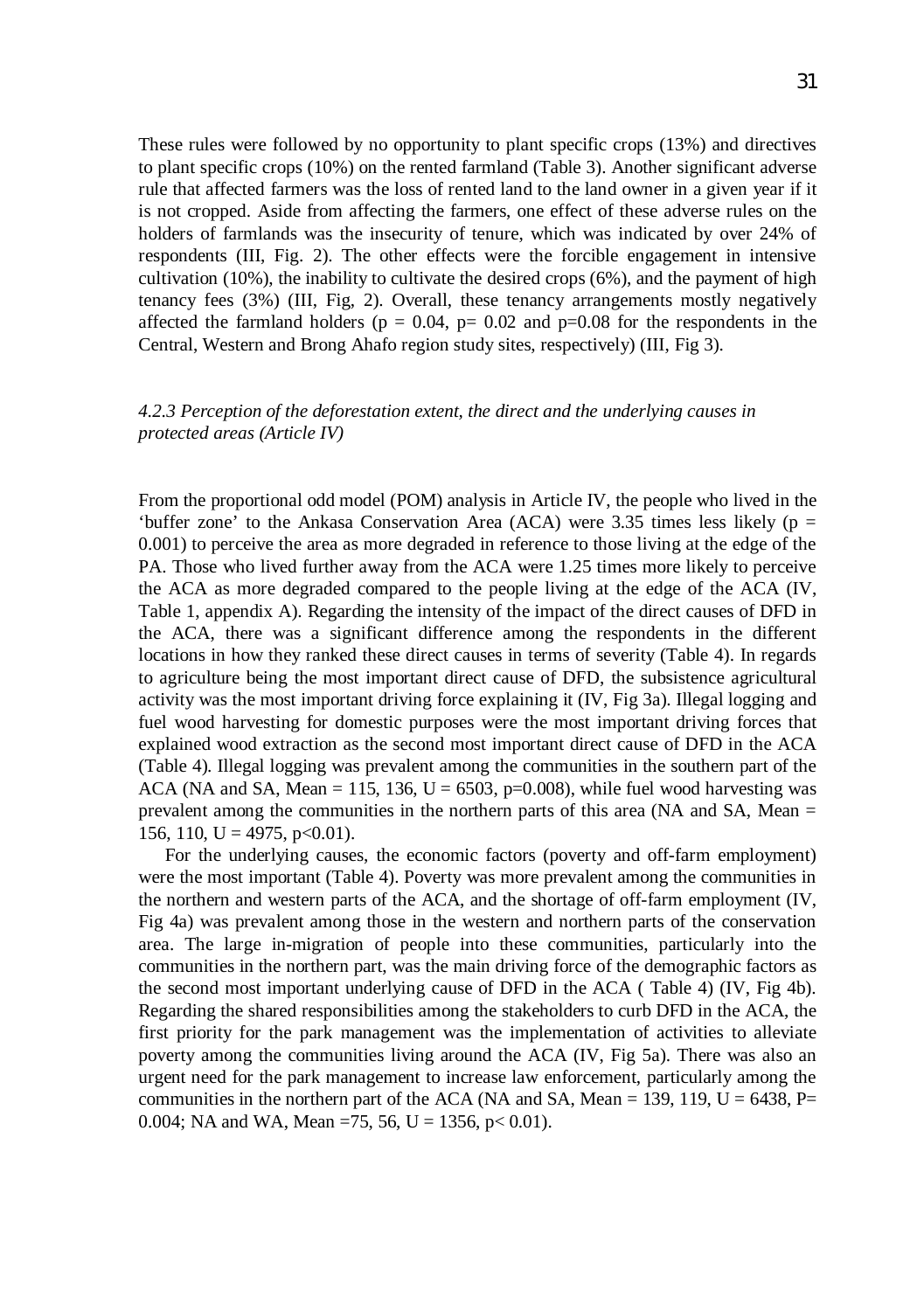These rules were followed by no opportunity to plant specific crops (13%) and directives to plant specific crops (10%) on the rented farmland (Table 3). Another significant adverse rule that affected farmers was the loss of rented land to the land owner in a given year if it is not cropped. Aside from affecting the farmers, one effect of these adverse rules on the holders of farmlands was the insecurity of tenure, which was indicated by over 24% of respondents (III, Fig. 2). The other effects were the forcible engagement in intensive cultivation (10%), the inability to cultivate the desired crops (6%), and the payment of high tenancy fees (3%) (III, Fig, 2). Overall, these tenancy arrangements mostly negatively affected the farmland holders ( $p = 0.04$ ,  $p= 0.02$  and  $p=0.08$  for the respondents in the Central, Western and Brong Ahafo region study sites, respectively) (III, Fig 3).

## *4.2.3 Perception of the deforestation extent, the direct and the underlying causes in protected areas (Article IV)*

From the proportional odd model (POM) analysis in Article IV, the people who lived in the 'buffer zone' to the Ankasa Conservation Area (ACA) were 3.35 times less likely ( $p =$ 0.001) to perceive the area as more degraded in reference to those living at the edge of the PA. Those who lived further away from the ACA were 1.25 times more likely to perceive the ACA as more degraded compared to the people living at the edge of the ACA (IV, Table 1, appendix A). Regarding the intensity of the impact of the direct causes of DFD in the ACA, there was a significant difference among the respondents in the different locations in how they ranked these direct causes in terms of severity (Table 4). In regards to agriculture being the most important direct cause of DFD, the subsistence agricultural activity was the most important driving force explaining it (IV, Fig 3a). Illegal logging and fuel wood harvesting for domestic purposes were the most important driving forces that explained wood extraction as the second most important direct cause of DFD in the ACA (Table 4). Illegal logging was prevalent among the communities in the southern part of the ACA (NA and SA, Mean = 115, 136,  $U = 6503$ ,  $p=0.008$ ), while fuel wood harvesting was prevalent among the communities in the northern parts of this area (NA and SA, Mean  $=$ 156, 110, U = 4975, p<0.01).

For the underlying causes, the economic factors (poverty and off-farm employment) were the most important (Table 4). Poverty was more prevalent among the communities in the northern and western parts of the ACA, and the shortage of off-farm employment (IV, Fig 4a) was prevalent among those in the western and northern parts of the conservation area. The large in-migration of people into these communities, particularly into the communities in the northern part, was the main driving force of the demographic factors as the second most important underlying cause of DFD in the ACA ( Table 4) (IV, Fig 4b). Regarding the shared responsibilities among the stakeholders to curb DFD in the ACA, the first priority for the park management was the implementation of activities to alleviate poverty among the communities living around the ACA (IV, Fig 5a). There was also an urgent need for the park management to increase law enforcement, particularly among the communities in the northern part of the ACA (NA and SA, Mean = 139, 119,  $U = 6438$ , P= 0.004; NA and WA, Mean =75, 56, U = 1356, p < 0.01).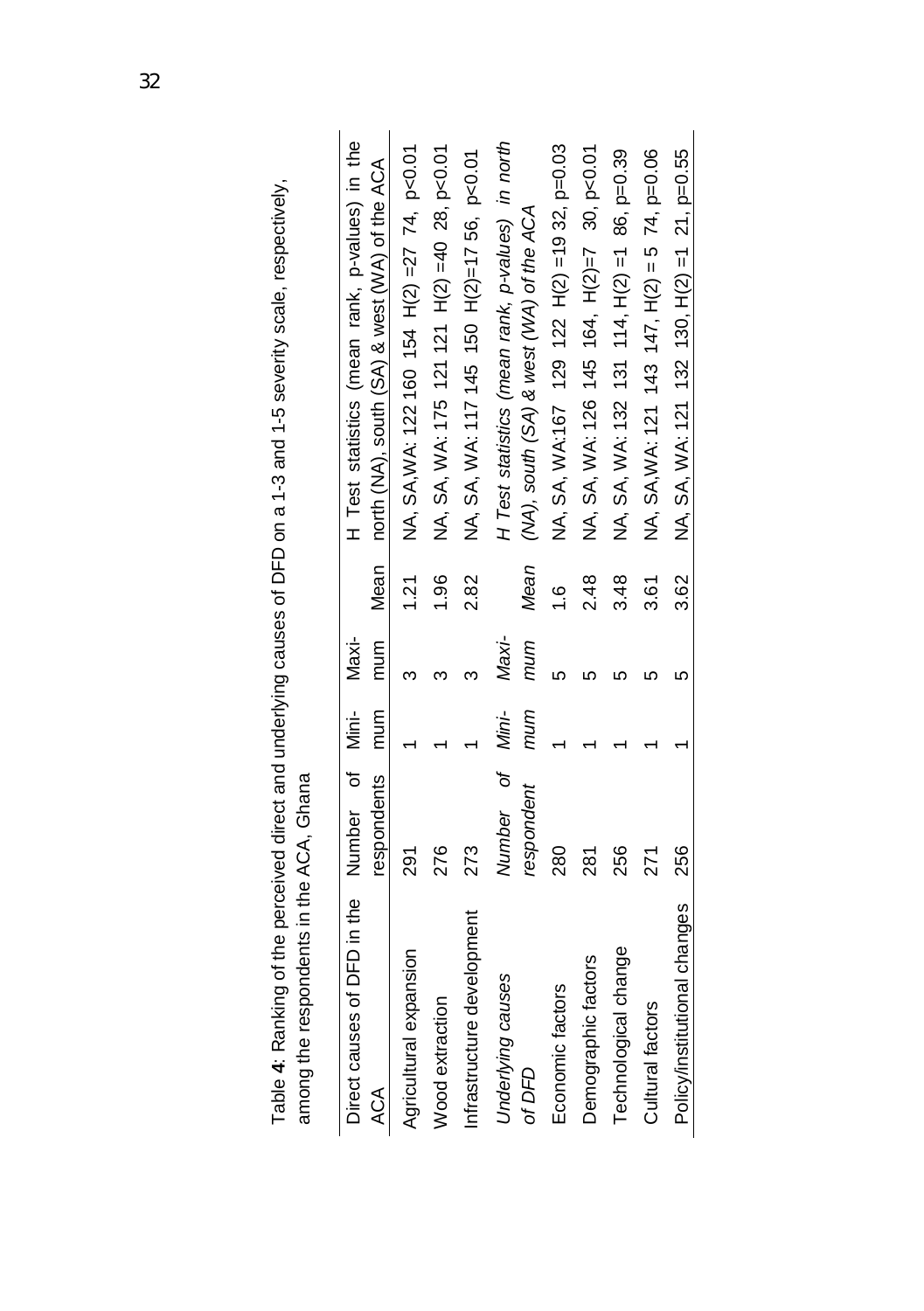| Direct causes of DFD in the Number of |                               | Mini-     | Maxi-        |               | H Test statistics (mean rank, p-values) in the                                              |
|---------------------------------------|-------------------------------|-----------|--------------|---------------|---------------------------------------------------------------------------------------------|
| ACA                                   | respondents                   | mnuu<br>E | mum          | Mean          | north (NA), south (SA) & west (WA) of the ACA                                               |
| Agricultural expansion                | 291                           |           |              | 1.21          | NA, SA, WA: 122 160 154 H(2) = 27 74, p<0.01                                                |
| Wood extraction                       | 276                           |           |              | 1.96          | NA, SA, WA: 175 121 121 H(2) =40 28, p<0.01                                                 |
| Infrastructure development            | 273                           |           |              | 282           | NA, SA, WA: 117 145 150 H(2)=17 56, p<0.01                                                  |
| Underlying causes<br>of DFD           | Number of Mini-<br>respondent | mum       | Maxi-<br>mum | Mean          | H Test statistics (mean rank, p-values) in north<br>(NA), south (SA) & west (WA) of the ACA |
| Economic factors                      | 280                           |           |              | $\frac{6}{1}$ | NA, SA, WA:167 129 122 H(2) =19 32, p=0.03                                                  |
| Demographic factors                   | 281                           |           |              | 2.48          | NA, SA, WA: 126 145 164, H(2)=7 30, p<0.01                                                  |
| Technological change                  | 256                           |           |              | 3.48          | NA, SA, WA: 131 114, H(2) = 1 86, p=0.39                                                    |
| Cultural factors                      | 271                           |           |              | 3.61          | NA, SA, WA: 121 143 147, H(2) = 5 74, p=0.06                                                |
| Policy/institutional changes          | 256                           |           |              | 3.62          | NA, SA, WA: 121 132 130, H(2) = 1 21, p=0.55                                                |

Table 4: Ranking of the perceived direct and underlying causes of DFD on a 1-3 and 1-5 severity scale, respectively, Table **4**: Ranking of the perceived direct and underlying causes of DFD on a 1-3 and 1-5 severity scale, respectively, among the respondents in the ACA, Ghana among the respondents in the ACA, Ghana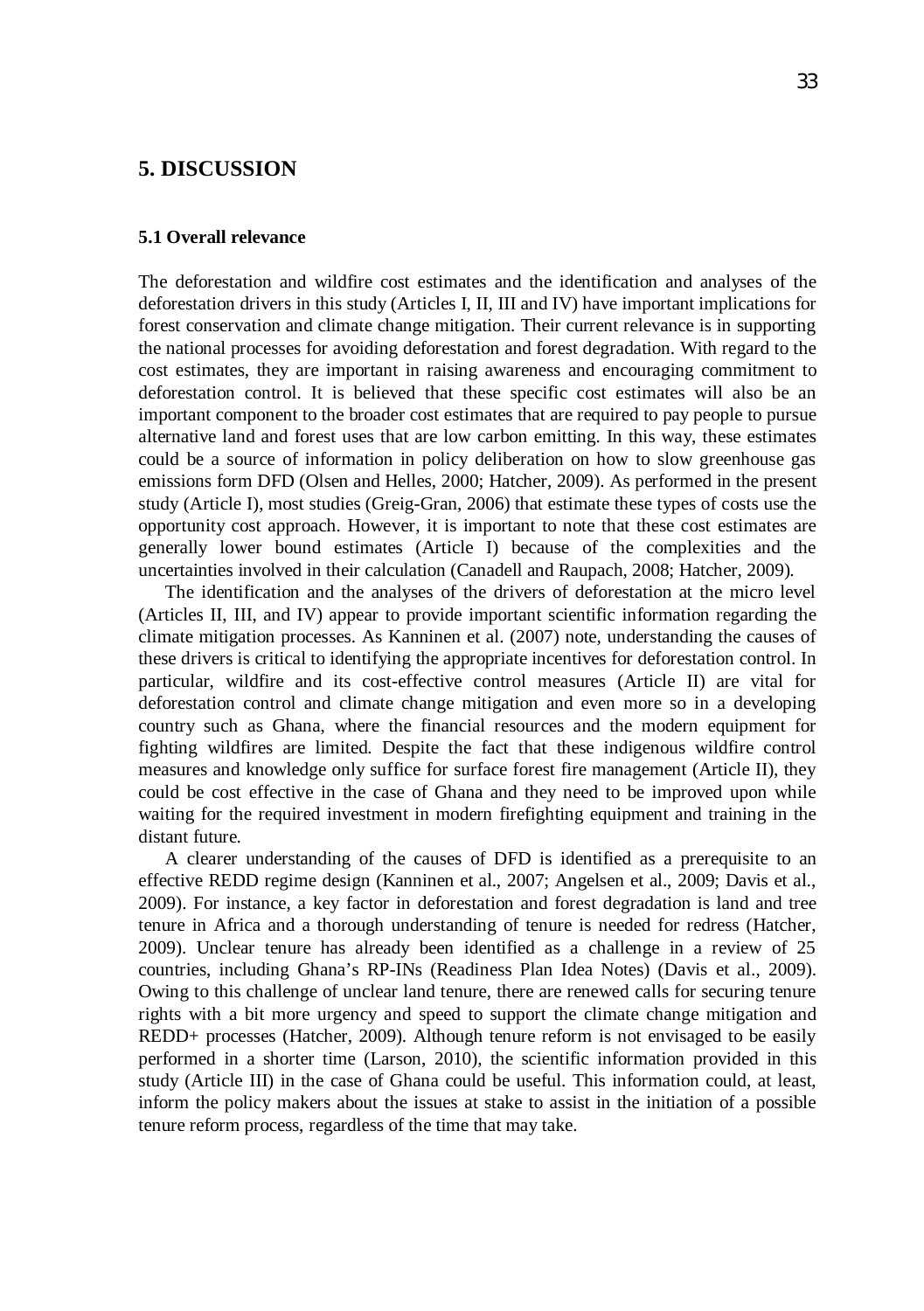## **5. DISCUSSION**

#### **5.1 Overall relevance**

The deforestation and wildfire cost estimates and the identification and analyses of the deforestation drivers in this study (Articles I, II, III and IV) have important implications for forest conservation and climate change mitigation. Their current relevance is in supporting the national processes for avoiding deforestation and forest degradation. With regard to the cost estimates, they are important in raising awareness and encouraging commitment to deforestation control. It is believed that these specific cost estimates will also be an important component to the broader cost estimates that are required to pay people to pursue alternative land and forest uses that are low carbon emitting. In this way, these estimates could be a source of information in policy deliberation on how to slow greenhouse gas emissions form DFD (Olsen and Helles, 2000; Hatcher, 2009). As performed in the present study (Article I), most studies (Greig-Gran, 2006) that estimate these types of costs use the opportunity cost approach. However, it is important to note that these cost estimates are generally lower bound estimates (Article I) because of the complexities and the uncertainties involved in their calculation (Canadell and Raupach, 2008; Hatcher, 2009).

The identification and the analyses of the drivers of deforestation at the micro level (Articles II, III, and IV) appear to provide important scientific information regarding the climate mitigation processes. As Kanninen et al. (2007) note, understanding the causes of these drivers is critical to identifying the appropriate incentives for deforestation control. In particular, wildfire and its cost-effective control measures (Article II) are vital for deforestation control and climate change mitigation and even more so in a developing country such as Ghana, where the financial resources and the modern equipment for fighting wildfires are limited. Despite the fact that these indigenous wildfire control measures and knowledge only suffice for surface forest fire management (Article II), they could be cost effective in the case of Ghana and they need to be improved upon while waiting for the required investment in modern firefighting equipment and training in the distant future.

A clearer understanding of the causes of DFD is identified as a prerequisite to an effective REDD regime design (Kanninen et al., 2007; Angelsen et al., 2009; Davis et al., 2009). For instance, a key factor in deforestation and forest degradation is land and tree tenure in Africa and a thorough understanding of tenure is needed for redress (Hatcher, 2009). Unclear tenure has already been identified as a challenge in a review of 25 countries, including Ghana's RP-INs (Readiness Plan Idea Notes) (Davis et al., 2009). Owing to this challenge of unclear land tenure, there are renewed calls for securing tenure rights with a bit more urgency and speed to support the climate change mitigation and REDD+ processes (Hatcher, 2009). Although tenure reform is not envisaged to be easily performed in a shorter time (Larson, 2010), the scientific information provided in this study (Article III) in the case of Ghana could be useful. This information could, at least, inform the policy makers about the issues at stake to assist in the initiation of a possible tenure reform process, regardless of the time that may take.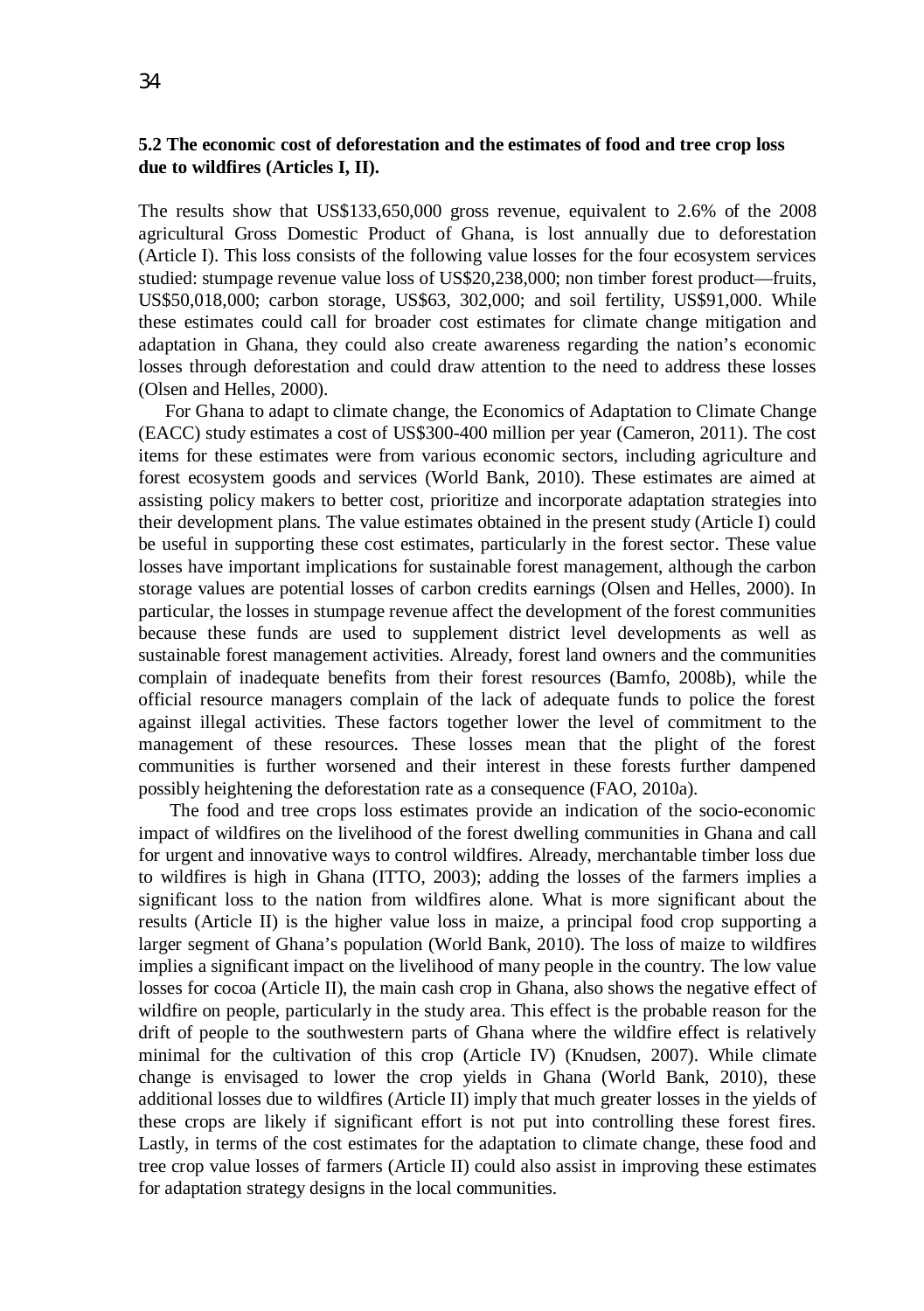### **5.2 The economic cost of deforestation and the estimates of food and tree crop loss due to wildfires (Articles I, II).**

The results show that US\$133,650,000 gross revenue, equivalent to 2.6% of the 2008 agricultural Gross Domestic Product of Ghana, is lost annually due to deforestation (Article I). This loss consists of the following value losses for the four ecosystem services studied: stumpage revenue value loss of US\$20,238,000; non timber forest product—fruits, US\$50,018,000; carbon storage, US\$63, 302,000; and soil fertility, US\$91,000. While these estimates could call for broader cost estimates for climate change mitigation and adaptation in Ghana, they could also create awareness regarding the nation's economic losses through deforestation and could draw attention to the need to address these losses (Olsen and Helles, 2000).

For Ghana to adapt to climate change, the Economics of Adaptation to Climate Change (EACC) study estimates a cost of US\$300-400 million per year (Cameron, 2011). The cost items for these estimates were from various economic sectors, including agriculture and forest ecosystem goods and services (World Bank, 2010). These estimates are aimed at assisting policy makers to better cost, prioritize and incorporate adaptation strategies into their development plans. The value estimates obtained in the present study (Article I) could be useful in supporting these cost estimates, particularly in the forest sector. These value losses have important implications for sustainable forest management, although the carbon storage values are potential losses of carbon credits earnings (Olsen and Helles, 2000). In particular, the losses in stumpage revenue affect the development of the forest communities because these funds are used to supplement district level developments as well as sustainable forest management activities. Already, forest land owners and the communities complain of inadequate benefits from their forest resources (Bamfo, 2008b), while the official resource managers complain of the lack of adequate funds to police the forest against illegal activities. These factors together lower the level of commitment to the management of these resources. These losses mean that the plight of the forest communities is further worsened and their interest in these forests further dampened possibly heightening the deforestation rate as a consequence (FAO, 2010a).

 The food and tree crops loss estimates provide an indication of the socio-economic impact of wildfires on the livelihood of the forest dwelling communities in Ghana and call for urgent and innovative ways to control wildfires. Already, merchantable timber loss due to wildfires is high in Ghana (ITTO, 2003); adding the losses of the farmers implies a significant loss to the nation from wildfires alone. What is more significant about the results (Article II) is the higher value loss in maize, a principal food crop supporting a larger segment of Ghana's population (World Bank, 2010). The loss of maize to wildfires implies a significant impact on the livelihood of many people in the country. The low value losses for cocoa (Article II), the main cash crop in Ghana, also shows the negative effect of wildfire on people, particularly in the study area. This effect is the probable reason for the drift of people to the southwestern parts of Ghana where the wildfire effect is relatively minimal for the cultivation of this crop (Article IV) (Knudsen, 2007). While climate change is envisaged to lower the crop yields in Ghana (World Bank, 2010), these additional losses due to wildfires (Article II) imply that much greater losses in the yields of these crops are likely if significant effort is not put into controlling these forest fires. Lastly, in terms of the cost estimates for the adaptation to climate change, these food and tree crop value losses of farmers (Article II) could also assist in improving these estimates for adaptation strategy designs in the local communities.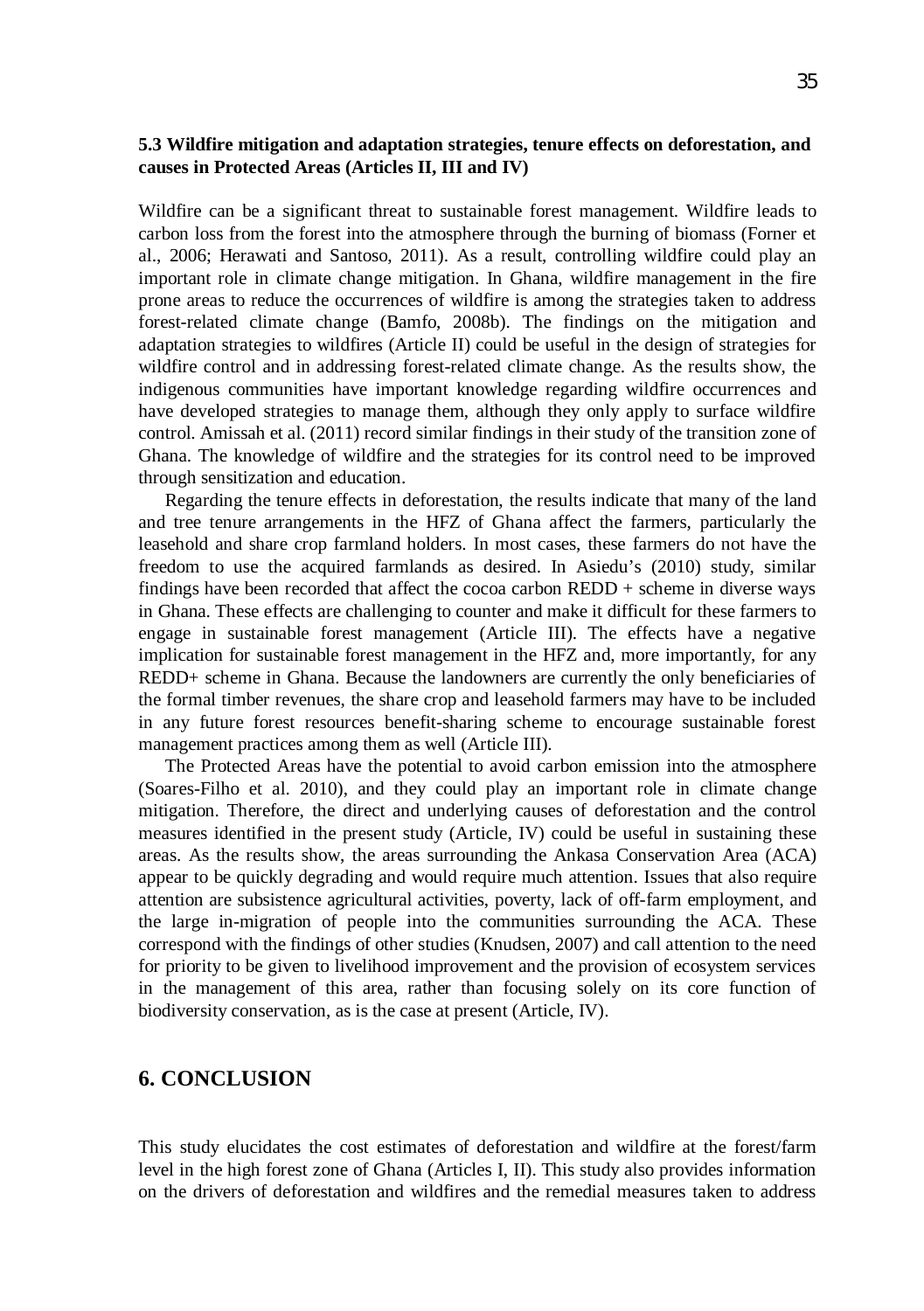### **5.3 Wildfire mitigation and adaptation strategies, tenure effects on deforestation, and causes in Protected Areas (Articles II, III and IV)**

Wildfire can be a significant threat to sustainable forest management. Wildfire leads to carbon loss from the forest into the atmosphere through the burning of biomass (Forner et al., 2006; Herawati and Santoso, 2011). As a result, controlling wildfire could play an important role in climate change mitigation. In Ghana, wildfire management in the fire prone areas to reduce the occurrences of wildfire is among the strategies taken to address forest-related climate change (Bamfo, 2008b). The findings on the mitigation and adaptation strategies to wildfires (Article II) could be useful in the design of strategies for wildfire control and in addressing forest-related climate change. As the results show, the indigenous communities have important knowledge regarding wildfire occurrences and have developed strategies to manage them, although they only apply to surface wildfire control. Amissah et al. (2011) record similar findings in their study of the transition zone of Ghana. The knowledge of wildfire and the strategies for its control need to be improved through sensitization and education.

Regarding the tenure effects in deforestation, the results indicate that many of the land and tree tenure arrangements in the HFZ of Ghana affect the farmers, particularly the leasehold and share crop farmland holders. In most cases, these farmers do not have the freedom to use the acquired farmlands as desired. In Asiedu's (2010) study, similar findings have been recorded that affect the cocoa carbon REDD + scheme in diverse ways in Ghana. These effects are challenging to counter and make it difficult for these farmers to engage in sustainable forest management (Article III). The effects have a negative implication for sustainable forest management in the HFZ and, more importantly, for any REDD+ scheme in Ghana. Because the landowners are currently the only beneficiaries of the formal timber revenues, the share crop and leasehold farmers may have to be included in any future forest resources benefit-sharing scheme to encourage sustainable forest management practices among them as well (Article III).

The Protected Areas have the potential to avoid carbon emission into the atmosphere (Soares-Filho et al. 2010), and they could play an important role in climate change mitigation. Therefore, the direct and underlying causes of deforestation and the control measures identified in the present study (Article, IV) could be useful in sustaining these areas. As the results show, the areas surrounding the Ankasa Conservation Area (ACA) appear to be quickly degrading and would require much attention. Issues that also require attention are subsistence agricultural activities, poverty, lack of off-farm employment, and the large in-migration of people into the communities surrounding the ACA. These correspond with the findings of other studies (Knudsen, 2007) and call attention to the need for priority to be given to livelihood improvement and the provision of ecosystem services in the management of this area, rather than focusing solely on its core function of biodiversity conservation, as is the case at present (Article, IV).

## **6. CONCLUSION**

This study elucidates the cost estimates of deforestation and wildfire at the forest/farm level in the high forest zone of Ghana (Articles I, II). This study also provides information on the drivers of deforestation and wildfires and the remedial measures taken to address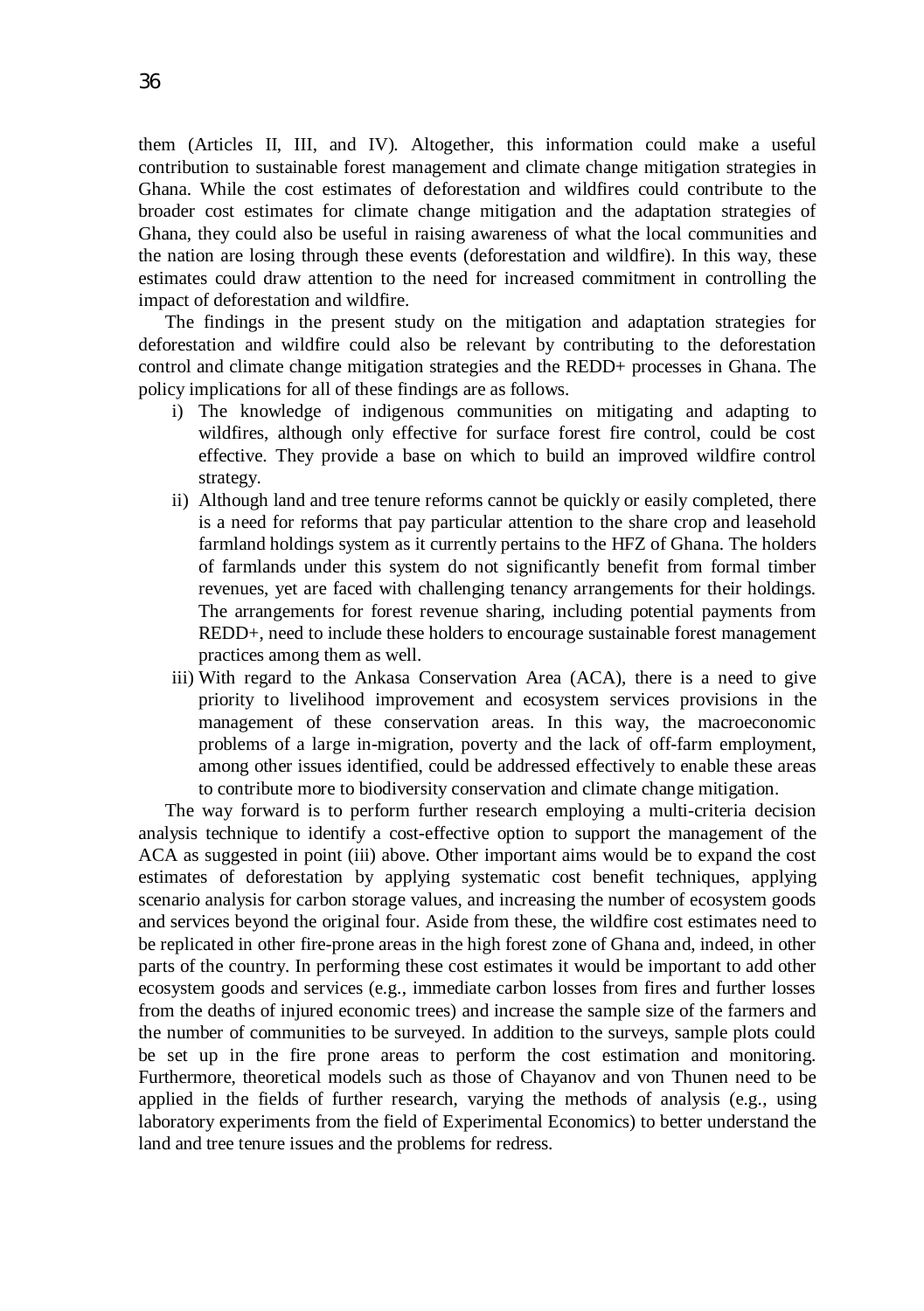them (Articles II, III, and IV). Altogether, this information could make a useful contribution to sustainable forest management and climate change mitigation strategies in Ghana. While the cost estimates of deforestation and wildfires could contribute to the broader cost estimates for climate change mitigation and the adaptation strategies of Ghana, they could also be useful in raising awareness of what the local communities and the nation are losing through these events (deforestation and wildfire). In this way, these estimates could draw attention to the need for increased commitment in controlling the impact of deforestation and wildfire.

The findings in the present study on the mitigation and adaptation strategies for deforestation and wildfire could also be relevant by contributing to the deforestation control and climate change mitigation strategies and the REDD+ processes in Ghana. The policy implications for all of these findings are as follows.

- i) The knowledge of indigenous communities on mitigating and adapting to wildfires, although only effective for surface forest fire control, could be cost effective. They provide a base on which to build an improved wildfire control strategy.
- ii) Although land and tree tenure reforms cannot be quickly or easily completed, there is a need for reforms that pay particular attention to the share crop and leasehold farmland holdings system as it currently pertains to the HFZ of Ghana. The holders of farmlands under this system do not significantly benefit from formal timber revenues, yet are faced with challenging tenancy arrangements for their holdings. The arrangements for forest revenue sharing, including potential payments from REDD+, need to include these holders to encourage sustainable forest management practices among them as well.
- iii) With regard to the Ankasa Conservation Area (ACA), there is a need to give priority to livelihood improvement and ecosystem services provisions in the management of these conservation areas. In this way, the macroeconomic problems of a large in-migration, poverty and the lack of off-farm employment, among other issues identified, could be addressed effectively to enable these areas to contribute more to biodiversity conservation and climate change mitigation.

The way forward is to perform further research employing a multi-criteria decision analysis technique to identify a cost-effective option to support the management of the ACA as suggested in point (iii) above. Other important aims would be to expand the cost estimates of deforestation by applying systematic cost benefit techniques, applying scenario analysis for carbon storage values, and increasing the number of ecosystem goods and services beyond the original four. Aside from these, the wildfire cost estimates need to be replicated in other fire-prone areas in the high forest zone of Ghana and, indeed, in other parts of the country. In performing these cost estimates it would be important to add other ecosystem goods and services (e.g., immediate carbon losses from fires and further losses from the deaths of injured economic trees) and increase the sample size of the farmers and the number of communities to be surveyed. In addition to the surveys, sample plots could be set up in the fire prone areas to perform the cost estimation and monitoring. Furthermore, theoretical models such as those of Chayanov and von Thunen need to be applied in the fields of further research, varying the methods of analysis (e.g., using laboratory experiments from the field of Experimental Economics) to better understand the land and tree tenure issues and the problems for redress.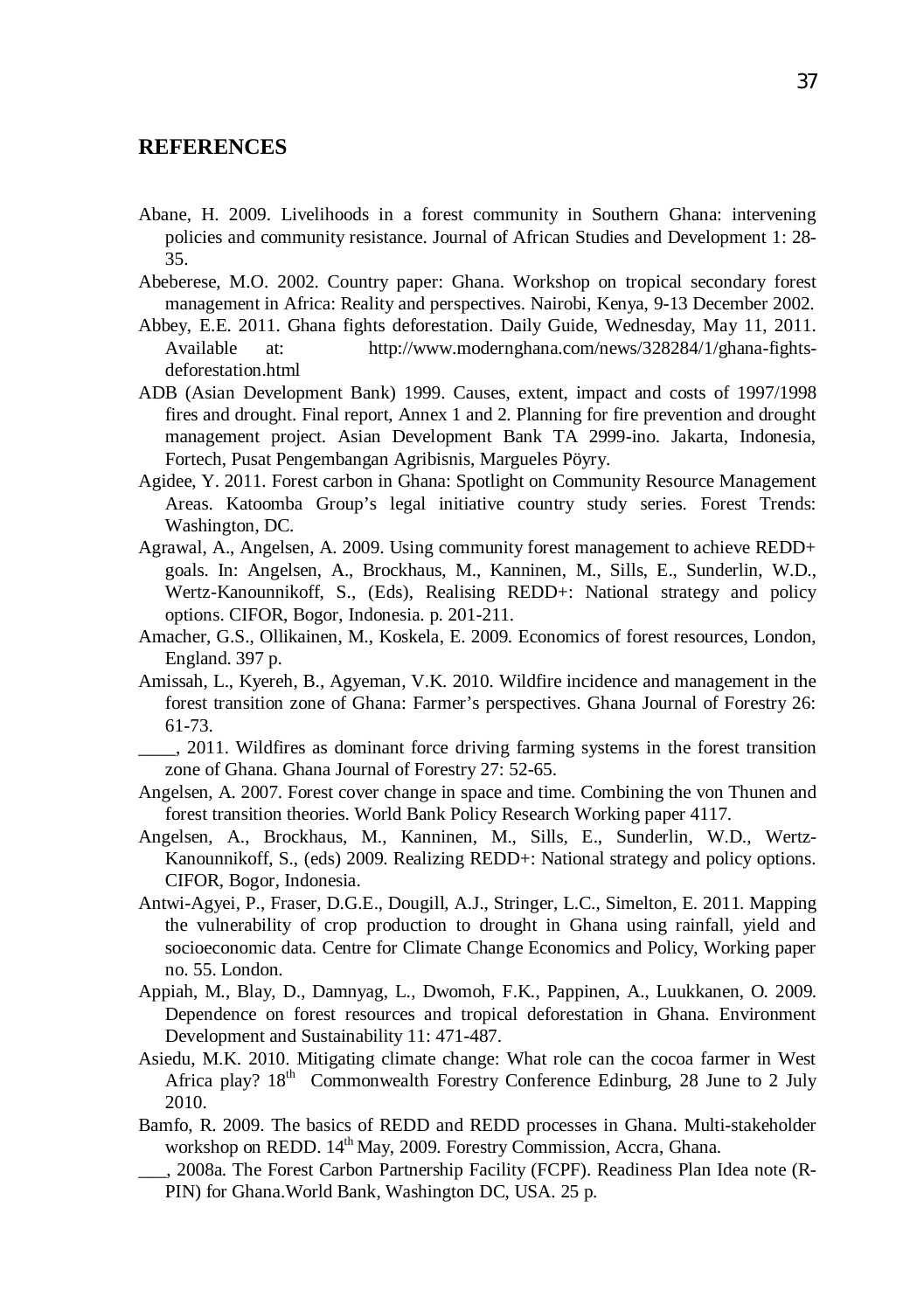### **REFERENCES**

- Abane, H. 2009. Livelihoods in a forest community in Southern Ghana: intervening policies and community resistance. Journal of African Studies and Development 1: 28- 35.
- Abeberese, M.O. 2002. Country paper: Ghana. Workshop on tropical secondary forest management in Africa: Reality and perspectives. Nairobi, Kenya, 9-13 December 2002.
- Abbey, E.E. 2011. Ghana fights deforestation. Daily Guide, Wednesday, May 11, 2011. Available at: http://www.modernghana.com/news/328284/1/ghana-fightsdeforestation.html
- ADB (Asian Development Bank) 1999. Causes, extent, impact and costs of 1997/1998 fires and drought. Final report, Annex 1 and 2. Planning for fire prevention and drought management project. Asian Development Bank TA 2999-ino. Jakarta, Indonesia, Fortech, Pusat Pengembangan Agribisnis, Margueles Pöyry.
- Agidee, Y. 2011. Forest carbon in Ghana: Spotlight on Community Resource Management Areas. Katoomba Group's legal initiative country study series. Forest Trends: Washington, DC.
- Agrawal, A., Angelsen, A. 2009. Using community forest management to achieve REDD+ goals. In: Angelsen, A., Brockhaus, M., Kanninen, M., Sills, E., Sunderlin, W.D., Wertz-Kanounnikoff, S., (Eds), Realising REDD+: National strategy and policy options. CIFOR, Bogor, Indonesia. p. 201-211.
- Amacher, G.S., Ollikainen, M., Koskela, E. 2009. Economics of forest resources, London, England. 397 p.
- Amissah, L., Kyereh, B., Agyeman, V.K. 2010. Wildfire incidence and management in the forest transition zone of Ghana: Farmer's perspectives. Ghana Journal of Forestry 26: 61-73.
- \_\_\_\_, 2011. Wildfires as dominant force driving farming systems in the forest transition zone of Ghana. Ghana Journal of Forestry 27: 52-65.
- Angelsen, A. 2007. Forest cover change in space and time. Combining the von Thunen and forest transition theories. World Bank Policy Research Working paper 4117.
- Angelsen, A., Brockhaus, M., Kanninen, M., Sills, E., Sunderlin, W.D., Wertz-Kanounnikoff, S., (eds) 2009. Realizing REDD+: National strategy and policy options. CIFOR, Bogor, Indonesia.
- Antwi-Agyei, P., Fraser, D.G.E., Dougill, A.J., Stringer, L.C., Simelton, E. 2011. Mapping the vulnerability of crop production to drought in Ghana using rainfall, yield and socioeconomic data. Centre for Climate Change Economics and Policy, Working paper no. 55. London.
- Appiah, M., Blay, D., Damnyag, L., Dwomoh, F.K., Pappinen, A., Luukkanen, O. 2009. Dependence on forest resources and tropical deforestation in Ghana. Environment Development and Sustainability 11: 471-487.
- Asiedu, M.K. 2010. Mitigating climate change: What role can the cocoa farmer in West Africa play? 18<sup>th</sup> Commonwealth Forestry Conference Edinburg, 28 June to 2 July 2010.
- Bamfo, R. 2009. The basics of REDD and REDD processes in Ghana. Multi-stakeholder workshop on REDD. 14<sup>th</sup> May, 2009. Forestry Commission, Accra, Ghana.
- \_\_\_, 2008a. The Forest Carbon Partnership Facility (FCPF). Readiness Plan Idea note (R-PIN) for Ghana.World Bank, Washington DC, USA. 25 p.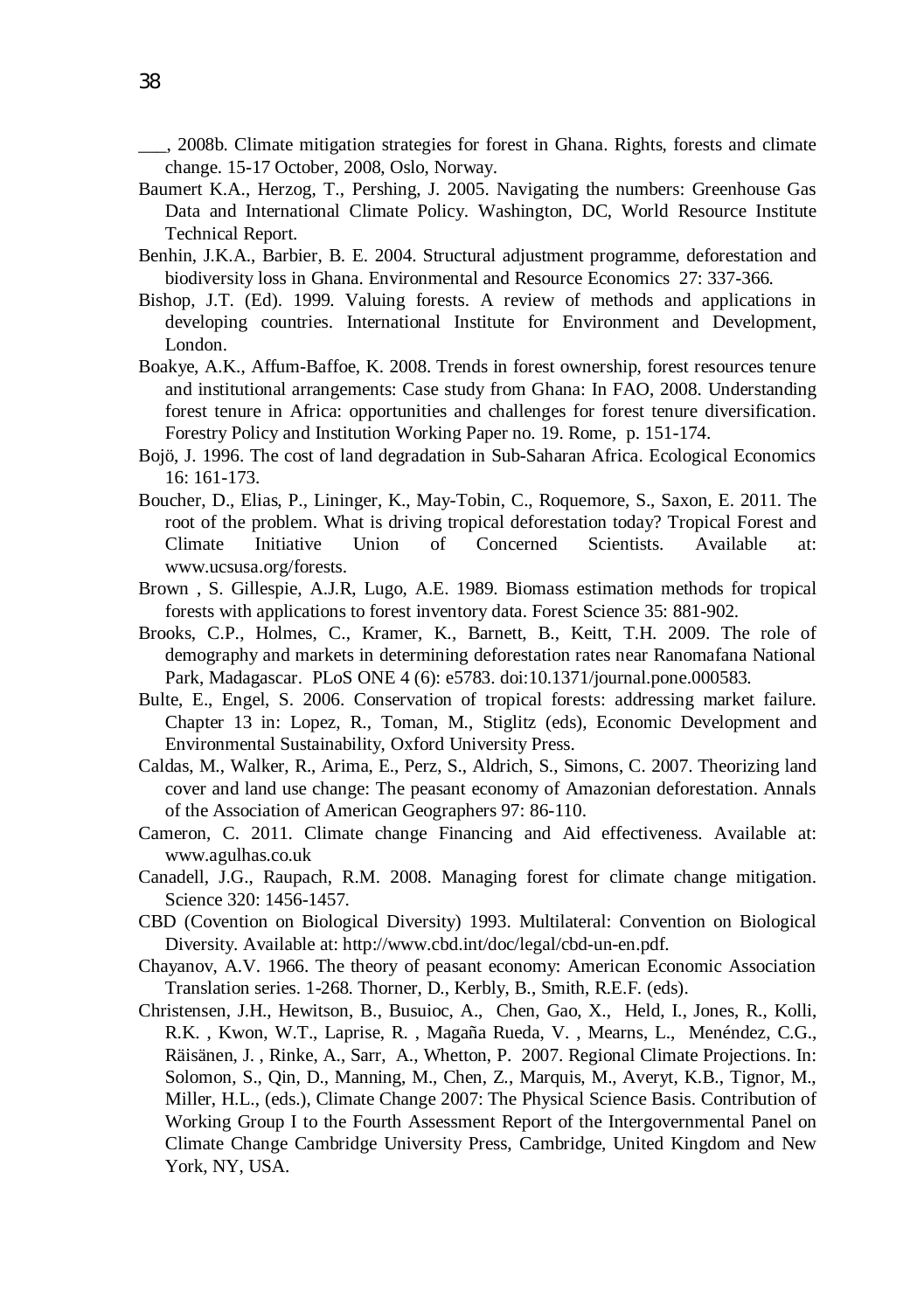\_\_\_, 2008b. Climate mitigation strategies for forest in Ghana. Rights, forests and climate change. 15-17 October, 2008, Oslo, Norway.

- Baumert K.A., Herzog, T., Pershing, J. 2005. Navigating the numbers: Greenhouse Gas Data and International Climate Policy. Washington, DC, World Resource Institute Technical Report.
- Benhin, J.K.A., Barbier, B. E. 2004. Structural adjustment programme, deforestation and biodiversity loss in Ghana. Environmental and Resource Economics 27: 337-366.
- Bishop, J.T. (Ed). 1999. Valuing forests. A review of methods and applications in developing countries. International Institute for Environment and Development, London.
- Boakye, A.K., Affum-Baffoe, K. 2008. Trends in forest ownership, forest resources tenure and institutional arrangements: Case study from Ghana: In FAO, 2008. Understanding forest tenure in Africa: opportunities and challenges for forest tenure diversification. Forestry Policy and Institution Working Paper no. 19. Rome, p. 151-174.
- Bojö, J. 1996. The cost of land degradation in Sub-Saharan Africa. Ecological Economics 16: 161-173.
- Boucher, D., Elias, P., Lininger, K., May-Tobin, C., Roquemore, S., Saxon, E. 2011. The root of the problem. What is driving tropical deforestation today? Tropical Forest and Climate Initiative Union of Concerned Scientists. Available at: www.ucsusa.org/forests.
- Brown , S. Gillespie, A.J.R, Lugo, A.E. 1989. Biomass estimation methods for tropical forests with applications to forest inventory data. Forest Science 35: 881-902.
- Brooks, C.P., Holmes, C., Kramer, K., Barnett, B., Keitt, T.H. 2009. The role of demography and markets in determining deforestation rates near Ranomafana National Park, Madagascar. PLoS ONE 4 (6): e5783. doi:10.1371/journal.pone.000583.
- Bulte, E., Engel, S. 2006. Conservation of tropical forests: addressing market failure. Chapter 13 in: Lopez, R., Toman, M., Stiglitz (eds), Economic Development and Environmental Sustainability, Oxford University Press.
- Caldas, M., Walker, R., Arima, E., Perz, S., Aldrich, S., Simons, C. 2007. Theorizing land cover and land use change: The peasant economy of Amazonian deforestation. Annals of the Association of American Geographers 97: 86-110.
- Cameron, C. 2011. Climate change Financing and Aid effectiveness. Available at: www.agulhas.co.uk
- Canadell, J.G., Raupach, R.M. 2008. Managing forest for climate change mitigation. Science 320: 1456-1457.
- CBD (Covention on Biological Diversity) 1993. Multilateral: Convention on Biological Diversity. Available at: http://www.cbd.int/doc/legal/cbd-un-en.pdf.
- Chayanov, A.V. 1966. The theory of peasant economy: American Economic Association Translation series. 1-268. Thorner, D., Kerbly, B., Smith, R.E.F. (eds).
- Christensen, J.H., Hewitson, B., Busuioc, A., Chen, Gao, X., Held, I., Jones, R., Kolli, R.K. , Kwon, W.T., Laprise, R. , Magaña Rueda, V. , Mearns, L., Menéndez, C.G., Räisänen, J. , Rinke, A., Sarr, A., Whetton, P. 2007. Regional Climate Projections. In: Solomon, S., Qin, D., Manning, M., Chen, Z., Marquis, M., Averyt, K.B., Tignor, M., Miller, H.L., (eds.), Climate Change 2007: The Physical Science Basis. Contribution of Working Group I to the Fourth Assessment Report of the Intergovernmental Panel on Climate Change Cambridge University Press, Cambridge, United Kingdom and New York, NY, USA.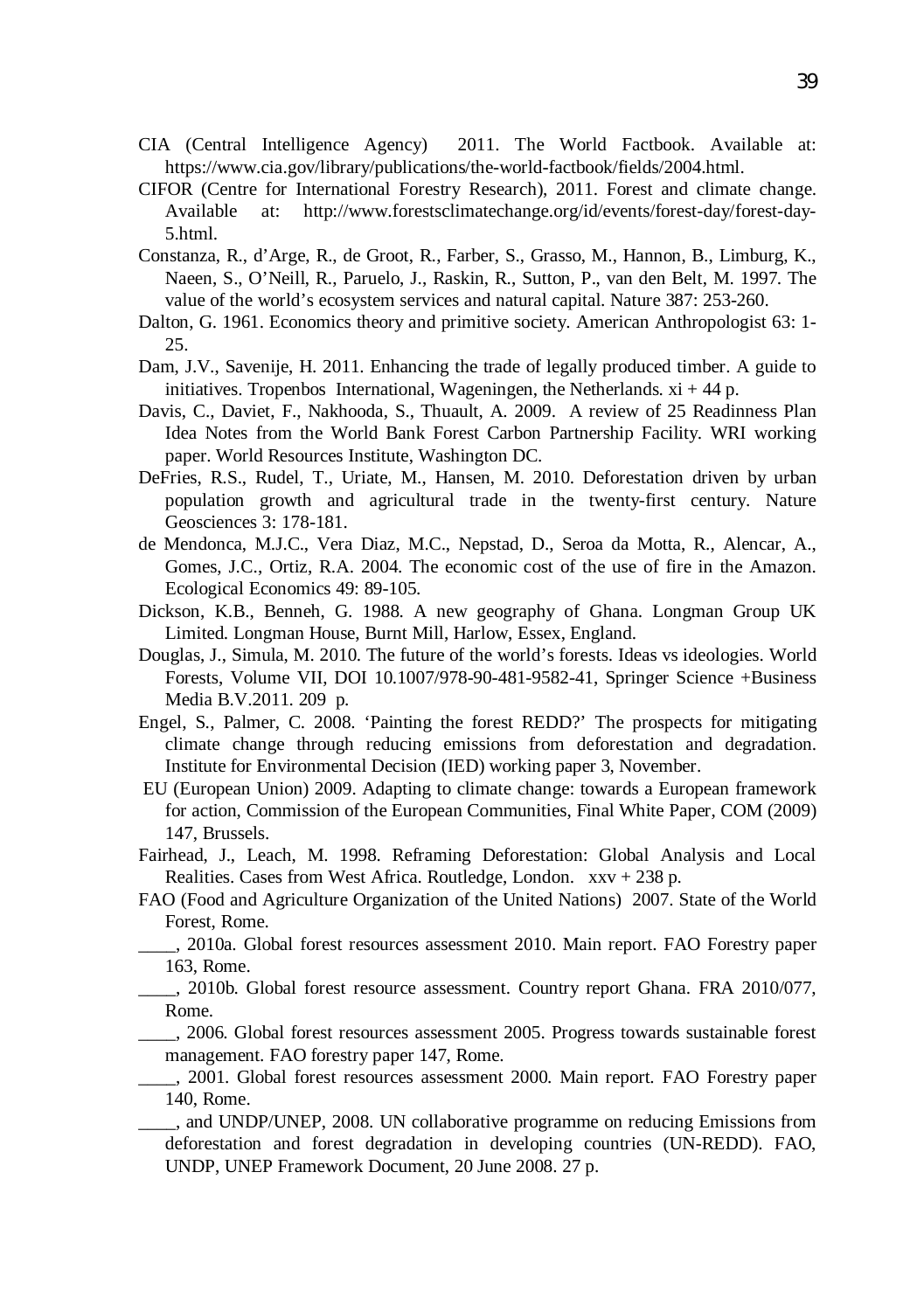- CIA (Central Intelligence Agency) 2011. The World Factbook. Available at: https://www.cia.gov/library/publications/the-world-factbook/fields/2004.html.
- CIFOR (Centre for International Forestry Research), 2011. Forest and climate change. Available at: http://www.forestsclimatechange.org/id/events/forest-day/forest-day-5.html.
- Constanza, R., d'Arge, R., de Groot, R., Farber, S., Grasso, M., Hannon, B., Limburg, K., Naeen, S., O'Neill, R., Paruelo, J., Raskin, R., Sutton, P., van den Belt, M. 1997. The value of the world's ecosystem services and natural capital. Nature 387: 253-260.
- Dalton, G. 1961. Economics theory and primitive society. American Anthropologist 63: 1- 25.
- Dam, J.V., Savenije, H. 2011. Enhancing the trade of legally produced timber. A guide to initiatives. Tropenbos International, Wageningen, the Netherlands.  $xi + 44 p$ .
- Davis, C., Daviet, F., Nakhooda, S., Thuault, A. 2009. A review of 25 Readinness Plan Idea Notes from the World Bank Forest Carbon Partnership Facility. WRI working paper. World Resources Institute, Washington DC.
- DeFries, R.S., Rudel, T., Uriate, M., Hansen, M. 2010. Deforestation driven by urban population growth and agricultural trade in the twenty-first century. Nature Geosciences 3: 178-181.
- de Mendonca, M.J.C., Vera Diaz, M.C., Nepstad, D., Seroa da Motta, R., Alencar, A., Gomes, J.C., Ortiz, R.A. 2004. The economic cost of the use of fire in the Amazon. Ecological Economics 49: 89-105.
- Dickson, K.B., Benneh, G. 1988. A new geography of Ghana. Longman Group UK Limited. Longman House, Burnt Mill, Harlow, Essex, England.
- Douglas, J., Simula, M. 2010. The future of the world's forests. Ideas vs ideologies. World Forests, Volume VII, DOI 10.1007/978-90-481-9582-41, Springer Science +Business Media B.V.2011. 209 p.
- Engel, S., Palmer, C. 2008. 'Painting the forest REDD?' The prospects for mitigating climate change through reducing emissions from deforestation and degradation. Institute for Environmental Decision (IED) working paper 3, November.
- EU (European Union) 2009. Adapting to climate change: towards a European framework for action, Commission of the European Communities, Final White Paper, COM (2009) 147, Brussels.
- Fairhead, J., Leach, M. 1998. Reframing Deforestation: Global Analysis and Local Realities. Cases from West Africa. Routledge, London. xxv + 238 p.
- FAO (Food and Agriculture Organization of the United Nations) 2007. State of the World Forest, Rome.
- \_\_\_\_, 2010a. Global forest resources assessment 2010. Main report. FAO Forestry paper 163, Rome.
	- \_\_\_\_, 2010b. Global forest resource assessment. Country report Ghana. FRA 2010/077, Rome.
- \_\_\_\_, 2006. Global forest resources assessment 2005. Progress towards sustainable forest management. FAO forestry paper 147, Rome.
- \_\_\_\_, 2001. Global forest resources assessment 2000. Main report. FAO Forestry paper 140, Rome.
- \_\_\_\_, and UNDP/UNEP, 2008. UN collaborative programme on reducing Emissions from deforestation and forest degradation in developing countries (UN-REDD). FAO, UNDP, UNEP Framework Document, 20 June 2008. 27 p.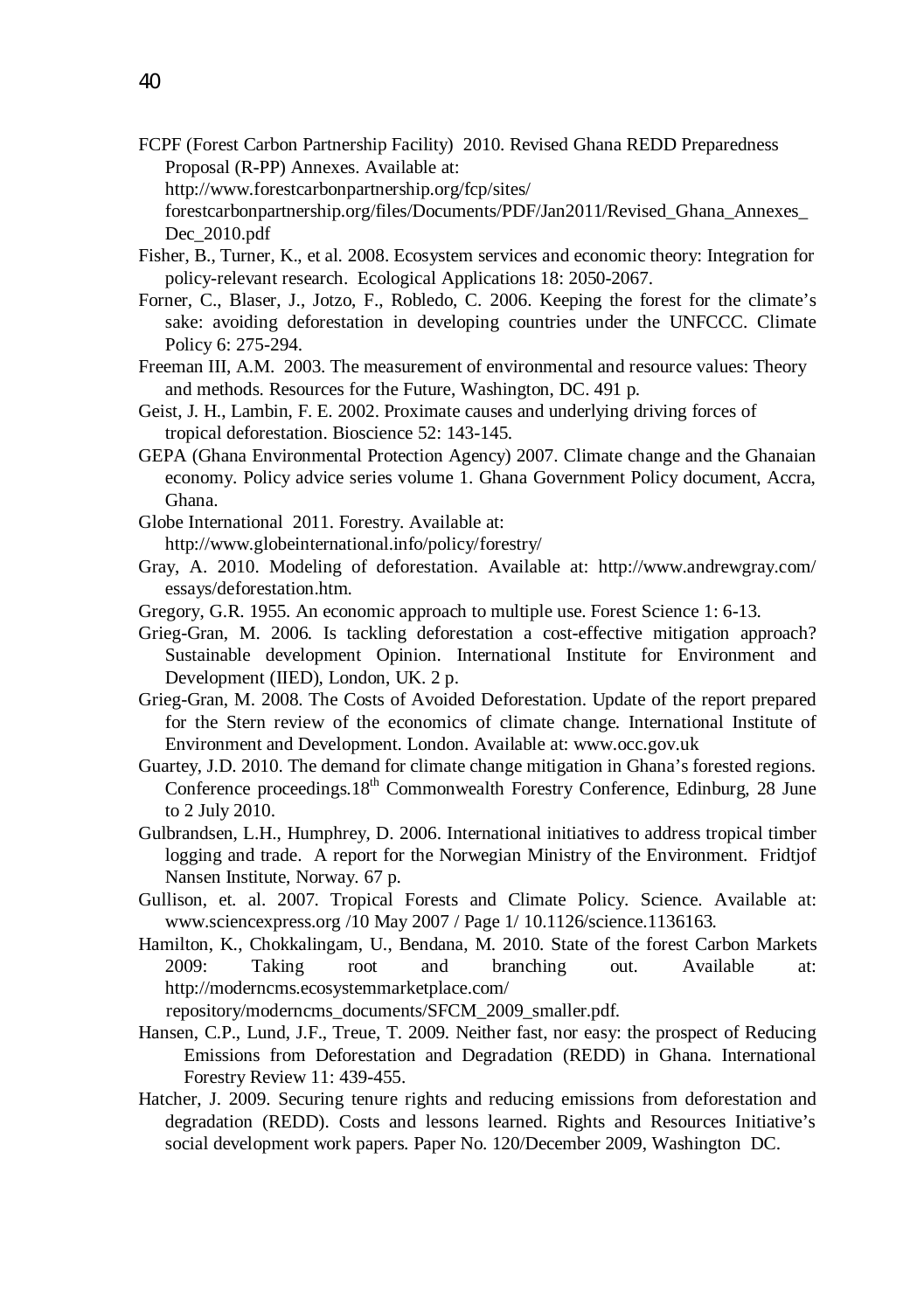- FCPF (Forest Carbon Partnership Facility) 2010. Revised Ghana REDD Preparedness Proposal (R-PP) Annexes. Available at:
	- http://www.forestcarbonpartnership.org/fcp/sites/

forestcarbonpartnership.org/files/Documents/PDF/Jan2011/Revised\_Ghana\_Annexes\_ Dec\_2010.pdf

- Fisher, B., Turner, K., et al. 2008. Ecosystem services and economic theory: Integration for policy-relevant research. Ecological Applications 18: 2050-2067.
- Forner, C., Blaser, J., Jotzo, F., Robledo, C. 2006. Keeping the forest for the climate's sake: avoiding deforestation in developing countries under the UNFCCC. Climate Policy 6: 275-294.
- Freeman III, A.M. 2003. The measurement of environmental and resource values: Theory and methods. Resources for the Future, Washington, DC. 491 p.
- Geist, J. H., Lambin, F. E. 2002. Proximate causes and underlying driving forces of tropical deforestation. Bioscience 52: 143-145.
- GEPA (Ghana Environmental Protection Agency) 2007. Climate change and the Ghanaian economy. Policy advice series volume 1. Ghana Government Policy document, Accra, Ghana.
- Globe International 2011. Forestry. Available at: http://www.globeinternational.info/policy/forestry/
- Gray, A. 2010. Modeling of deforestation. Available at: http://www.andrewgray.com/ essays/deforestation.htm.
- Gregory, G.R. 1955. An economic approach to multiple use. Forest Science 1: 6-13.
- Grieg-Gran, M. 2006. Is tackling deforestation a cost-effective mitigation approach? Sustainable development Opinion. International Institute for Environment and Development (IIED), London, UK. 2 p.
- Grieg-Gran, M. 2008. The Costs of Avoided Deforestation. Update of the report prepared for the Stern review of the economics of climate change. International Institute of Environment and Development. London. Available at: www.occ.gov.uk
- Guartey, J.D. 2010. The demand for climate change mitigation in Ghana's forested regions. Conference proceedings.  $18<sup>th</sup>$  Commonwealth Forestry Conference, Edinburg, 28 June to 2 July 2010.
- Gulbrandsen, L.H., Humphrey, D. 2006. International initiatives to address tropical timber logging and trade. A report for the Norwegian Ministry of the Environment. Fridtjof Nansen Institute, Norway. 67 p.
- Gullison, et. al. 2007. Tropical Forests and Climate Policy. Science. Available at: www.sciencexpress.org /10 May 2007 / Page 1/ 10.1126/science.1136163.
- Hamilton, K., Chokkalingam, U., Bendana, M. 2010. State of the forest Carbon Markets 2009: Taking root and branching out. Available at: http://moderncms.ecosystemmarketplace.com/

repository/moderncms\_documents/SFCM\_2009\_smaller.pdf.

- Hansen, C.P., Lund, J.F., Treue, T. 2009. Neither fast, nor easy: the prospect of Reducing Emissions from Deforestation and Degradation (REDD) in Ghana. International Forestry Review 11: 439-455.
- Hatcher, J. 2009. Securing tenure rights and reducing emissions from deforestation and degradation (REDD). Costs and lessons learned. Rights and Resources Initiative's social development work papers. Paper No. 120/December 2009, Washington DC.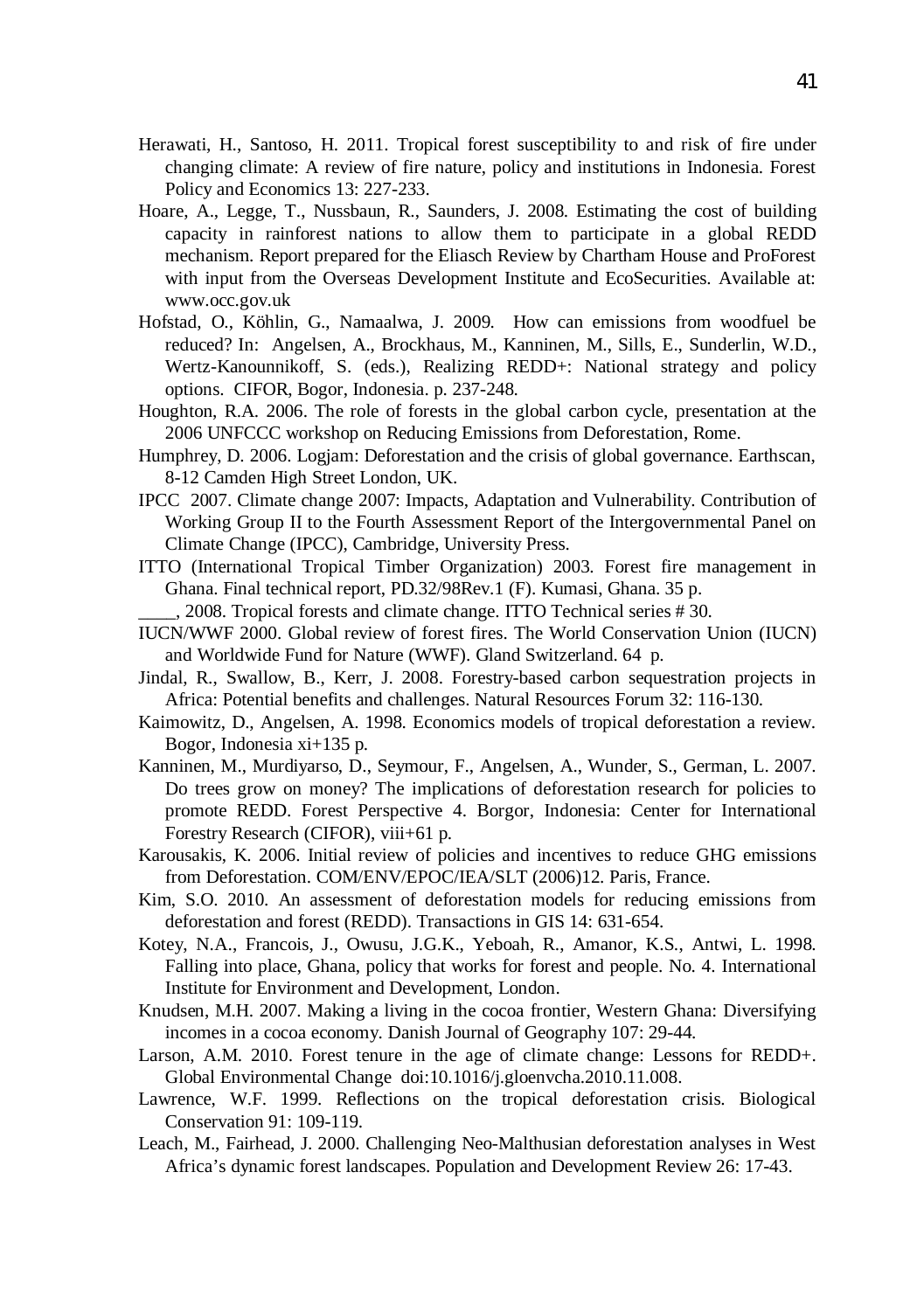- Herawati, H., Santoso, H. 2011. Tropical forest susceptibility to and risk of fire under changing climate: A review of fire nature, policy and institutions in Indonesia. Forest Policy and Economics 13: 227-233.
- Hoare, A., Legge, T., Nussbaun, R., Saunders, J. 2008. Estimating the cost of building capacity in rainforest nations to allow them to participate in a global REDD mechanism. Report prepared for the Eliasch Review by Chartham House and ProForest with input from the Overseas Development Institute and EcoSecurities. Available at: www.occ.gov.uk
- Hofstad, O., Köhlin, G., Namaalwa, J. 2009. How can emissions from woodfuel be reduced? In: Angelsen, A., Brockhaus, M., Kanninen, M., Sills, E., Sunderlin, W.D., Wertz-Kanounnikoff, S. (eds.), Realizing REDD+: National strategy and policy options. CIFOR, Bogor, Indonesia. p. 237-248.
- Houghton, R.A. 2006. The role of forests in the global carbon cycle, presentation at the 2006 UNFCCC workshop on Reducing Emissions from Deforestation, Rome.
- Humphrey, D. 2006. Logjam: Deforestation and the crisis of global governance. Earthscan, 8-12 Camden High Street London, UK.
- IPCC 2007. Climate change 2007: Impacts, Adaptation and Vulnerability. Contribution of Working Group II to the Fourth Assessment Report of the Intergovernmental Panel on Climate Change (IPCC), Cambridge, University Press.
- ITTO (International Tropical Timber Organization) 2003. Forest fire management in Ghana. Final technical report, PD.32/98Rev.1 (F). Kumasi, Ghana. 35 p.
	- \_\_\_\_, 2008. Tropical forests and climate change. ITTO Technical series # 30.
- IUCN/WWF 2000. Global review of forest fires. The World Conservation Union (IUCN) and Worldwide Fund for Nature (WWF). Gland Switzerland. 64 p.
- Jindal, R., Swallow, B., Kerr, J. 2008. Forestry-based carbon sequestration projects in Africa: Potential benefits and challenges. Natural Resources Forum 32: 116-130.
- Kaimowitz, D., Angelsen, A. 1998. Economics models of tropical deforestation a review. Bogor, Indonesia xi+135 p.
- Kanninen, M., Murdiyarso, D., Seymour, F., Angelsen, A., Wunder, S., German, L. 2007. Do trees grow on money? The implications of deforestation research for policies to promote REDD. Forest Perspective 4. Borgor, Indonesia: Center for International Forestry Research (CIFOR), viii+61 p.
- Karousakis, K. 2006. Initial review of policies and incentives to reduce GHG emissions from Deforestation. COM/ENV/EPOC/IEA/SLT (2006)12. Paris, France.
- Kim, S.O. 2010. An assessment of deforestation models for reducing emissions from deforestation and forest (REDD). Transactions in GIS 14: 631-654.
- Kotey, N.A., Francois, J., Owusu, J.G.K., Yeboah, R., Amanor, K.S., Antwi, L. 1998. Falling into place, Ghana, policy that works for forest and people. No. 4. International Institute for Environment and Development, London.
- Knudsen, M.H. 2007. Making a living in the cocoa frontier, Western Ghana: Diversifying incomes in a cocoa economy. Danish Journal of Geography 107: 29-44.
- Larson, A.M. 2010. Forest tenure in the age of climate change: Lessons for REDD+. Global Environmental Change doi:10.1016/j.gloenvcha.2010.11.008.
- Lawrence, W.F. 1999. Reflections on the tropical deforestation crisis. Biological Conservation 91: 109-119.
- Leach, M., Fairhead, J. 2000. Challenging Neo-Malthusian deforestation analyses in West Africa's dynamic forest landscapes. Population and Development Review 26: 17-43.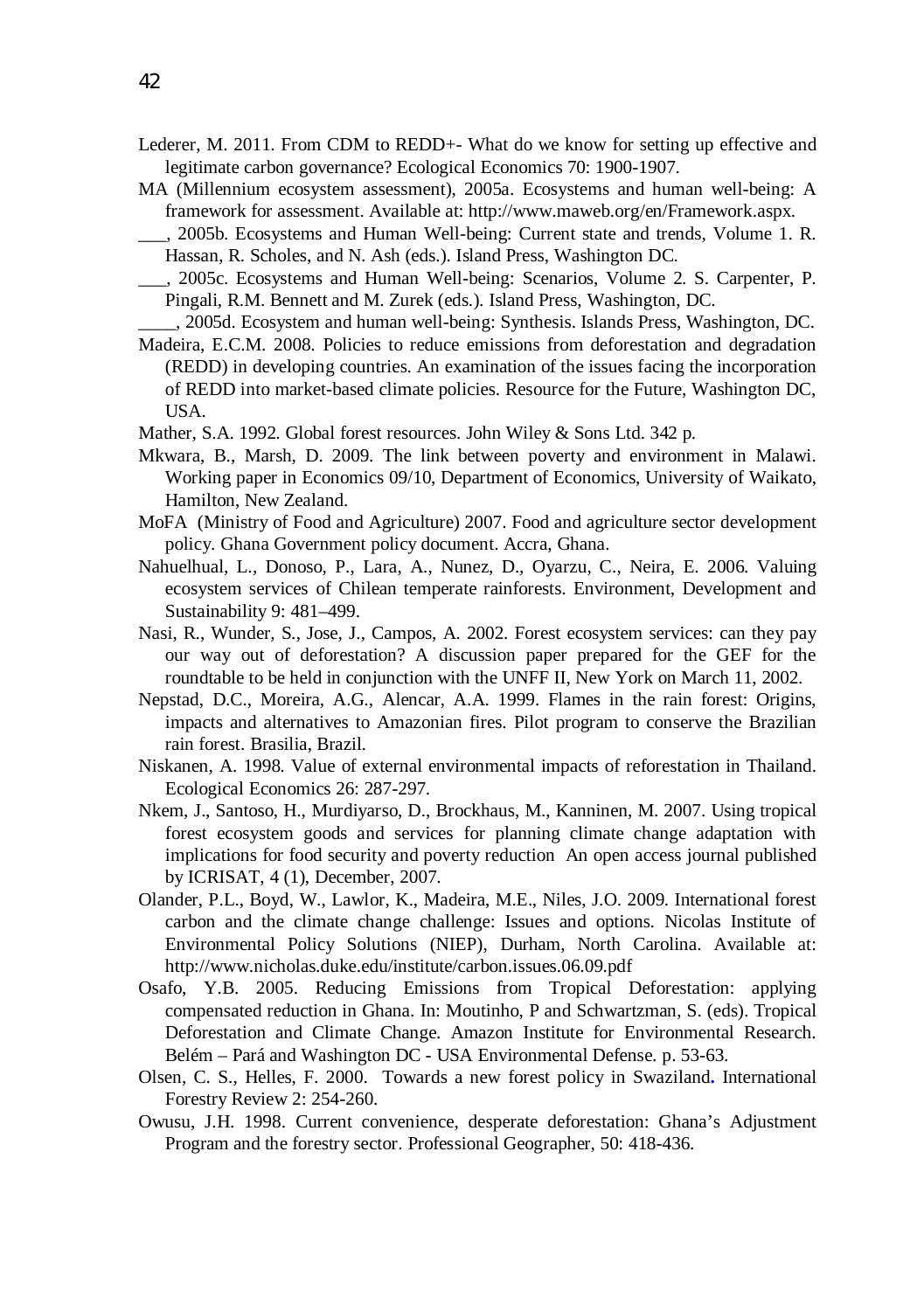- Lederer, M. 2011. From CDM to REDD+- What do we know for setting up effective and legitimate carbon governance? Ecological Economics 70: 1900-1907.
- MA (Millennium ecosystem assessment), 2005a. Ecosystems and human well-being: A framework for assessment. Available at: http://www.maweb.org/en/Framework.aspx.
- \_\_\_, 2005b. Ecosystems and Human Well-being: Current state and trends, Volume 1. R. Hassan, R. Scholes, and N. Ash (eds.). Island Press, Washington DC.
- \_\_\_, 2005c. Ecosystems and Human Well-being: Scenarios, Volume 2. S. Carpenter, P. Pingali, R.M. Bennett and M. Zurek (eds.). Island Press, Washington, DC.
- \_\_\_\_, 2005d. Ecosystem and human well-being: Synthesis. Islands Press, Washington, DC. Madeira, E.C.M. 2008. Policies to reduce emissions from deforestation and degradation (REDD) in developing countries. An examination of the issues facing the incorporation
- of REDD into market-based climate policies. Resource for the Future, Washington DC, USA.
- Mather, S.A. 1992. Global forest resources. John Wiley & Sons Ltd. 342 p.
- Mkwara, B., Marsh, D. 2009. The link between poverty and environment in Malawi. Working paper in Economics 09/10, Department of Economics, University of Waikato, Hamilton, New Zealand.
- MoFA (Ministry of Food and Agriculture) 2007. Food and agriculture sector development policy. Ghana Government policy document. Accra, Ghana.
- Nahuelhual, L., Donoso, P., Lara, A., Nunez, D., Oyarzu, C., Neira, E. 2006. Valuing ecosystem services of Chilean temperate rainforests. Environment, Development and Sustainability 9: 481–499.
- Nasi, R., Wunder, S., Jose, J., Campos, A. 2002. Forest ecosystem services: can they pay our way out of deforestation? A discussion paper prepared for the GEF for the roundtable to be held in conjunction with the UNFF II, New York on March 11, 2002.
- Nepstad, D.C., Moreira, A.G., Alencar, A.A. 1999. Flames in the rain forest: Origins, impacts and alternatives to Amazonian fires. Pilot program to conserve the Brazilian rain forest. Brasilia, Brazil.
- Niskanen, A. 1998. Value of external environmental impacts of reforestation in Thailand. Ecological Economics 26: 287-297.
- Nkem, J., Santoso, H., Murdiyarso, D., Brockhaus, M., Kanninen, M. 2007. Using tropical forest ecosystem goods and services for planning climate change adaptation with implications for food security and poverty reduction An open access journal published by ICRISAT, 4 (1), December, 2007.
- Olander, P.L., Boyd, W., Lawlor, K., Madeira, M.E., Niles, J.O. 2009. International forest carbon and the climate change challenge: Issues and options. Nicolas Institute of Environmental Policy Solutions (NIEP), Durham, North Carolina. Available at: http://www.nicholas.duke.edu/institute/carbon.issues.06.09.pdf
- Osafo, Y.B. 2005. Reducing Emissions from Tropical Deforestation: applying compensated reduction in Ghana. In: Moutinho, P and Schwartzman, S. (eds). Tropical Deforestation and Climate Change. Amazon Institute for Environmental Research. Belém – Pará and Washington DC - USA Environmental Defense. p. 53-63.
- Olsen, C. S., Helles, F. 2000. Towards a new forest policy in Swaziland**.** International Forestry Review 2: 254-260.
- Owusu, J.H. 1998. Current convenience, desperate deforestation: Ghana's Adjustment Program and the forestry sector. Professional Geographer, 50: 418-436.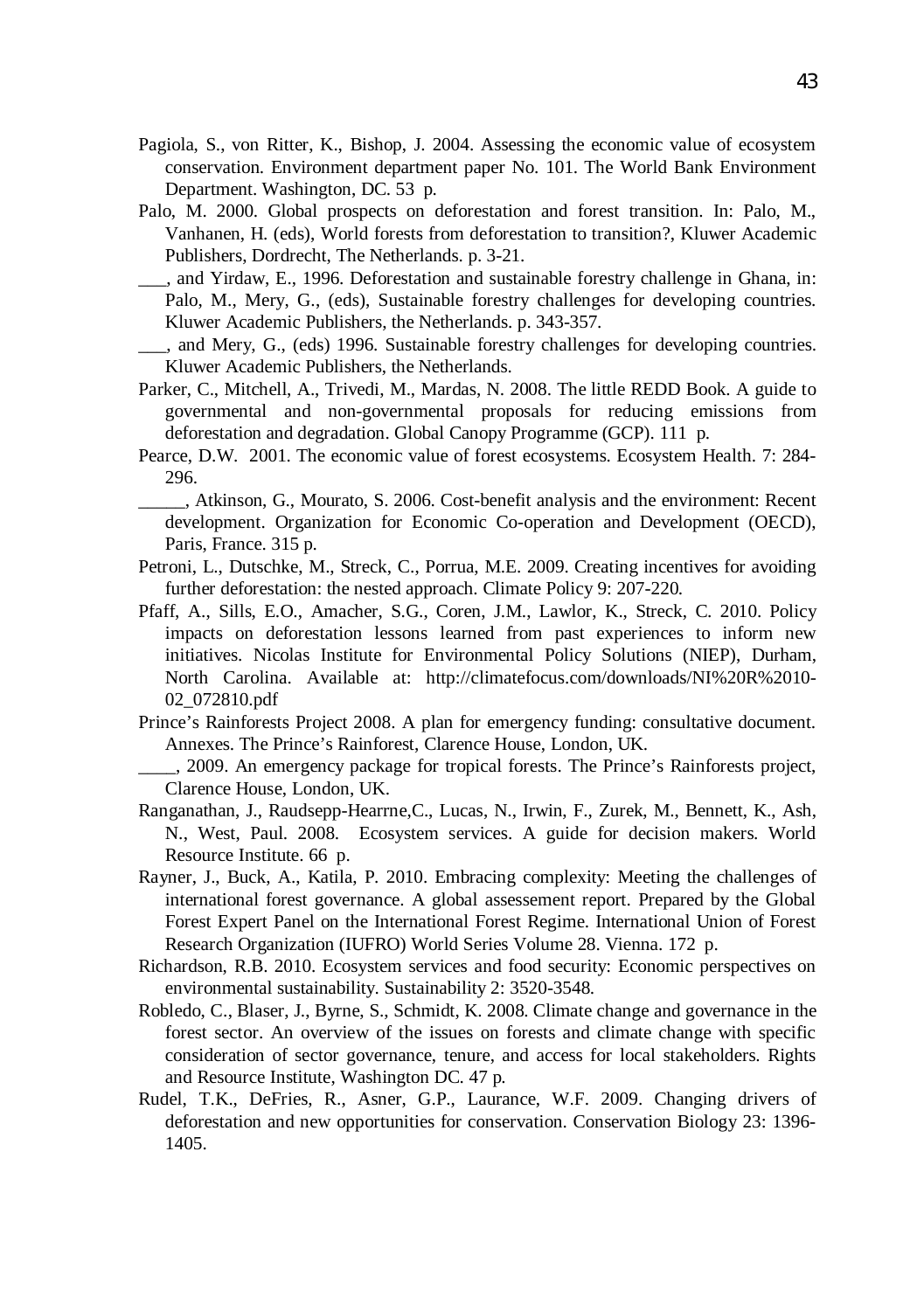- Pagiola, S., von Ritter, K., Bishop, J. 2004. Assessing the economic value of ecosystem conservation. Environment department paper No. 101. The World Bank Environment Department. Washington, DC. 53 p.
- Palo, M. 2000. Global prospects on deforestation and forest transition. In: Palo, M., Vanhanen, H. (eds), World forests from deforestation to transition?, Kluwer Academic Publishers, Dordrecht, The Netherlands. p. 3-21.
- \_\_\_, and Yirdaw, E., 1996. Deforestation and sustainable forestry challenge in Ghana, in: Palo, M., Mery, G., (eds), Sustainable forestry challenges for developing countries. Kluwer Academic Publishers, the Netherlands. p. 343-357.
- \_\_\_, and Mery, G., (eds) 1996. Sustainable forestry challenges for developing countries. Kluwer Academic Publishers, the Netherlands.
- Parker, C., Mitchell, A., Trivedi, M., Mardas, N. 2008. The little REDD Book. A guide to governmental and non-governmental proposals for reducing emissions from deforestation and degradation. Global Canopy Programme (GCP). 111 p.
- Pearce, D.W. 2001. The economic value of forest ecosystems. Ecosystem Health. 7: 284- 296.
	- \_\_\_\_\_, Atkinson, G., Mourato, S. 2006. Cost-benefit analysis and the environment: Recent development. Organization for Economic Co-operation and Development (OECD), Paris, France. 315 p.
- Petroni, L., Dutschke, M., Streck, C., Porrua, M.E. 2009. Creating incentives for avoiding further deforestation: the nested approach. Climate Policy 9: 207-220.
- Pfaff, A., Sills, E.O., Amacher, S.G., Coren, J.M., Lawlor, K., Streck, C. 2010. Policy impacts on deforestation lessons learned from past experiences to inform new initiatives. Nicolas Institute for Environmental Policy Solutions (NIEP), Durham, North Carolina. Available at: http://climatefocus.com/downloads/NI%20R%2010- 02\_072810.pdf
- Prince's Rainforests Project 2008. A plan for emergency funding: consultative document. Annexes. The Prince's Rainforest, Clarence House, London, UK.
	- \_\_\_\_, 2009. An emergency package for tropical forests. The Prince's Rainforests project, Clarence House, London, UK.
- Ranganathan, J., Raudsepp-Hearrne,C., Lucas, N., Irwin, F., Zurek, M., Bennett, K., Ash, N., West, Paul. 2008. Ecosystem services. A guide for decision makers. World Resource Institute. 66 p.
- Rayner, J., Buck, A., Katila, P. 2010. Embracing complexity: Meeting the challenges of international forest governance. A global assessement report. Prepared by the Global Forest Expert Panel on the International Forest Regime. International Union of Forest Research Organization (IUFRO) World Series Volume 28. Vienna. 172 p.
- Richardson, R.B. 2010. Ecosystem services and food security: Economic perspectives on environmental sustainability. Sustainability 2: 3520-3548.
- Robledo, C., Blaser, J., Byrne, S., Schmidt, K. 2008. Climate change and governance in the forest sector. An overview of the issues on forests and climate change with specific consideration of sector governance, tenure, and access for local stakeholders. Rights and Resource Institute, Washington DC. 47 p.
- Rudel, T.K., DeFries, R., Asner, G.P., Laurance, W.F. 2009. Changing drivers of deforestation and new opportunities for conservation. Conservation Biology 23: 1396- 1405.